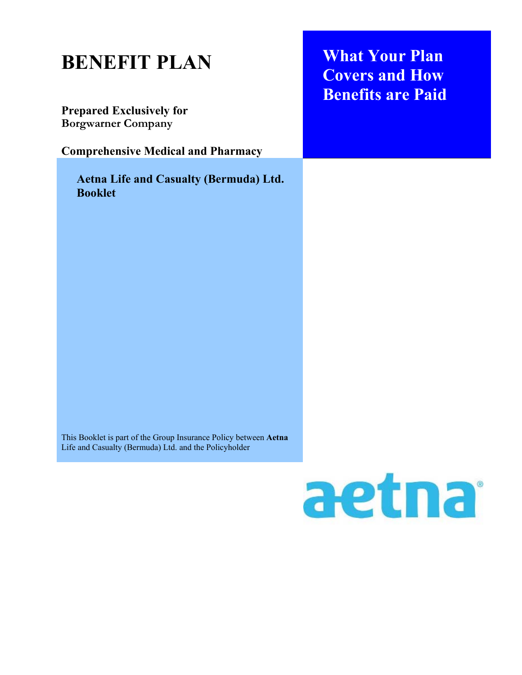## **BENEFIT PLAN**

**Prepared Exclusively for Borgwarner Company**

**Comprehensive Medical and Pharmacy**

**Aetna Life and Casualty (Bermuda) Ltd. Booklet** 

**What Your Plan Covers and How Benefits are Paid** 

This Booklet is part of the Group Insurance Policy between **Aetna** Life and Casualty (Bermuda) Ltd. and the Policyholder

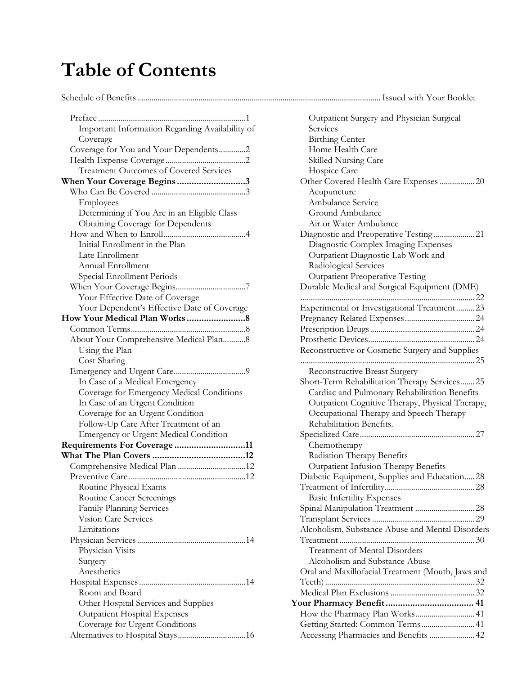## **Table of Contents**

#### Schedule of Benefits ....................................................................................................................... Issued with Your Booklet

| Preface<br>. 1<br>.                                     |
|---------------------------------------------------------|
| Important Information Regarding Availability of         |
| Coverage                                                |
| Coverage for You and Your Dependents2                   |
|                                                         |
| <b>Treatment Outcomes of Covered Services</b>           |
| When Your Coverage Begins3                              |
|                                                         |
| Employees                                               |
| Determining if You Are in an Eligible Class             |
| <b>Obtaining Coverage for Dependents</b>                |
|                                                         |
| Initial Enrollment in the Plan                          |
| Late Enrollment                                         |
| Annual Enrollment                                       |
| Special Enrollment Periods                              |
|                                                         |
| Your Effective Date of Coverage                         |
| Your Dependent's Effective Date of Coverage             |
|                                                         |
|                                                         |
| About Your Comprehensive Medical Plan8                  |
| Using the Plan                                          |
| Cost Sharing                                            |
|                                                         |
| In Case of a Medical Emergency                          |
| Coverage for Emergency Medical Conditions               |
| In Case of an Urgent Condition                          |
| Coverage for an Urgent Condition                        |
| Follow-Up Care After Treatment of an                    |
| Emergency or Urgent Medical Condition                   |
| Requirements For Coverage 11                            |
|                                                         |
| Comprehensive Medical Plan 12                           |
|                                                         |
| Routine Physical Exams                                  |
|                                                         |
| Routine Cancer Screenings                               |
| Family Planning Services<br><b>Vision Care Services</b> |
|                                                         |
| Limitations                                             |
|                                                         |
| Physician Visits                                        |
| Surgery                                                 |
| Anesthetics                                             |
|                                                         |
| Room and Board                                          |
| Other Hospital Services and Supplies                    |
| <b>Outpatient Hospital Expenses</b>                     |
| Coverage for Urgent Conditions                          |
|                                                         |

| Outpatient Surgery and Physician Surgical         |  |
|---------------------------------------------------|--|
| Services                                          |  |
| <b>Birthing Center</b>                            |  |
| Home Health Care                                  |  |
| Skilled Nursing Care                              |  |
| Hospice Care                                      |  |
| Other Covered Health Care Expenses  20            |  |
| Acupuncture                                       |  |
| Ambulance Service                                 |  |
| Ground Ambulance                                  |  |
| Air or Water Ambulance                            |  |
|                                                   |  |
| Diagnostic Complex Imaging Expenses               |  |
| Outpatient Diagnostic Lab Work and                |  |
| Radiological Services                             |  |
|                                                   |  |
| <b>Outpatient Preoperative Testing</b>            |  |
| Durable Medical and Surgical Equipment (DME)      |  |
|                                                   |  |
| Experimental or Investigational Treatment 23      |  |
|                                                   |  |
|                                                   |  |
|                                                   |  |
| Reconstructive or Cosmetic Surgery and Supplies   |  |
|                                                   |  |
| Reconstructive Breast Surgery                     |  |
| Short-Term Rehabilitation Therapy Services 25     |  |
| Cardiac and Pulmonary Rehabilitation Benefits     |  |
| Outpatient Cognitive Therapy, Physical Therapy,   |  |
| Occupational Therapy and Speech Therapy           |  |
| Rehabilitation Benefits.                          |  |
|                                                   |  |
| Chemotherapy                                      |  |
| Radiation Therapy Benefits                        |  |
| Outpatient Infusion Therapy Benefits              |  |
| Diabetic Equipment, Supplies and Education28      |  |
|                                                   |  |
| <b>Basic Infertility Expenses</b>                 |  |
| Spinal Manipulation Treatment  28                 |  |
|                                                   |  |
| Alcoholism, Substance Abuse and Mental Disorders  |  |
|                                                   |  |
| <b>Treatment of Mental Disorders</b>              |  |
| Alcoholism and Substance Abuse                    |  |
| Oral and Maxillofacial Treatment (Mouth, Jaws and |  |
|                                                   |  |
|                                                   |  |
|                                                   |  |
| How the Pharmacy Plan Works 41                    |  |
| Getting Started: Common Terms 41                  |  |
| Accessing Pharmacies and Benefits  42             |  |
|                                                   |  |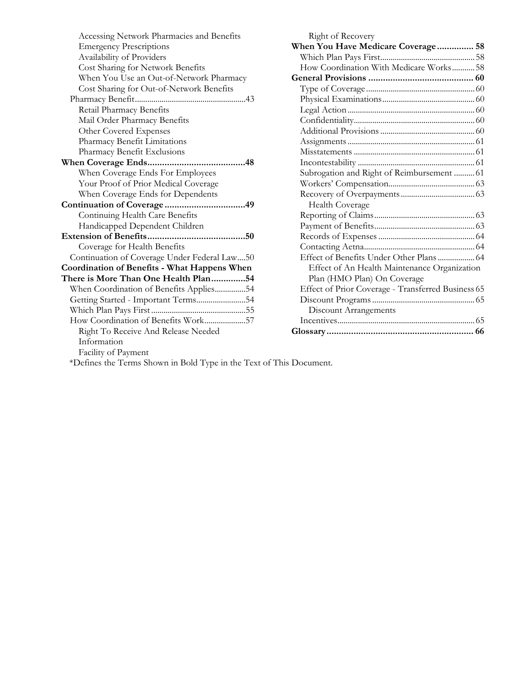| Accessing Network Pharmacies and Benefits    | Right of Recovery           |  |
|----------------------------------------------|-----------------------------|--|
| <b>Emergency Prescriptions</b>               | When You Have Med           |  |
| Availability of Providers                    | Which Plan Pays Fir         |  |
| Cost Sharing for Network Benefits            | How Coordination V          |  |
| When You Use an Out-of-Network Pharmacy      | <b>General Provisions</b>   |  |
| Cost Sharing for Out-of-Network Benefits     | Type of Coverage            |  |
|                                              | Physical Examination        |  |
| Retail Pharmacy Benefits                     | Legal Action                |  |
| Mail Order Pharmacy Benefits                 | Confidentiality             |  |
| Other Covered Expenses                       | <b>Additional Provision</b> |  |
| Pharmacy Benefit Limitations                 | Assignments                 |  |
| Pharmacy Benefit Exclusions                  | Misstatements               |  |
|                                              | Incontestability            |  |
| When Coverage Ends For Employees             | Subrogation and Rig         |  |
| Your Proof of Prior Medical Coverage         | Workers' Compensa           |  |
| When Coverage Ends for Dependents            | Recovery of Overpa          |  |
|                                              | <b>Health Coverage</b>      |  |
| Continuing Health Care Benefits              | Reporting of Claims         |  |
| Handicapped Dependent Children               | Payment of Benefits         |  |
|                                              | Records of Expense          |  |
| Coverage for Health Benefits                 | Contacting Aetna            |  |
| Continuation of Coverage Under Federal Law50 | Effect of Benefits U        |  |
| Coordination of Benefits - What Happens When | Effect of An Heal           |  |
| There is More Than One Health Plan54         | Plan (HMO Plan)             |  |
| When Coordination of Benefits Applies54      | <b>Effect of Prior Cove</b> |  |
| Getting Started - Important Terms54          | Discount Programs.          |  |
|                                              | Discount Arrange            |  |
| How Coordination of Benefits Work57          | Incentives                  |  |
| Right To Receive And Release Needed          |                             |  |
| Information                                  |                             |  |
| Facility of Payment                          |                             |  |
|                                              |                             |  |

| <u>night</u> of necovery<br>When You Have Medicare Coverage 58 |  |
|----------------------------------------------------------------|--|
|                                                                |  |
| How Coordination With Medicare Works 58                        |  |
|                                                                |  |
|                                                                |  |
|                                                                |  |
|                                                                |  |
|                                                                |  |
|                                                                |  |
|                                                                |  |
|                                                                |  |
|                                                                |  |
| Subrogation and Right of Reimbursement  61                     |  |
|                                                                |  |
|                                                                |  |
| Health Coverage                                                |  |
|                                                                |  |
|                                                                |  |
|                                                                |  |
|                                                                |  |
| Effect of Benefits Under Other Plans 64                        |  |
| Effect of An Health Maintenance Organization                   |  |
| Plan (HMO Plan) On Coverage                                    |  |
| Effect of Prior Coverage - Transferred Business 65             |  |
|                                                                |  |
| <b>Discount Arrangements</b>                                   |  |
|                                                                |  |
|                                                                |  |
|                                                                |  |

\*Defines the Terms Shown in Bold Type in the Text of This Document.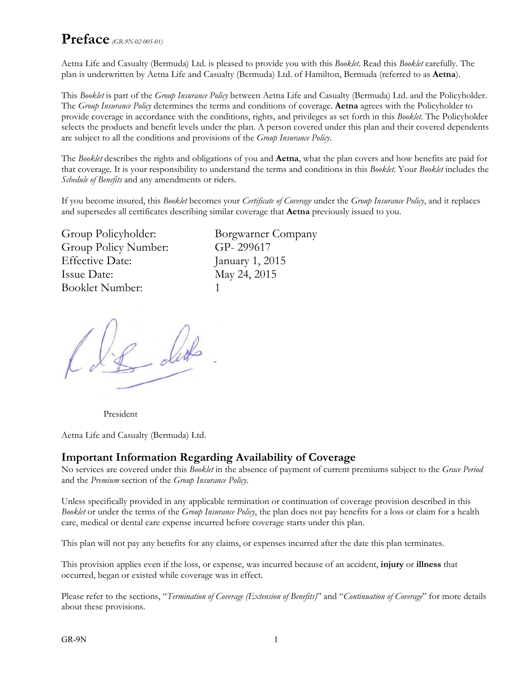### **Preface** *(GR-9N-02-005-01)*

Aetna Life and Casualty (Bermuda) Ltd. is pleased to provide you with this *Booklet*. Read this *Booklet* carefully. The plan is underwritten by Aetna Life and Casualty (Bermuda) Ltd. of Hamilton, Bermuda (referred to as **Aetna**).

This *Booklet* is part of the *Group Insurance Policy* between Aetna Life and Casualty (Bermuda) Ltd. and the Policyholder. The *Group Insurance Policy* determines the terms and conditions of coverage. **Aetna** agrees with the Policyholder to provide coverage in accordance with the conditions, rights, and privileges as set forth in this *Booklet*. The Policyholder selects the products and benefit levels under the plan. A person covered under this plan and their covered dependents are subject to all the conditions and provisions of the *Group Insurance Policy*.

The *Booklet* describes the rights and obligations of you and **Aetna**, what the plan covers and how benefits are paid for that coverage. It is your responsibility to understand the terms and conditions in this *Booklet*. Your *Booklet* includes the *Schedule of Benefits* and any amendments or riders.

If you become insured, this *Booklet* becomes your *Certificate of Coverage* under the *Group Insurance Policy*, and it replaces and supersedes all certificates describing similar coverage that **Aetna** previously issued to you.

| Group Policyholder:    | Ρ  |
|------------------------|----|
| Group Policy Number:   | (  |
| <b>Effective Date:</b> | J: |
| Issue Date:            | A  |
| Booklet Number:        |    |

Borgwarner Company GP- 299617 January 1, 2015 May 24, 2015

President

Aetna Life and Casualty (Bermuda) Ltd.

#### **Important Information Regarding Availability of Coverage**

No services are covered under this *Booklet* in the absence of payment of current premiums subject to the *Grace Period* and the *Premium* section of the *Group Insurance Policy*.

Unless specifically provided in any applicable termination or continuation of coverage provision described in this *Booklet* or under the terms of the *Group Insurance Policy*, the plan does not pay benefits for a loss or claim for a health care, medical or dental care expense incurred before coverage starts under this plan.

This plan will not pay any benefits for any claims, or expenses incurred after the date this plan terminates.

This provision applies even if the loss, or expense, was incurred because of an accident, **injury** or **illness** that occurred, began or existed while coverage was in effect.

Please refer to the sections, "*Termination of Coverage (Extension of Benefits)*" and "*Continuation of Coverage*" for more details about these provisions.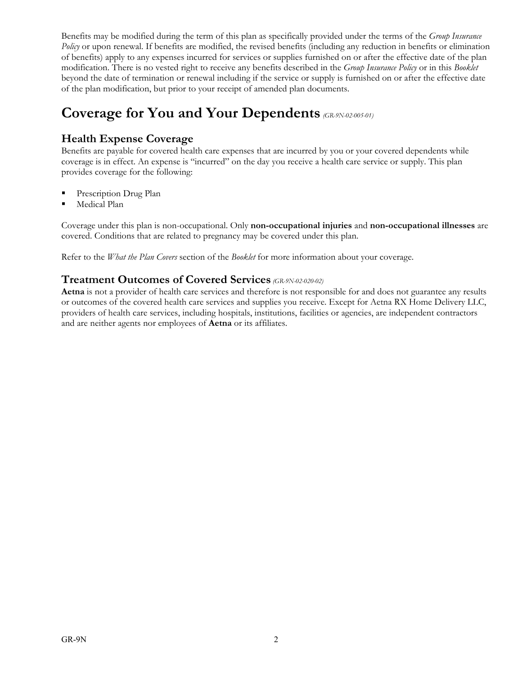Benefits may be modified during the term of this plan as specifically provided under the terms of the *Group Insurance Policy* or upon renewal. If benefits are modified, the revised benefits (including any reduction in benefits or elimination of benefits) apply to any expenses incurred for services or supplies furnished on or after the effective date of the plan modification. There is no vested right to receive any benefits described in the *Group Insurance Policy* or in this *Booklet*  beyond the date of termination or renewal including if the service or supply is furnished on or after the effective date of the plan modification, but prior to your receipt of amended plan documents.

### **Coverage for You and Your Dependents** *(GR-9N-02-005-01)*

**Health Expense Coverage**<br>Benefits are payable for covered health care expenses that are incurred by you or your covered dependents while coverage is in effect. An expense is "incurred" on the day you receive a health care service or supply. This plan provides coverage for the following:

- Prescription Drug Plan
- Medical Plan

Coverage under this plan is non-occupational. Only **non-occupational injuries** and **non-occupational illnesses** are covered. Conditions that are related to pregnancy may be covered under this plan.

Refer to the *What the Plan Covers* section of the *Booklet* for more information about your coverage.

#### **Treatment Outcomes of Covered Services** *(GR-9N-02-020-02)*

**Aetna** is not a provider of health care services and therefore is not responsible for and does not guarantee any results or outcomes of the covered health care services and supplies you receive. Except for Aetna RX Home Delivery LLC, providers of health care services, including hospitals, institutions, facilities or agencies, are independent contractors and are neither agents nor employees of **Aetna** or its affiliates.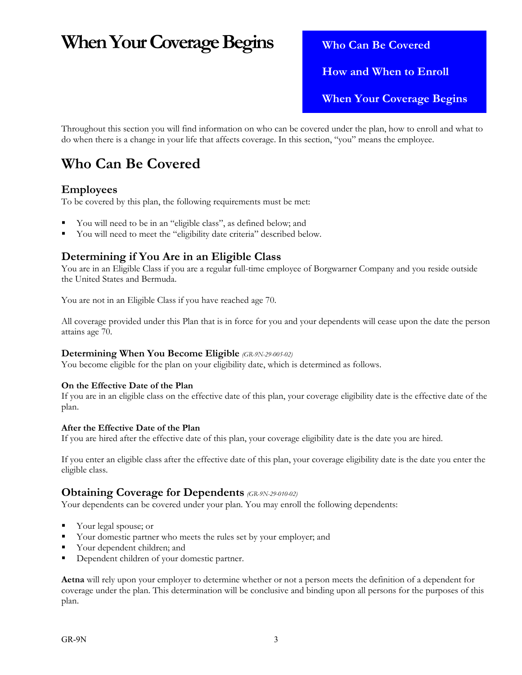## **When Your Coverage Begins** Who Can Be Covered

 **How and When to Enroll When Your Coverage Begins** 

Throughout this section you will find information on who can be covered under the plan, how to enroll and what to do when there is a change in your life that affects coverage. In this section, "you" means the employee.

### **Who Can Be Covered**

#### **Employees**

To be covered by this plan, the following requirements must be met:

- You will need to be in an "eligible class", as defined below; and
- You will need to meet the "eligibility date criteria" described below.

#### **Determining if You Are in an Eligible Class**

You are in an Eligible Class if you are a regular full-time employee of Borgwarner Company and you reside outside the United States and Bermuda.

You are not in an Eligible Class if you have reached age 70.

All coverage provided under this Plan that is in force for you and your dependents will cease upon the date the person attains age 70.

#### **Determining When You Become Eligible** *(GR-9N-29-005-02)*

You become eligible for the plan on your eligibility date, which is determined as follows.

#### **On the Effective Date of the Plan**

If you are in an eligible class on the effective date of this plan, your coverage eligibility date is the effective date of the plan.

#### **After the Effective Date of the Plan**

If you are hired after the effective date of this plan, your coverage eligibility date is the date you are hired.

If you enter an eligible class after the effective date of this plan, your coverage eligibility date is the date you enter the eligible class.

#### **Obtaining Coverage for Dependents** *(GR-9N-29-010-02)*

Your dependents can be covered under your plan. You may enroll the following dependents:

- Your legal spouse; or
- Your domestic partner who meets the rules set by your employer; and
- Your dependent children; and
- Dependent children of your domestic partner.

**Aetna** will rely upon your employer to determine whether or not a person meets the definition of a dependent for coverage under the plan. This determination will be conclusive and binding upon all persons for the purposes of this plan.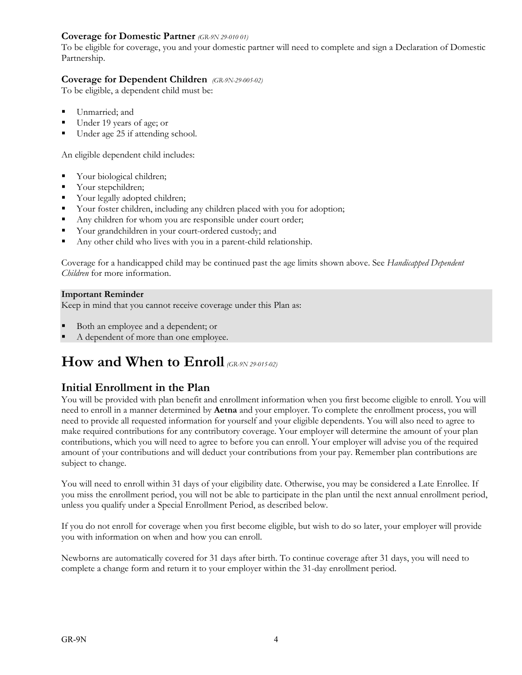#### **Coverage for Domestic Partner** *(GR-9N 29-010 01)*

To be eligible for coverage, you and your domestic partner will need to complete and sign a Declaration of Domestic Partnership.

#### **Coverage for Dependent Children** *(GR-9N-29-005-02)*

To be eligible, a dependent child must be:

- Unmarried; and
- Under 19 years of age; or
- Under age 25 if attending school.

An eligible dependent child includes:

- Your biological children;
- Vour stepchildren;
- Your legally adopted children;
- Your foster children, including any children placed with you for adoption;
- Any children for whom you are responsible under court order;
- Your grandchildren in your court-ordered custody; and
- Any other child who lives with you in a parent-child relationship.

Coverage for a handicapped child may be continued past the age limits shown above. See *Handicapped Dependent Children* for more information.

#### **Important Reminder**

Keep in mind that you cannot receive coverage under this Plan as:

- Both an employee and a dependent; or
- A dependent of more than one employee.

### **How and When to Enroll** *(GR-9N 29-015-02)*

#### **Initial Enrollment in the Plan**

You will be provided with plan benefit and enrollment information when you first become eligible to enroll. You will need to enroll in a manner determined by **Aetna** and your employer. To complete the enrollment process, you will need to provide all requested information for yourself and your eligible dependents. You will also need to agree to make required contributions for any contributory coverage. Your employer will determine the amount of your plan contributions, which you will need to agree to before you can enroll. Your employer will advise you of the required amount of your contributions and will deduct your contributions from your pay. Remember plan contributions are subject to change.

You will need to enroll within 31 days of your eligibility date. Otherwise, you may be considered a Late Enrollee. If you miss the enrollment period, you will not be able to participate in the plan until the next annual enrollment period, unless you qualify under a Special Enrollment Period, as described below.

If you do not enroll for coverage when you first become eligible, but wish to do so later, your employer will provide you with information on when and how you can enroll.

Newborns are automatically covered for 31 days after birth. To continue coverage after 31 days, you will need to complete a change form and return it to your employer within the 31-day enrollment period.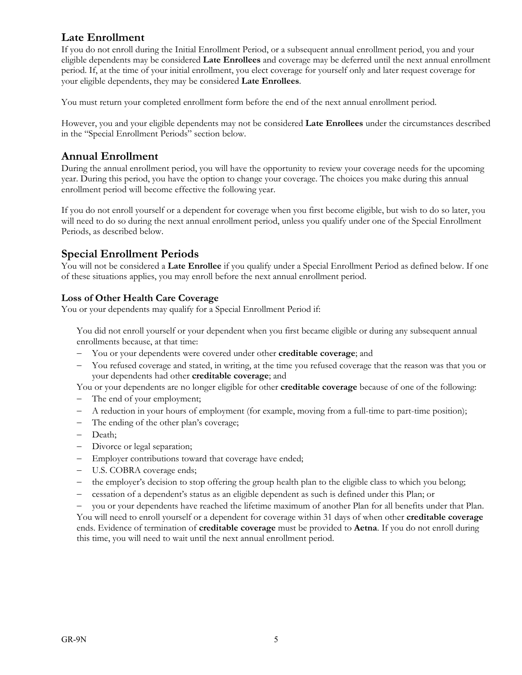#### **Late Enrollment**

If you do not enroll during the Initial Enrollment Period, or a subsequent annual enrollment period, you and your eligible dependents may be considered **Late Enrollees** and coverage may be deferred until the next annual enrollment period. If, at the time of your initial enrollment, you elect coverage for yourself only and later request coverage for your eligible dependents, they may be considered **Late Enrollees**.

You must return your completed enrollment form before the end of the next annual enrollment period.

However, you and your eligible dependents may not be considered **Late Enrollees** under the circumstances described in the "Special Enrollment Periods" section below.

#### **Annual Enrollment**

During the annual enrollment period, you will have the opportunity to review your coverage needs for the upcoming year. During this period, you have the option to change your coverage. The choices you make during this annual enrollment period will become effective the following year.

If you do not enroll yourself or a dependent for coverage when you first become eligible, but wish to do so later, you will need to do so during the next annual enrollment period, unless you qualify under one of the Special Enrollment Periods, as described below.

#### **Special Enrollment Periods**

You will not be considered a **Late Enrollee** if you qualify under a Special Enrollment Period as defined below. If one of these situations applies, you may enroll before the next annual enrollment period.

#### **Loss of Other Health Care Coverage**

You or your dependents may qualify for a Special Enrollment Period if:

 You did not enroll yourself or your dependent when you first became eligible or during any subsequent annual enrollments because, at that time:

- You or your dependents were covered under other **creditable coverage**; and
- You refused coverage and stated, in writing, at the time you refused coverage that the reason was that you or your dependents had other **creditable coverage**; and

You or your dependents are no longer eligible for other **creditable coverage** because of one of the following:

- The end of your employment;
- A reduction in your hours of employment (for example, moving from a full-time to part-time position);
- The ending of the other plan's coverage;
- Death;
- Divorce or legal separation;
- Employer contributions toward that coverage have ended;
- U.S. COBRA coverage ends;
- the employer's decision to stop offering the group health plan to the eligible class to which you belong;
- cessation of a dependent's status as an eligible dependent as such is defined under this Plan; or

 you or your dependents have reached the lifetime maximum of another Plan for all benefits under that Plan. You will need to enroll yourself or a dependent for coverage within 31 days of when other **creditable coverage**  ends. Evidence of termination of **creditable coverage** must be provided to **Aetna**. If you do not enroll during this time, you will need to wait until the next annual enrollment period.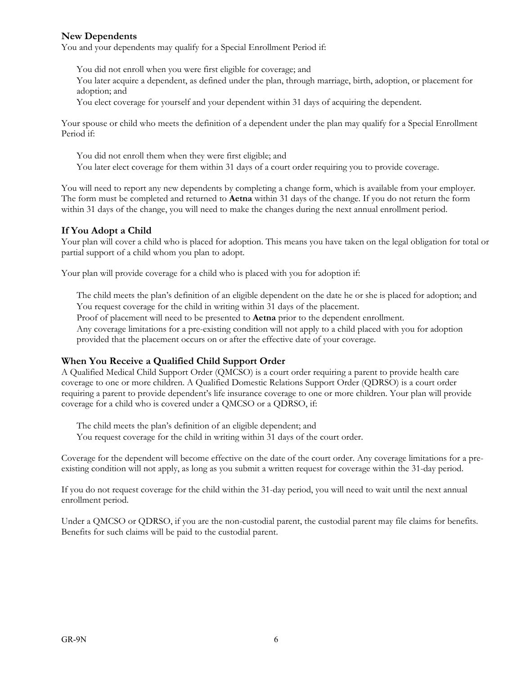#### **New Dependents**

You and your dependents may qualify for a Special Enrollment Period if:

You did not enroll when you were first eligible for coverage; and

 You later acquire a dependent, as defined under the plan, through marriage, birth, adoption, or placement for adoption; and

You elect coverage for yourself and your dependent within 31 days of acquiring the dependent.

Your spouse or child who meets the definition of a dependent under the plan may qualify for a Special Enrollment Period if:

 You did not enroll them when they were first eligible; and You later elect coverage for them within 31 days of a court order requiring you to provide coverage.

You will need to report any new dependents by completing a change form, which is available from your employer. The form must be completed and returned to **Aetna** within 31 days of the change. If you do not return the form within 31 days of the change, you will need to make the changes during the next annual enrollment period.

#### **If You Adopt a Child**

Your plan will cover a child who is placed for adoption. This means you have taken on the legal obligation for total or partial support of a child whom you plan to adopt.

Your plan will provide coverage for a child who is placed with you for adoption if:

 The child meets the plan's definition of an eligible dependent on the date he or she is placed for adoption; and You request coverage for the child in writing within 31 days of the placement.

Proof of placement will need to be presented to **Aetna** prior to the dependent enrollment.

 Any coverage limitations for a pre-existing condition will not apply to a child placed with you for adoption provided that the placement occurs on or after the effective date of your coverage.

#### **When You Receive a Qualified Child Support Order**

A Qualified Medical Child Support Order (QMCSO) is a court order requiring a parent to provide health care coverage to one or more children. A Qualified Domestic Relations Support Order (QDRSO) is a court order requiring a parent to provide dependent's life insurance coverage to one or more children. Your plan will provide coverage for a child who is covered under a QMCSO or a QDRSO, if:

The child meets the plan's definition of an eligible dependent; and

You request coverage for the child in writing within 31 days of the court order.

Coverage for the dependent will become effective on the date of the court order. Any coverage limitations for a preexisting condition will not apply, as long as you submit a written request for coverage within the 31-day period.

If you do not request coverage for the child within the 31-day period, you will need to wait until the next annual enrollment period.

Under a QMCSO or QDRSO, if you are the non-custodial parent, the custodial parent may file claims for benefits. Benefits for such claims will be paid to the custodial parent.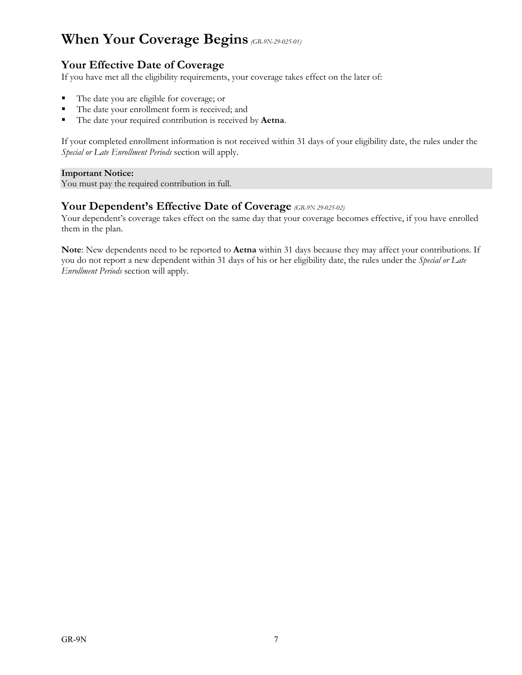### **When Your Coverage Begins** *(GR-9N-29-025-01)*

#### **Your Effective Date of Coverage**

If you have met all the eligibility requirements, your coverage takes effect on the later of:

- The date you are eligible for coverage; or
- The date your enrollment form is received; and
- The date your required contribution is received by **Aetna**.

If your completed enrollment information is not received within 31 days of your eligibility date, the rules under the *Special or Late Enrollment Periods* section will apply.

#### **Important Notice:**

You must pay the required contribution in full.

#### **Your Dependent's Effective Date of Coverage** *(GR-9N 29-025-02)*

Your dependent's coverage takes effect on the same day that your coverage becomes effective, if you have enrolled them in the plan.

**Note**: New dependents need to be reported to **Aetna** within 31 days because they may affect your contributions. If you do not report a new dependent within 31 days of his or her eligibility date, the rules under the *Special or Late Enrollment Periods* section will apply.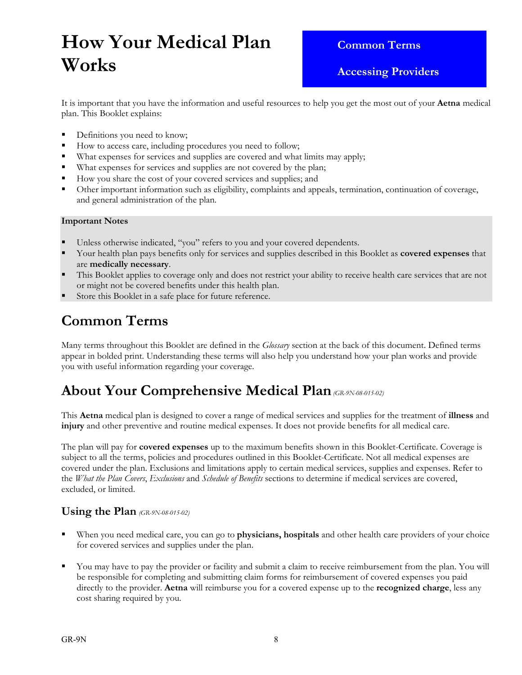# **How Your Medical Plan Works**

 **Common Terms** 

 **Accessing Providers** 

It is important that you have the information and useful resources to help you get the most out of your **Aetna** medical plan. This Booklet explains:

- Definitions you need to know;
- How to access care, including procedures you need to follow;
- What expenses for services and supplies are covered and what limits may apply;
- What expenses for services and supplies are not covered by the plan;
- How you share the cost of your covered services and supplies; and
- Other important information such as eligibility, complaints and appeals, termination, continuation of coverage, and general administration of the plan.

#### **Important Notes**

- Unless otherwise indicated, "you" refers to you and your covered dependents.
- Your health plan pays benefits only for services and supplies described in this Booklet as **covered expenses** that are **medically necessary**.
- This Booklet applies to coverage only and does not restrict your ability to receive health care services that are not or might not be covered benefits under this health plan.
- Store this Booklet in a safe place for future reference.

### **Common Terms**

Many terms throughout this Booklet are defined in the *Glossary* section at the back of this document. Defined terms appear in bolded print. Understanding these terms will also help you understand how your plan works and provide you with useful information regarding your coverage.

### **About Your Comprehensive Medical Plan***(GR-9N-08-015-02)*

This **Aetna** medical plan is designed to cover a range of medical services and supplies for the treatment of **illness** and **injury** and other preventive and routine medical expenses. It does not provide benefits for all medical care.

The plan will pay for **covered expenses** up to the maximum benefits shown in this Booklet-Certificate. Coverage is subject to all the terms, policies and procedures outlined in this Booklet-Certificate. Not all medical expenses are covered under the plan. Exclusions and limitations apply to certain medical services, supplies and expenses. Refer to the *What the Plan Covers*, *Exclusions* and *Schedule of Benefits* sections to determine if medical services are covered, excluded, or limited.

#### **Using the Plan** *(GR-9N-08-015-02)*

- When you need medical care, you can go to **physicians, hospitals** and other health care providers of your choice for covered services and supplies under the plan.
- You may have to pay the provider or facility and submit a claim to receive reimbursement from the plan. You will be responsible for completing and submitting claim forms for reimbursement of covered expenses you paid directly to the provider. **Aetna** will reimburse you for a covered expense up to the **recognized charge**, less any cost sharing required by you.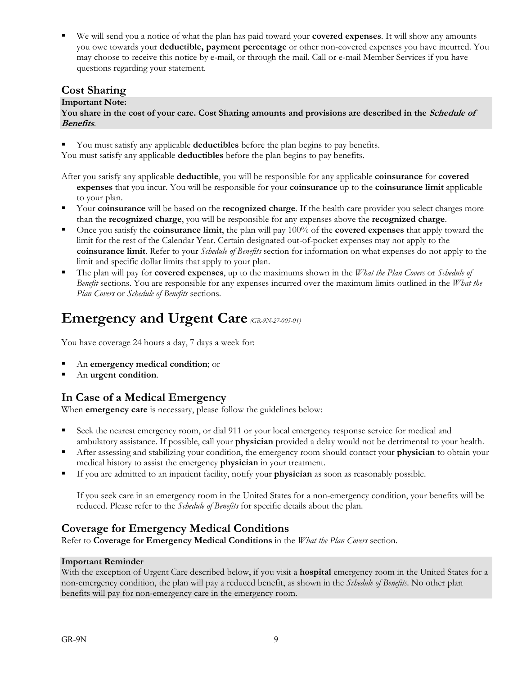We will send you a notice of what the plan has paid toward your **covered expenses**. It will show any amounts you owe towards your **deductible, payment percentage** or other non-covered expenses you have incurred. You may choose to receive this notice by e-mail, or through the mail. Call or e-mail Member Services if you have questions regarding your statement.

#### **Cost Sharing**

#### **Important Note:**

You share in the cost of your care. Cost Sharing amounts and provisions are described in the *Schedule of* **Benefits**.

You must satisfy any applicable **deductibles** before the plan begins to pay benefits.

You must satisfy any applicable **deductibles** before the plan begins to pay benefits.

After you satisfy any applicable **deductible**, you will be responsible for any applicable **coinsurance** for **covered expenses** that you incur. You will be responsible for your **coinsurance** up to the **coinsurance limit** applicable to your plan.

- Your **coinsurance** will be based on the **recognized charge**. If the health care provider you select charges more than the **recognized charge**, you will be responsible for any expenses above the **recognized charge**.
- Once you satisfy the **coinsurance limit**, the plan will pay 100% of the **covered expenses** that apply toward the limit for the rest of the Calendar Year. Certain designated out-of-pocket expenses may not apply to the **coinsurance limit**. Refer to your *Schedule of Benefits* section for information on what expenses do not apply to the limit and specific dollar limits that apply to your plan.
- The plan will pay for **covered expenses**, up to the maximums shown in the *What the Plan Covers* or *Schedule of Benefit* sections. You are responsible for any expenses incurred over the maximum limits outlined in the *What the Plan Covers* or *Schedule of Benefits* sections.

### **Emergency and Urgent Care** *(GR-9N-27-005-01)*

You have coverage 24 hours a day, 7 days a week for:

- An **emergency medical condition**; or
- An **urgent condition**.

#### **In Case of a Medical Emergency**

When **emergency care** is necessary, please follow the guidelines below:

- Seek the nearest emergency room, or dial 911 or your local emergency response service for medical and ambulatory assistance. If possible, call your **physician** provided a delay would not be detrimental to your health.
- After assessing and stabilizing your condition, the emergency room should contact your **physician** to obtain your medical history to assist the emergency **physician** in your treatment.
- If you are admitted to an inpatient facility, notify your **physician** as soon as reasonably possible.

 If you seek care in an emergency room in the United States for a non-emergency condition, your benefits will be reduced. Please refer to the *Schedule of Benefits* for specific details about the plan.

#### **Coverage for Emergency Medical Conditions**

Refer to **Coverage for Emergency Medical Conditions** in the *What the Plan Covers* section.

#### **Important Reminder**

With the exception of Urgent Care described below, if you visit a **hospital** emergency room in the United States for a non-emergency condition, the plan will pay a reduced benefit, as shown in the *Schedule of Benefits*. No other plan benefits will pay for non-emergency care in the emergency room.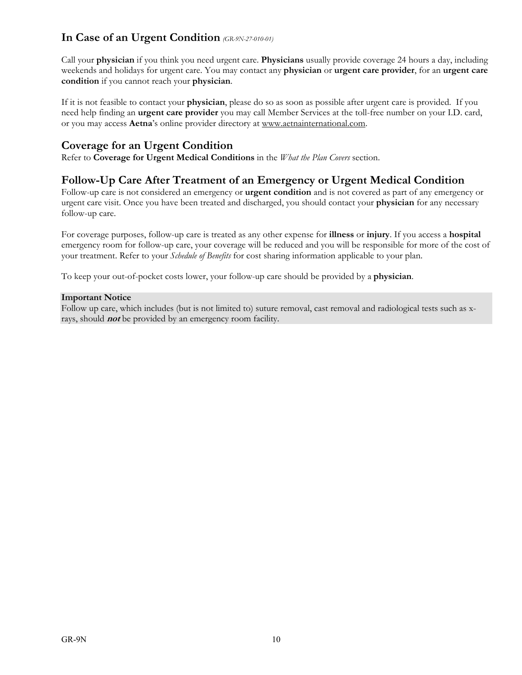#### **In Case of an Urgent Condition** *(GR-9N-27-010-01)*

Call your **physician** if you think you need urgent care. **Physicians** usually provide coverage 24 hours a day, including weekends and holidays for urgent care. You may contact any **physician** or **urgent care provider**, for an **urgent care condition** if you cannot reach your **physician**.

If it is not feasible to contact your **physician**, please do so as soon as possible after urgent care is provided. If you need help finding an **urgent care provider** you may call Member Services at the toll-free number on your I.D. card, or you may access **Aetna**'s online provider directory at www.aetnainternational.com.

#### **Coverage for an Urgent Condition**

Refer to **Coverage for Urgent Medical Conditions** in the *What the Plan Covers* section.

#### **Follow-Up Care After Treatment of an Emergency or Urgent Medical Condition**

Follow-up care is not considered an emergency or **urgent condition** and is not covered as part of any emergency or urgent care visit. Once you have been treated and discharged, you should contact your **physician** for any necessary follow-up care.

For coverage purposes, follow-up care is treated as any other expense for **illness** or **injury**. If you access a **hospital** emergency room for follow-up care, your coverage will be reduced and you will be responsible for more of the cost of your treatment. Refer to your *Schedule of Benefits* for cost sharing information applicable to your plan.

To keep your out-of-pocket costs lower, your follow-up care should be provided by a **physician**.

#### **Important Notice**

Follow up care, which includes (but is not limited to) suture removal, cast removal and radiological tests such as xrays, should **not** be provided by an emergency room facility.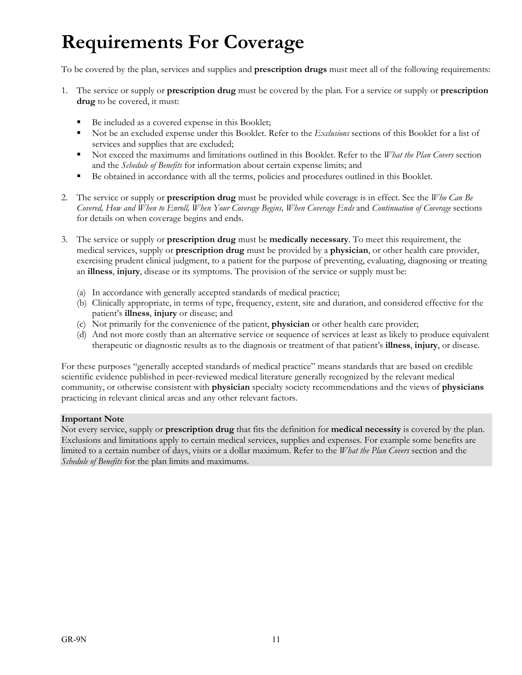# **Requirements For Coverage**

To be covered by the plan, services and supplies and **prescription drugs** must meet all of the following requirements:

- 1. The service or supply or **prescription drug** must be covered by the plan. For a service or supply or **prescription drug** to be covered, it must:
	- Be included as a covered expense in this Booklet;
	- Not be an excluded expense under this Booklet. Refer to the *Exclusions* sections of this Booklet for a list of services and supplies that are excluded;
	- Not exceed the maximums and limitations outlined in this Booklet. Refer to the *What the Plan Covers* section and the *Schedule of Benefits* for information about certain expense limits; and
	- Be obtained in accordance with all the terms, policies and procedures outlined in this Booklet.
- 2. The service or supply or **prescription drug** must be provided while coverage is in effect. See the *Who Can Be Covered, How and When to Enroll, When Your Coverage Begins, When Coverage Ends* and *Continuation of Coverage* sections for details on when coverage begins and ends.
- 3. The service or supply or **prescription drug** must be **medically necessary**. To meet this requirement, the medical services, supply or **prescription drug** must be provided by a **physician**, or other health care provider, exercising prudent clinical judgment, to a patient for the purpose of preventing, evaluating, diagnosing or treating an **illness**, **injury**, disease or its symptoms. The provision of the service or supply must be:
	- (a) In accordance with generally accepted standards of medical practice;
	- (b) Clinically appropriate, in terms of type, frequency, extent, site and duration, and considered effective for the patient's **illness**, **injury** or disease; and
	- (c) Not primarily for the convenience of the patient, **physician** or other health care provider;
	- (d) And not more costly than an alternative service or sequence of services at least as likely to produce equivalent therapeutic or diagnostic results as to the diagnosis or treatment of that patient's **illness**, **injury**, or disease.

For these purposes "generally accepted standards of medical practice" means standards that are based on credible scientific evidence published in peer-reviewed medical literature generally recognized by the relevant medical community, or otherwise consistent with **physician** specialty society recommendations and the views of **physicians** practicing in relevant clinical areas and any other relevant factors.

#### **Important Note**

Not every service, supply or **prescription drug** that fits the definition for **medical necessity** is covered by the plan. Exclusions and limitations apply to certain medical services, supplies and expenses. For example some benefits are limited to a certain number of days, visits or a dollar maximum. Refer to the *What the Plan Covers* section and the *Schedule of Benefits* for the plan limits and maximums.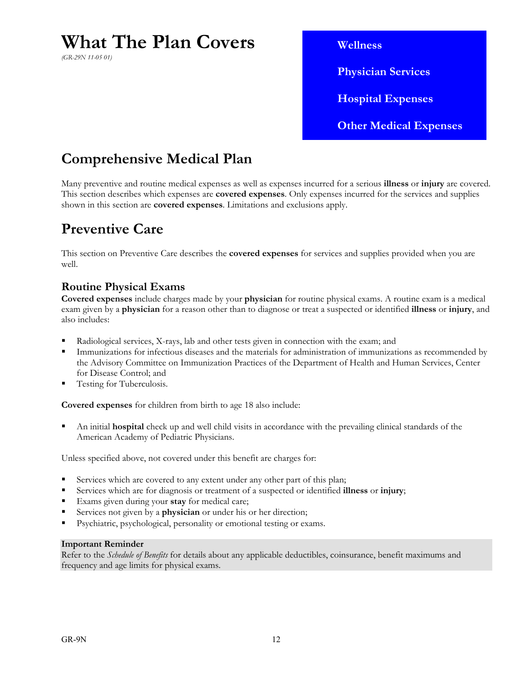## **What The Plan Covers**

*(GR-29N 11-05 01)*

 **Wellness Physician Services Hospital Expenses Other Medical Expenses** 

### **Comprehensive Medical Plan**

Many preventive and routine medical expenses as well as expenses incurred for a serious **illness** or **injury** are covered. This section describes which expenses are **covered expenses**. Only expenses incurred for the services and supplies shown in this section are **covered expenses**. Limitations and exclusions apply.

### **Preventive Care**

This section on Preventive Care describes the **covered expenses** for services and supplies provided when you are well.

#### **Routine Physical Exams**

**Covered expenses** include charges made by your **physician** for routine physical exams. A routine exam is a medical exam given by a **physician** for a reason other than to diagnose or treat a suspected or identified **illness** or **injury**, and also includes:

- Radiological services, X-rays, lab and other tests given in connection with the exam; and
- Immunizations for infectious diseases and the materials for administration of immunizations as recommended by the Advisory Committee on Immunization Practices of the Department of Health and Human Services, Center for Disease Control; and
- Testing for Tuberculosis.

**Covered expenses** for children from birth to age 18 also include:

 An initial **hospital** check up and well child visits in accordance with the prevailing clinical standards of the American Academy of Pediatric Physicians.

Unless specified above, not covered under this benefit are charges for:

- Services which are covered to any extent under any other part of this plan;
- Services which are for diagnosis or treatment of a suspected or identified **illness** or **injury**;
- Exams given during your **stay** for medical care;
- Services not given by a **physician** or under his or her direction;
- Psychiatric, psychological, personality or emotional testing or exams.

#### **Important Reminder**

Refer to the *Schedule of Benefits* for details about any applicable deductibles, coinsurance, benefit maximums and frequency and age limits for physical exams.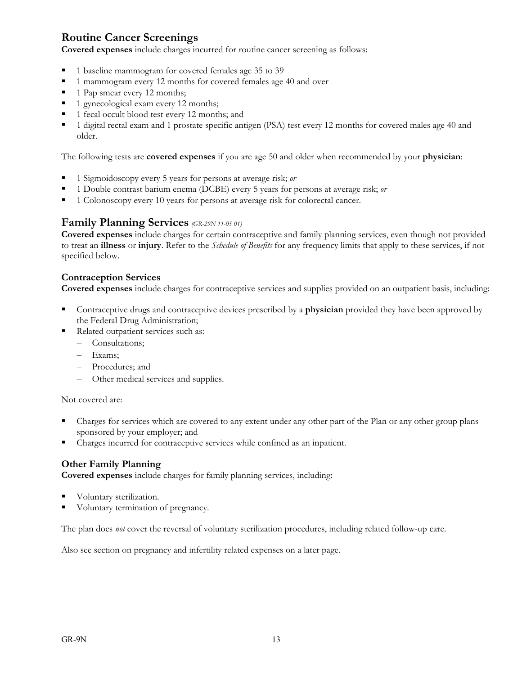#### **Routine Cancer Screenings**

**Covered expenses** include charges incurred for routine cancer screening as follows:

- 1 baseline mammogram for covered females age 35 to 39
- 1 mammogram every 12 months for covered females age 40 and over
- 1 Pap smear every 12 months;
- 1 gynecological exam every 12 months;
- 1 fecal occult blood test every 12 months; and
- 1 digital rectal exam and 1 prostate specific antigen (PSA) test every 12 months for covered males age 40 and older.

The following tests are **covered expenses** if you are age 50 and older when recommended by your **physician**:

- 1 Sigmoidoscopy every 5 years for persons at average risk; *or*
- 1 Double contrast barium enema (DCBE) every 5 years for persons at average risk; *or*
- 1 Colonoscopy every 10 years for persons at average risk for colorectal cancer.

#### **Family Planning Services** *(GR-29N 11-05 01)*

**Covered expenses** include charges for certain contraceptive and family planning services, even though not provided to treat an **illness** or **injury**. Refer to the *Schedule of Benefits* for any frequency limits that apply to these services, if not specified below.

#### **Contraception Services**

**Covered expenses** include charges for contraceptive services and supplies provided on an outpatient basis, including:

- Contraceptive drugs and contraceptive devices prescribed by a **physician** provided they have been approved by the Federal Drug Administration;
- Related outpatient services such as:
	- Consultations;
	- Exams;
	- Procedures; and
	- Other medical services and supplies.

Not covered are:

- Charges for services which are covered to any extent under any other part of the Plan or any other group plans sponsored by your employer; and
- Charges incurred for contraceptive services while confined as an inpatient.

#### **Other Family Planning**

**Covered expenses** include charges for family planning services, including:

- Voluntary sterilization.
- Voluntary termination of pregnancy.

The plan does *not* cover the reversal of voluntary sterilization procedures, including related follow-up care.

Also see section on pregnancy and infertility related expenses on a later page.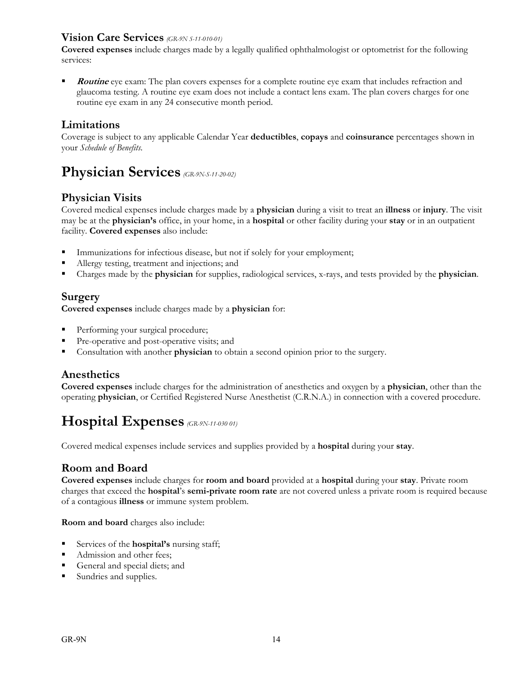#### **Vision Care Services** *(GR-9N S-11-010-01)*

**Covered expenses** include charges made by a legally qualified ophthalmologist or optometrist for the following services:

**Routine** eye exam: The plan covers expenses for a complete routine eye exam that includes refraction and glaucoma testing. A routine eye exam does not include a contact lens exam. The plan covers charges for one routine eye exam in any 24 consecutive month period.

#### **Limitations**

Coverage is subject to any applicable Calendar Year **deductibles**, **copays** and **coinsurance** percentages shown in your *Schedule of Benefits*.

### **Physician Services** *(GR-9N-S-11-20-02)*

#### **Physician Visits**

Covered medical expenses include charges made by a **physician** during a visit to treat an **illness** or **injury**. The visit may be at the **physician's** office, in your home, in a **hospital** or other facility during your **stay** or in an outpatient facility. **Covered expenses** also include:

- Immunizations for infectious disease, but not if solely for your employment;
- Allergy testing, treatment and injections; and
- Charges made by the **physician** for supplies, radiological services, x-rays, and tests provided by the **physician**.

#### **Surgery**

**Covered expenses** include charges made by a **physician** for:

- **Performing your surgical procedure;**
- Pre-operative and post-operative visits; and
- Consultation with another **physician** to obtain a second opinion prior to the surgery.

#### **Anesthetics**

**Covered expenses** include charges for the administration of anesthetics and oxygen by a **physician**, other than the operating **physician**, or Certified Registered Nurse Anesthetist (C.R.N.A.) in connection with a covered procedure.

### **Hospital Expenses** *(GR-9N-11-030 01)*

Covered medical expenses include services and supplies provided by a **hospital** during your **stay**.

#### **Room and Board**

**Covered expenses** include charges for **room and board** provided at a **hospital** during your **stay**. Private room charges that exceed the **hospital**'s **semi-private room rate** are not covered unless a private room is required because of a contagious **illness** or immune system problem.

**Room and board** charges also include:

- Services of the **hospital's** nursing staff;
- Admission and other fees;
- General and special diets; and
- Sundries and supplies.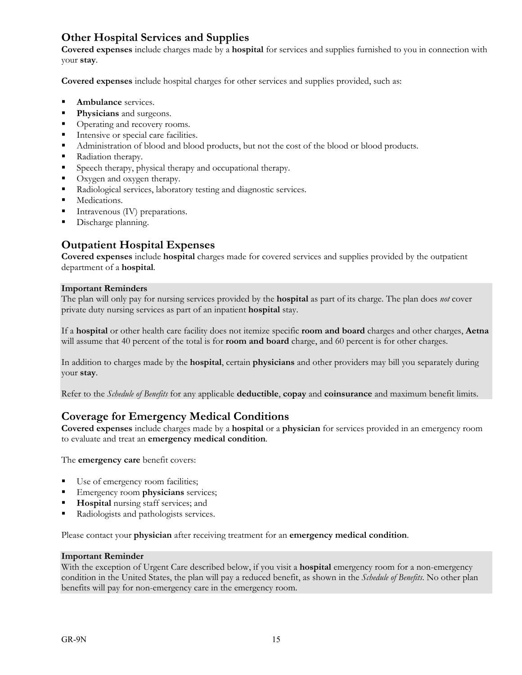#### **Other Hospital Services and Supplies**

**Covered expenses** include charges made by a **hospital** for services and supplies furnished to you in connection with your **stay**.

**Covered expenses** include hospital charges for other services and supplies provided, such as:

- **Ambulance** services.
- **Physicians** and surgeons.
- Operating and recovery rooms.
- Intensive or special care facilities.
- Administration of blood and blood products, but not the cost of the blood or blood products.
- Radiation therapy.
- Speech therapy, physical therapy and occupational therapy.
- Oxygen and oxygen therapy.
- Radiological services, laboratory testing and diagnostic services.
- **Medications.**
- Intravenous (IV) preparations.
- **Discharge planning.**

#### **Outpatient Hospital Expenses**

**Covered expenses** include **hospital** charges made for covered services and supplies provided by the outpatient department of a **hospital**.

#### **Important Reminders**

The plan will only pay for nursing services provided by the **hospital** as part of its charge. The plan does *not* cover private duty nursing services as part of an inpatient **hospital** stay.

If a **hospital** or other health care facility does not itemize specific **room and board** charges and other charges, **Aetna** will assume that 40 percent of the total is for **room and board** charge, and 60 percent is for other charges.

In addition to charges made by the **hospital**, certain **physicians** and other providers may bill you separately during your **stay**.

Refer to the *Schedule of Benefits* for any applicable **deductible**, **copay** and **coinsurance** and maximum benefit limits.

#### **Coverage for Emergency Medical Conditions**

**Covered expenses** include charges made by a **hospital** or a **physician** for services provided in an emergency room to evaluate and treat an **emergency medical condition**.

The **emergency care** benefit covers:

- Use of emergency room facilities;
- **Emergency room physicians** services;
- **Hospital** nursing staff services; and
- Radiologists and pathologists services.

Please contact your **physician** after receiving treatment for an **emergency medical condition**.

#### **Important Reminder**

With the exception of Urgent Care described below, if you visit a **hospital** emergency room for a non-emergency condition in the United States, the plan will pay a reduced benefit, as shown in the *Schedule of Benefits*. No other plan benefits will pay for non-emergency care in the emergency room.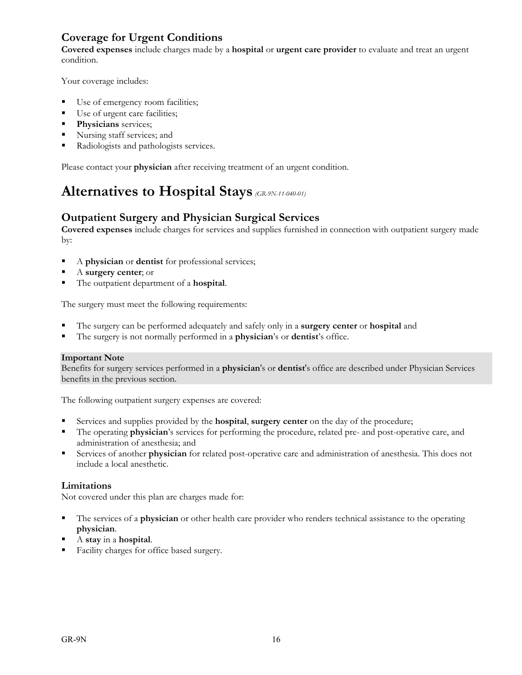#### **Coverage for Urgent Conditions**

**Covered expenses** include charges made by a **hospital** or **urgent care provider** to evaluate and treat an urgent condition.

Your coverage includes:

- Use of emergency room facilities;
- Use of urgent care facilities;
- **Physicians** services;
- Nursing staff services; and
- Radiologists and pathologists services.

Please contact your **physician** after receiving treatment of an urgent condition.

## **Alternatives to Hospital Stays** *(GR-9N-11-040-01)*

#### **Outpatient Surgery and Physician Surgical Services**

**Covered expenses** include charges for services and supplies furnished in connection with outpatient surgery made by:

- A **physician** or **dentist** for professional services;
- A **surgery center**; or
- The outpatient department of a **hospital**.

The surgery must meet the following requirements:

- The surgery can be performed adequately and safely only in a **surgery center** or **hospital** and
- The surgery is not normally performed in a **physician**'s or **dentist**'s office.

#### **Important Note**

Benefits for surgery services performed in a **physician**'s or **dentist**'s office are described under Physician Services benefits in the previous section.

The following outpatient surgery expenses are covered:

- Services and supplies provided by the **hospital**, **surgery center** on the day of the procedure;
- The operating **physician**'s services for performing the procedure, related pre- and post-operative care, and administration of anesthesia; and
- Services of another **physician** for related post-operative care and administration of anesthesia. This does not include a local anesthetic.

#### **Limitations**

Not covered under this plan are charges made for:

- The services of a **physician** or other health care provider who renders technical assistance to the operating **physician**.
- A **stay** in a **hospital**.
- Facility charges for office based surgery.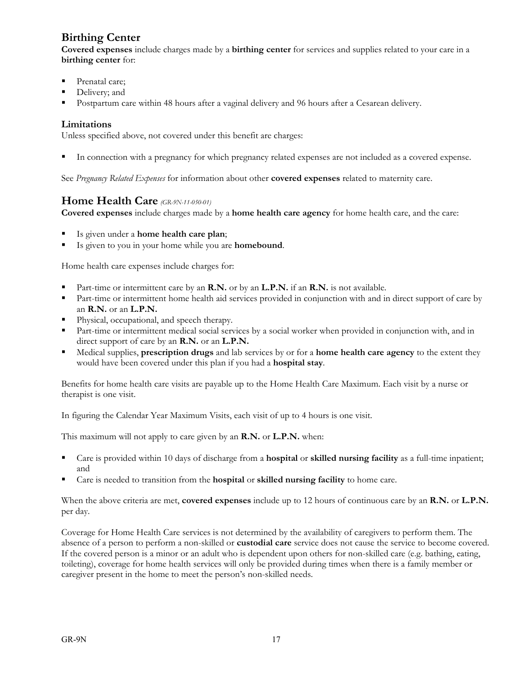### **Birthing Center**

**Covered expenses** include charges made by a **birthing center** for services and supplies related to your care in a **birthing center** for:

- Prenatal care;
- Delivery; and
- Postpartum care within 48 hours after a vaginal delivery and 96 hours after a Cesarean delivery.

#### **Limitations**

Unless specified above, not covered under this benefit are charges:

In connection with a pregnancy for which pregnancy related expenses are not included as a covered expense.

See *Pregnancy Related Expenses* for information about other **covered expenses** related to maternity care.

#### **Home Health Care** *(GR-9N-11-050-01)*

**Covered expenses** include charges made by a **home health care agency** for home health care, and the care:

- Is given under a **home health care plan**;
- Is given to you in your home while you are **homebound**.

Home health care expenses include charges for:

- Part-time or intermittent care by an **R.N.** or by an **L.P.N.** if an **R.N.** is not available.
- Part-time or intermittent home health aid services provided in conjunction with and in direct support of care by an **R.N.** or an **L.P.N.**
- Physical, occupational, and speech therapy.
- Part-time or intermittent medical social services by a social worker when provided in conjunction with, and in direct support of care by an **R.N.** or an **L.P.N.**
- Medical supplies, **prescription drugs** and lab services by or for a **home health care agency** to the extent they would have been covered under this plan if you had a **hospital stay**.

Benefits for home health care visits are payable up to the Home Health Care Maximum. Each visit by a nurse or therapist is one visit.

In figuring the Calendar Year Maximum Visits, each visit of up to 4 hours is one visit.

This maximum will not apply to care given by an **R.N.** or **L.P.N.** when:

- Care is provided within 10 days of discharge from a **hospital** or **skilled nursing facility** as a full-time inpatient; and
- Care is needed to transition from the **hospital** or **skilled nursing facility** to home care.

When the above criteria are met, **covered expenses** include up to 12 hours of continuous care by an **R.N.** or **L.P.N.** per day.

Coverage for Home Health Care services is not determined by the availability of caregivers to perform them. The absence of a person to perform a non-skilled or **custodial care** service does not cause the service to become covered. If the covered person is a minor or an adult who is dependent upon others for non-skilled care (e.g. bathing, eating, toileting), coverage for home health services will only be provided during times when there is a family member or caregiver present in the home to meet the person's non-skilled needs.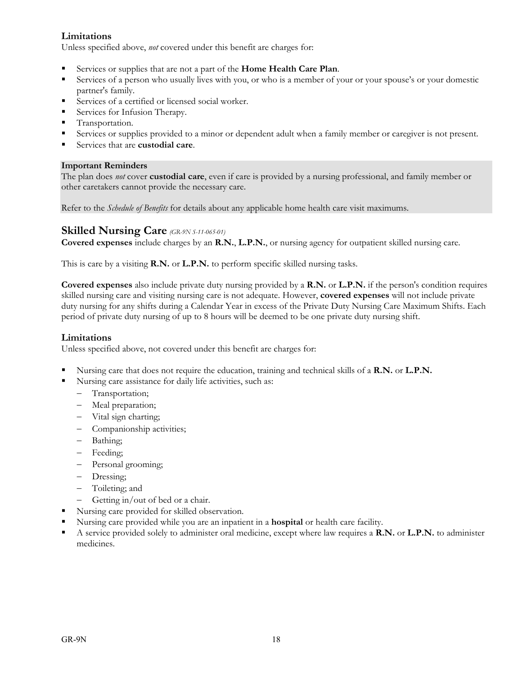#### **Limitations**

Unless specified above, *not* covered under this benefit are charges for:

- Services or supplies that are not a part of the **Home Health Care Plan**.
- Services of a person who usually lives with you, or who is a member of your or your spouse's or your domestic partner's family.
- Services of a certified or licensed social worker.
- Services for Infusion Therapy.
- **Transportation.**
- Services or supplies provided to a minor or dependent adult when a family member or caregiver is not present.
- Services that are **custodial care**.

#### **Important Reminders**

The plan does *not* cover **custodial care**, even if care is provided by a nursing professional, and family member or other caretakers cannot provide the necessary care.

Refer to the *Schedule of Benefits* for details about any applicable home health care visit maximums.

#### **Skilled Nursing Care** *(GR-9N S-11-065-01)*

**Covered expenses** include charges by an **R.N.**, **L.P.N.**, or nursing agency for outpatient skilled nursing care.

This is care by a visiting **R.N.** or **L.P.N.** to perform specific skilled nursing tasks.

**Covered expenses** also include private duty nursing provided by a **R.N.** or **L.P.N.** if the person's condition requires skilled nursing care and visiting nursing care is not adequate. However, **covered expenses** will not include private duty nursing for any shifts during a Calendar Year in excess of the Private Duty Nursing Care Maximum Shifts. Each period of private duty nursing of up to 8 hours will be deemed to be one private duty nursing shift.

#### **Limitations**

Unless specified above, not covered under this benefit are charges for:

- Nursing care that does not require the education, training and technical skills of a **R.N.** or **L.P.N.**
- Nursing care assistance for daily life activities, such as:
	- Transportation;
	- Meal preparation;
	- Vital sign charting;
	- Companionship activities;
	- Bathing;
	- Feeding;
	- Personal grooming;
	- Dressing;
	- Toileting; and
	- Getting in/out of bed or a chair.
- Nursing care provided for skilled observation.
- Nursing care provided while you are an inpatient in a **hospital** or health care facility.
- A service provided solely to administer oral medicine, except where law requires a **R.N.** or **L.P.N.** to administer medicines.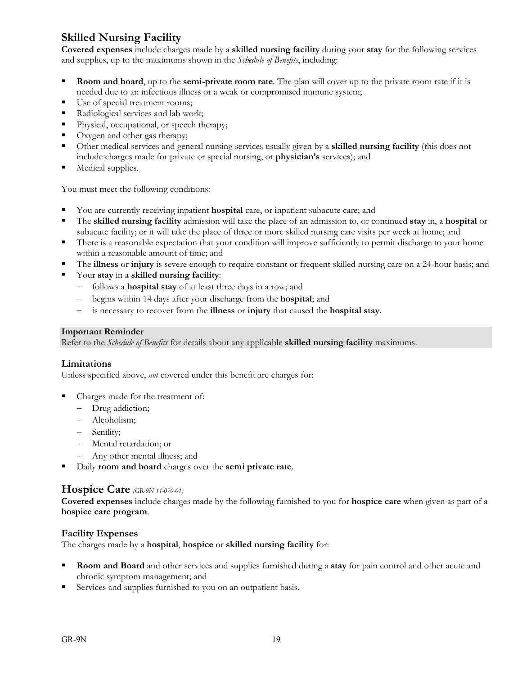### **Skilled Nursing Facility**

**Covered expenses** include charges made by a **skilled nursing facility** during your **stay** for the following services and supplies, up to the maximums shown in the *Schedule of Benefits*, including:

- **Room and board**, up to the **semi-private room rate**. The plan will cover up to the private room rate if it is needed due to an infectious illness or a weak or compromised immune system;
- Use of special treatment rooms;
- Radiological services and lab work;
- Physical, occupational, or speech therapy;
- Oxygen and other gas therapy;
- Other medical services and general nursing services usually given by a **skilled nursing facility** (this does not include charges made for private or special nursing, or **physician's** services); and
- Medical supplies.

You must meet the following conditions:

- You are currently receiving inpatient **hospital** care, or inpatient subacute care; and
- The **skilled nursing facility** admission will take the place of an admission to, or continued **stay** in, a **hospital** or subacute facility; or it will take the place of three or more skilled nursing care visits per week at home; and
- There is a reasonable expectation that your condition will improve sufficiently to permit discharge to your home within a reasonable amount of time; and
- The **illness** or **injury** is severe enough to require constant or frequent skilled nursing care on a 24-hour basis; and
- Your **stay** in a **skilled nursing facility**:
	- follows a **hospital stay** of at least three days in a row; and
	- begins within 14 days after your discharge from the **hospital**; and
	- is necessary to recover from the **illness** or **injury** that caused the **hospital stay**.

#### **Important Reminder**

Refer to the *Schedule of Benefits* for details about any applicable **skilled nursing facility** maximums.

#### **Limitations**

Unless specified above, *not* covered under this benefit are charges for:

- Charges made for the treatment of:
	- Drug addiction;
	- Alcoholism;
	- Senility;
	- Mental retardation; or
	- Any other mental illness; and
- Daily **room and board** charges over the **semi private rate**.

#### **Hospice Care** *(GR-9N 11-070-01)*

**Covered expenses** include charges made by the following furnished to you for **hospice care** when given as part of a **hospice care program**.

#### **Facility Expenses**

The charges made by a **hospital**, **hospice** or **skilled nursing facility** for:

- **Room and Board** and other services and supplies furnished during a **stay** for pain control and other acute and chronic symptom management; and
- Services and supplies furnished to you on an outpatient basis.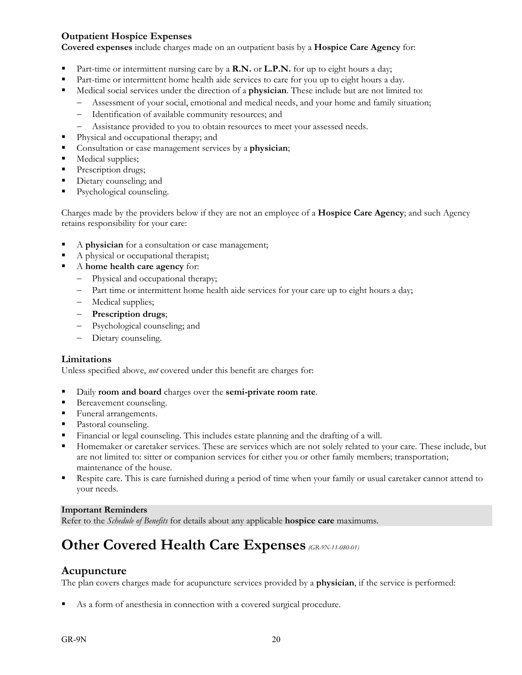#### **Outpatient Hospice Expenses**

**Covered expenses** include charges made on an outpatient basis by a **Hospice Care Agency** for:

- Part-time or intermittent nursing care by a **R.N.** or **L.P.N.** for up to eight hours a day;
- Part-time or intermittent home health aide services to care for you up to eight hours a day.
- Medical social services under the direction of a **physician**. These include but are not limited to:
	- Assessment of your social, emotional and medical needs, and your home and family situation;
	- Identification of available community resources; and
	- Assistance provided to you to obtain resources to meet your assessed needs.
- Physical and occupational therapy; and
- Consultation or case management services by a **physician**;
- **Medical supplies;**
- Prescription drugs;
- Dietary counseling; and
- Psychological counseling.

Charges made by the providers below if they are not an employee of a **Hospice Care Agency**; and such Agency retains responsibility for your care:

- A **physician** for a consultation or case management;
- A physical or occupational therapist;
- A **home health care agency** for:
	- Physical and occupational therapy;
	- Part time or intermittent home health aide services for your care up to eight hours a day;
	- Medical supplies;
	- **Prescription drugs**;
	- Psychological counseling; and
	- Dietary counseling.

#### **Limitations**

Unless specified above, *not* covered under this benefit are charges for:

- Daily **room and board** charges over the **semi-private room rate**.
- **Bereavement counseling.**
- Funeral arrangements.
- Pastoral counseling.
- Financial or legal counseling. This includes estate planning and the drafting of a will.
- Homemaker or caretaker services. These are services which are not solely related to your care. These include, but are not limited to: sitter or companion services for either you or other family members; transportation; maintenance of the house.
- Respite care. This is care furnished during a period of time when your family or usual caretaker cannot attend to your needs.

#### **Important Reminders**

Refer to the *Schedule of Benefits* for details about any applicable **hospice care** maximums.

### **Other Covered Health Care Expenses** *(GR-9N-11-080-01)*

#### **Acupuncture**

The plan covers charges made for acupuncture services provided by a **physician**, if the service is performed:

As a form of anesthesia in connection with a covered surgical procedure.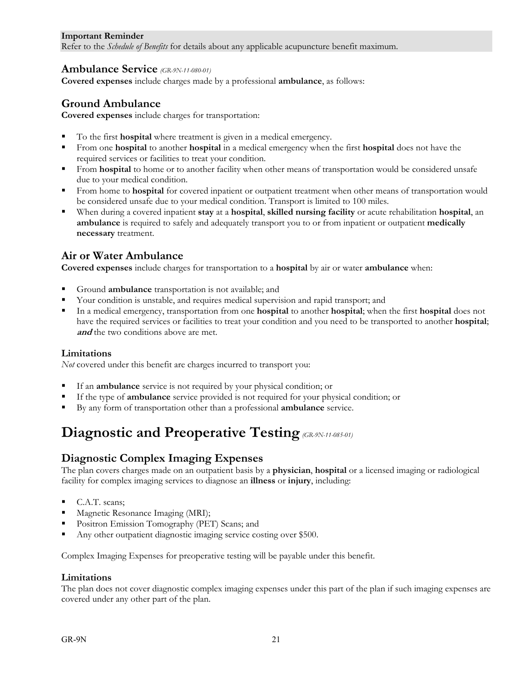#### **Important Reminder**

Refer to the *Schedule of Benefits* for details about any applicable acupuncture benefit maximum.

#### **Ambulance Service** *(GR-9N-11-080-01)*

**Covered expenses** include charges made by a professional **ambulance**, as follows:

#### **Ground Ambulance**

**Covered expenses** include charges for transportation:

- To the first **hospital** where treatment is given in a medical emergency.
- From one **hospital** to another **hospital** in a medical emergency when the first **hospital** does not have the required services or facilities to treat your condition.
- From **hospital** to home or to another facility when other means of transportation would be considered unsafe due to your medical condition.
- From home to **hospital** for covered inpatient or outpatient treatment when other means of transportation would be considered unsafe due to your medical condition. Transport is limited to 100 miles.
- When during a covered inpatient **stay** at a **hospital**, **skilled nursing facility** or acute rehabilitation **hospital**, an **ambulance** is required to safely and adequately transport you to or from inpatient or outpatient **medically necessary** treatment.

#### **Air or Water Ambulance**

**Covered expenses** include charges for transportation to a **hospital** by air or water **ambulance** when:

- Ground **ambulance** transportation is not available; and
- Your condition is unstable, and requires medical supervision and rapid transport; and
- In a medical emergency, transportation from one **hospital** to another **hospital**; when the first **hospital** does not have the required services or facilities to treat your condition and you need to be transported to another **hospital**; and the two conditions above are met.

#### **Limitations**

*Not* covered under this benefit are charges incurred to transport you:

- If an **ambulance** service is not required by your physical condition; or
- If the type of **ambulance** service provided is not required for your physical condition; or
- By any form of transportation other than a professional **ambulance** service.

### **Diagnostic and Preoperative Testing** *(GR-9N-11-085-01)*

#### **Diagnostic Complex Imaging Expenses**

The plan covers charges made on an outpatient basis by a **physician**, **hospital** or a licensed imaging or radiological facility for complex imaging services to diagnose an **illness** or **injury**, including:

- C.A.T. scans;
- **Magnetic Resonance Imaging (MRI);**
- Positron Emission Tomography (PET) Scans; and
- Any other outpatient diagnostic imaging service costing over \$500.

Complex Imaging Expenses for preoperative testing will be payable under this benefit.

#### **Limitations**

The plan does not cover diagnostic complex imaging expenses under this part of the plan if such imaging expenses are covered under any other part of the plan.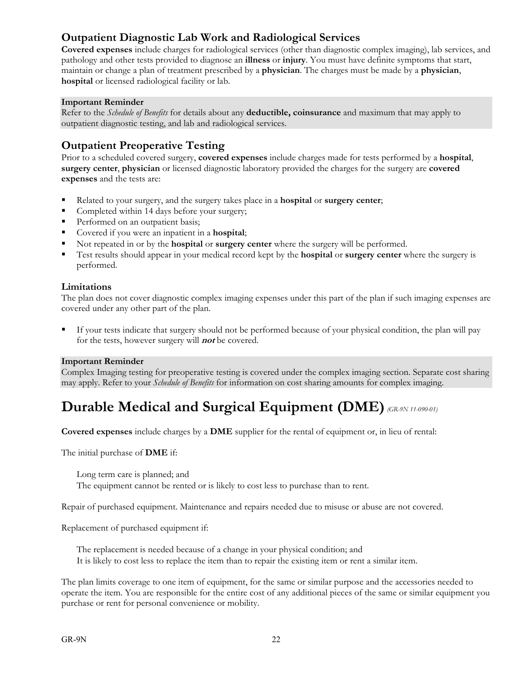#### **Outpatient Diagnostic Lab Work and Radiological Services**

**Covered expenses** include charges for radiological services (other than diagnostic complex imaging), lab services, and pathology and other tests provided to diagnose an **illness** or **injury**. You must have definite symptoms that start, maintain or change a plan of treatment prescribed by a **physician**. The charges must be made by a **physician**, **hospital** or licensed radiological facility or lab.

#### **Important Reminder**

Refer to the *Schedule of Benefits* for details about any **deductible, coinsurance** and maximum that may apply to outpatient diagnostic testing, and lab and radiological services.

#### **Outpatient Preoperative Testing**

Prior to a scheduled covered surgery, **covered expenses** include charges made for tests performed by a **hospital**, **surgery center**, **physician** or licensed diagnostic laboratory provided the charges for the surgery are **covered expenses** and the tests are:

- Related to your surgery, and the surgery takes place in a **hospital** or **surgery center**;
- Completed within 14 days before your surgery;
- Performed on an outpatient basis;
- Covered if you were an inpatient in a **hospital**;
- Not repeated in or by the **hospital** or **surgery center** where the surgery will be performed.
- Test results should appear in your medical record kept by the **hospital** or **surgery center** where the surgery is performed.

#### **Limitations**

The plan does not cover diagnostic complex imaging expenses under this part of the plan if such imaging expenses are covered under any other part of the plan.

 If your tests indicate that surgery should not be performed because of your physical condition, the plan will pay for the tests, however surgery will **not** be covered.

#### **Important Reminder**

Complex Imaging testing for preoperative testing is covered under the complex imaging section. Separate cost sharing may apply. Refer to your *Schedule of Benefits* for information on cost sharing amounts for complex imaging.

### **Durable Medical and Surgical Equipment (DME)***(GR-9N 11-090-01)*

**Covered expenses** include charges by a **DME** supplier for the rental of equipment or, in lieu of rental:

The initial purchase of **DME** if:

 Long term care is planned; and The equipment cannot be rented or is likely to cost less to purchase than to rent.

Repair of purchased equipment. Maintenance and repairs needed due to misuse or abuse are not covered.

Replacement of purchased equipment if:

 The replacement is needed because of a change in your physical condition; and It is likely to cost less to replace the item than to repair the existing item or rent a similar item.

The plan limits coverage to one item of equipment, for the same or similar purpose and the accessories needed to operate the item. You are responsible for the entire cost of any additional pieces of the same or similar equipment you purchase or rent for personal convenience or mobility.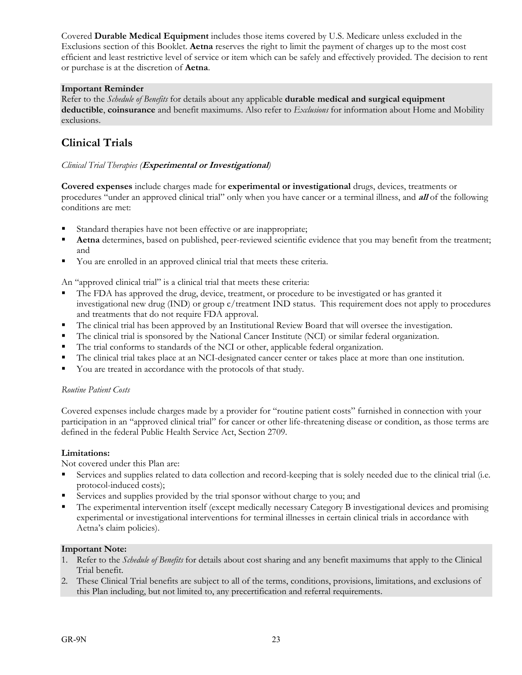Covered **Durable Medical Equipment** includes those items covered by U.S. Medicare unless excluded in the Exclusions section of this Booklet. **Aetna** reserves the right to limit the payment of charges up to the most cost efficient and least restrictive level of service or item which can be safely and effectively provided. The decision to rent or purchase is at the discretion of **Aetna**.

#### **Important Reminder**

Refer to the *Schedule of Benefits* for details about any applicable **durable medical and surgical equipment deductible**, **coinsurance** and benefit maximums. Also refer to *Exclusions* for information about Home and Mobility exclusions.

#### **Clinical Trials**

#### *Clinical Trial Therapies (***Experimental or Investigational***)*

**Covered expenses** include charges made for **experimental or investigational** drugs, devices, treatments or procedures "under an approved clinical trial" only when you have cancer or a terminal illness, and **all** of the following conditions are met:

- Standard therapies have not been effective or are inappropriate;
- **Aetna** determines, based on published, peer-reviewed scientific evidence that you may benefit from the treatment; and
- You are enrolled in an approved clinical trial that meets these criteria.

An "approved clinical trial" is a clinical trial that meets these criteria:

- The FDA has approved the drug, device, treatment, or procedure to be investigated or has granted it investigational new drug (IND) or group c/treatment IND status. This requirement does not apply to procedures and treatments that do not require FDA approval.
- The clinical trial has been approved by an Institutional Review Board that will oversee the investigation.
- The clinical trial is sponsored by the National Cancer Institute (NCI) or similar federal organization.
- The trial conforms to standards of the NCI or other, applicable federal organization.
- The clinical trial takes place at an NCI-designated cancer center or takes place at more than one institution.
- You are treated in accordance with the protocols of that study.

#### *Routine Patient Costs*

Covered expenses include charges made by a provider for "routine patient costs" furnished in connection with your participation in an "approved clinical trial" for cancer or other life-threatening disease or condition, as those terms are defined in the federal Public Health Service Act, Section 2709.

#### **Limitations:**

Not covered under this Plan are:

- Services and supplies related to data collection and record-keeping that is solely needed due to the clinical trial (i.e. protocol-induced costs);
- Services and supplies provided by the trial sponsor without charge to you; and
- The experimental intervention itself (except medically necessary Category B investigational devices and promising experimental or investigational interventions for terminal illnesses in certain clinical trials in accordance with Aetna's claim policies).

#### **Important Note:**

- 1. Refer to the *Schedule of Benefits* for details about cost sharing and any benefit maximums that apply to the Clinical Trial benefit.
- 2. These Clinical Trial benefits are subject to all of the terms, conditions, provisions, limitations, and exclusions of this Plan including, but not limited to, any precertification and referral requirements.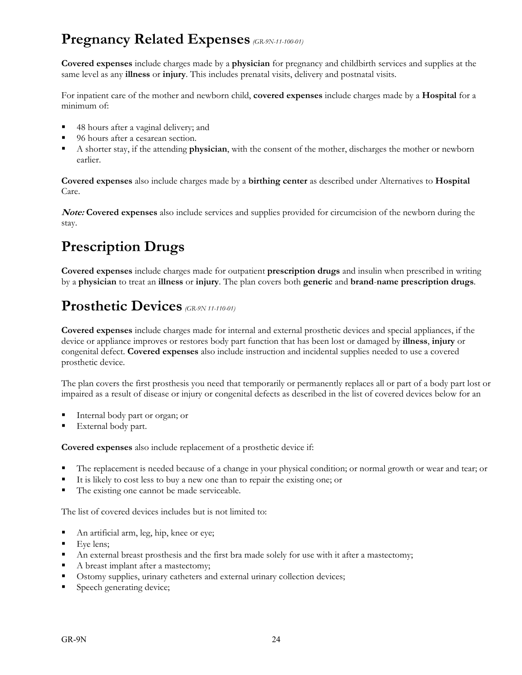### **Pregnancy Related Expenses** *(GR-9N-11-100-01)*

**Covered expenses** include charges made by a **physician** for pregnancy and childbirth services and supplies at the same level as any **illness** or **injury**. This includes prenatal visits, delivery and postnatal visits.

For inpatient care of the mother and newborn child, **covered expenses** include charges made by a **Hospital** for a minimum of:

- 48 hours after a vaginal delivery; and
- 96 hours after a cesarean section.
- A shorter stay, if the attending **physician**, with the consent of the mother, discharges the mother or newborn earlier.

**Covered expenses** also include charges made by a **birthing center** as described under Alternatives to **Hospital** Care.

**Note: Covered expenses** also include services and supplies provided for circumcision of the newborn during the stay.

### **Prescription Drugs**

**Covered expenses** include charges made for outpatient **prescription drugs** and insulin when prescribed in writing by a **physician** to treat an **illness** or **injury**. The plan covers both **generic** and **brand**-**name prescription drugs**.

### **Prosthetic Devices** *(GR-9N 11-110-01)*

**Covered expenses** include charges made for internal and external prosthetic devices and special appliances, if the device or appliance improves or restores body part function that has been lost or damaged by **illness**, **injury** or congenital defect. **Covered expenses** also include instruction and incidental supplies needed to use a covered prosthetic device.

The plan covers the first prosthesis you need that temporarily or permanently replaces all or part of a body part lost or impaired as a result of disease or injury or congenital defects as described in the list of covered devices below for an

- Internal body part or organ; or
- External body part.

**Covered expenses** also include replacement of a prosthetic device if:

- The replacement is needed because of a change in your physical condition; or normal growth or wear and tear; or
- It is likely to cost less to buy a new one than to repair the existing one; or
- The existing one cannot be made serviceable.

The list of covered devices includes but is not limited to:

- An artificial arm, leg, hip, knee or eye;
- $Eye lens;$
- An external breast prosthesis and the first bra made solely for use with it after a mastectomy;
- A breast implant after a mastectomy;
- Ostomy supplies, urinary catheters and external urinary collection devices;
- Speech generating device;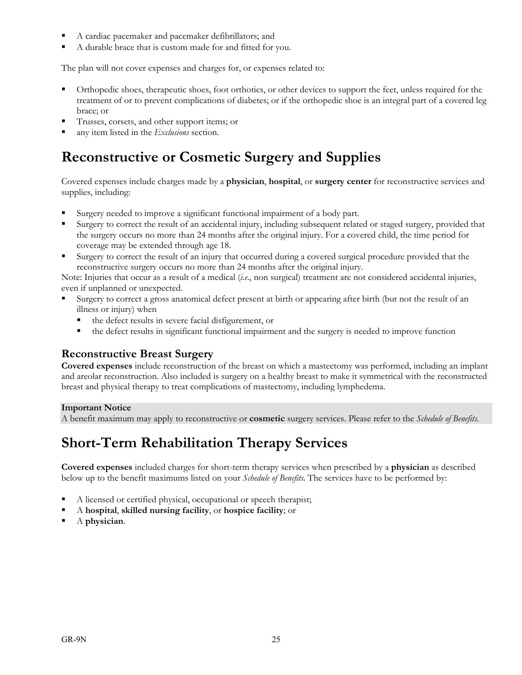- A cardiac pacemaker and pacemaker defibrillators; and
- A durable brace that is custom made for and fitted for you.

The plan will not cover expenses and charges for, or expenses related to:

- Orthopedic shoes, therapeutic shoes, foot orthotics, or other devices to support the feet, unless required for the treatment of or to prevent complications of diabetes; or if the orthopedic shoe is an integral part of a covered leg brace; or
- Trusses, corsets, and other support items; or
- any item listed in the *Exclusions* section.

### **Reconstructive or Cosmetic Surgery and Supplies**

Covered expenses include charges made by a **physician**, **hospital**, or **surgery center** for reconstructive services and supplies, including:

- Surgery needed to improve a significant functional impairment of a body part.
- Surgery to correct the result of an accidental injury, including subsequent related or staged surgery, provided that the surgery occurs no more than 24 months after the original injury. For a covered child, the time period for coverage may be extended through age 18.
- Surgery to correct the result of an injury that occurred during a covered surgical procedure provided that the reconstructive surgery occurs no more than 24 months after the original injury.

Note: Injuries that occur as a result of a medical (*i.e*., non surgical) treatment are not considered accidental injuries, even if unplanned or unexpected.

- Surgery to correct a gross anatomical defect present at birth or appearing after birth (but not the result of an illness or injury) when
	- the defect results in severe facial disfigurement, or
	- the defect results in significant functional impairment and the surgery is needed to improve function

#### **Reconstructive Breast Surgery**

**Covered expenses** include reconstruction of the breast on which a mastectomy was performed, including an implant and areolar reconstruction. Also included is surgery on a healthy breast to make it symmetrical with the reconstructed breast and physical therapy to treat complications of mastectomy, including lymphedema.

#### **Important Notice**

A benefit maximum may apply to reconstructive or **cosmetic** surgery services. Please refer to the *Schedule of Benefits.*

### **Short-Term Rehabilitation Therapy Services**

**Covered expenses** included charges for short-term therapy services when prescribed by a **physician** as described below up to the benefit maximums listed on your *Schedule of Benefits*. The services have to be performed by:

- A licensed or certified physical, occupational or speech therapist;
- A **hospital**, **skilled nursing facility**, or **hospice facility**; or
- A **physician**.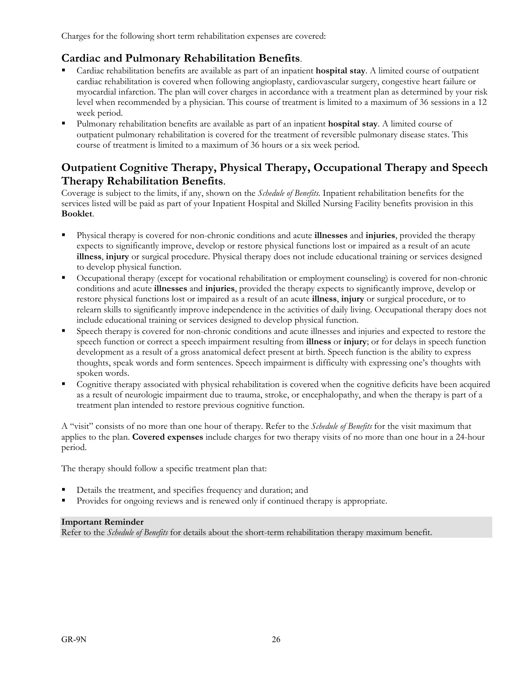Charges for the following short term rehabilitation expenses are covered:

#### **Cardiac and Pulmonary Rehabilitation Benefits**.

- Cardiac rehabilitation benefits are available as part of an inpatient **hospital stay**. A limited course of outpatient cardiac rehabilitation is covered when following angioplasty, cardiovascular surgery, congestive heart failure or myocardial infarction. The plan will cover charges in accordance with a treatment plan as determined by your risk level when recommended by a physician. This course of treatment is limited to a maximum of 36 sessions in a 12 week period.
- Pulmonary rehabilitation benefits are available as part of an inpatient **hospital stay**. A limited course of outpatient pulmonary rehabilitation is covered for the treatment of reversible pulmonary disease states. This course of treatment is limited to a maximum of 36 hours or a six week period.

#### **Outpatient Cognitive Therapy, Physical Therapy, Occupational Therapy and Speech Therapy Rehabilitation Benefits**.

Coverage is subject to the limits, if any, shown on the *Schedule of Benefits*. Inpatient rehabilitation benefits for the services listed will be paid as part of your Inpatient Hospital and Skilled Nursing Facility benefits provision in this **Booklet**.

- Physical therapy is covered for non-chronic conditions and acute **illnesses** and **injuries**, provided the therapy expects to significantly improve, develop or restore physical functions lost or impaired as a result of an acute **illness**, **injury** or surgical procedure. Physical therapy does not include educational training or services designed to develop physical function.
- Occupational therapy (except for vocational rehabilitation or employment counseling) is covered for non-chronic conditions and acute **illnesses** and **injuries**, provided the therapy expects to significantly improve, develop or restore physical functions lost or impaired as a result of an acute **illness**, **injury** or surgical procedure, or to relearn skills to significantly improve independence in the activities of daily living. Occupational therapy does not include educational training or services designed to develop physical function.
- Speech therapy is covered for non-chronic conditions and acute illnesses and injuries and expected to restore the speech function or correct a speech impairment resulting from **illness** or **injury**; or for delays in speech function development as a result of a gross anatomical defect present at birth. Speech function is the ability to express thoughts, speak words and form sentences. Speech impairment is difficulty with expressing one's thoughts with spoken words.
- Cognitive therapy associated with physical rehabilitation is covered when the cognitive deficits have been acquired as a result of neurologic impairment due to trauma, stroke, or encephalopathy, and when the therapy is part of a treatment plan intended to restore previous cognitive function.

A "visit" consists of no more than one hour of therapy. Refer to the *Schedule of Benefits* for the visit maximum that applies to the plan. **Covered expenses** include charges for two therapy visits of no more than one hour in a 24-hour period.

The therapy should follow a specific treatment plan that:

- Details the treatment, and specifies frequency and duration; and
- Provides for ongoing reviews and is renewed only if continued therapy is appropriate.

#### **Important Reminder**

Refer to the *Schedule of Benefits* for details about the short-term rehabilitation therapy maximum benefit.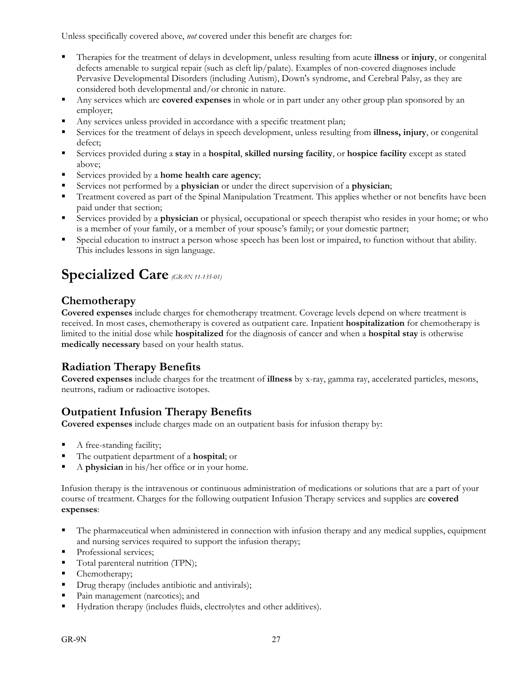Unless specifically covered above, *not* covered under this benefit are charges for:

- Therapies for the treatment of delays in development, unless resulting from acute **illness** or **injury**, or congenital defects amenable to surgical repair (such as cleft lip/palate). Examples of non-covered diagnoses include Pervasive Developmental Disorders (including Autism), Down's syndrome, and Cerebral Palsy, as they are considered both developmental and/or chronic in nature.
- Any services which are **covered expenses** in whole or in part under any other group plan sponsored by an employer;
- Any services unless provided in accordance with a specific treatment plan;
- Services for the treatment of delays in speech development, unless resulting from **illness, injury**, or congenital defect;
- Services provided during a **stay** in a **hospital**, **skilled nursing facility**, or **hospice facility** except as stated above;
- Services provided by a **home health care agency**;
- Services not performed by a **physician** or under the direct supervision of a **physician**;
- Treatment covered as part of the Spinal Manipulation Treatment. This applies whether or not benefits have been paid under that section;
- Services provided by a **physician** or physical, occupational or speech therapist who resides in your home; or who is a member of your family, or a member of your spouse's family; or your domestic partner;
- Special education to instruct a person whose speech has been lost or impaired, to function without that ability. This includes lessons in sign language.

### **Specialized Care** *(GR-9N 11-135-01)*

#### **Chemotherapy**

**Covered expenses** include charges for chemotherapy treatment. Coverage levels depend on where treatment is received. In most cases, chemotherapy is covered as outpatient care. Inpatient **hospitalization** for chemotherapy is limited to the initial dose while **hospitalized** for the diagnosis of cancer and when a **hospital stay** is otherwise **medically necessary** based on your health status.

#### **Radiation Therapy Benefits**

**Covered expenses** include charges for the treatment of **illness** by x-ray, gamma ray, accelerated particles, mesons, neutrons, radium or radioactive isotopes.

#### **Outpatient Infusion Therapy Benefits**

**Covered expenses** include charges made on an outpatient basis for infusion therapy by:

- A free-standing facility;
- The outpatient department of a **hospital**; or
- A **physician** in his/her office or in your home.

Infusion therapy is the intravenous or continuous administration of medications or solutions that are a part of your course of treatment. Charges for the following outpatient Infusion Therapy services and supplies are **covered expenses**:

- The pharmaceutical when administered in connection with infusion therapy and any medical supplies, equipment and nursing services required to support the infusion therapy;
- Professional services;
- Total parenteral nutrition (TPN);
- Chemotherapy;
- Drug therapy (includes antibiotic and antivirals);
- Pain management (narcotics); and
- Hydration therapy (includes fluids, electrolytes and other additives).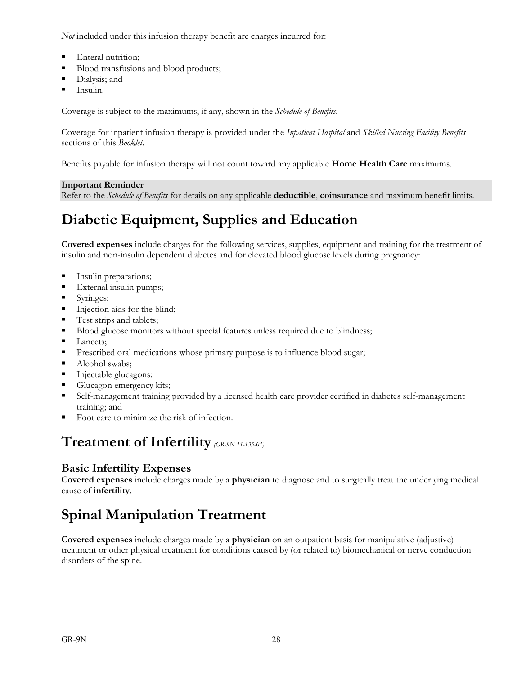*Not* included under this infusion therapy benefit are charges incurred for:

- Enteral nutrition;
- Blood transfusions and blood products;
- **Dialysis**; and
- Insulin.

Coverage is subject to the maximums, if any, shown in the *Schedule of Benefits*.

Coverage for inpatient infusion therapy is provided under the *Inpatient Hospital* and *Skilled Nursing Facility Benefits* sections of this *Booklet*.

Benefits payable for infusion therapy will not count toward any applicable **Home Health Care** maximums.

#### **Important Reminder**

Refer to the *Schedule of Benefits* for details on any applicable **deductible**, **coinsurance** and maximum benefit limits.

### **Diabetic Equipment, Supplies and Education**

**Covered expenses** include charges for the following services, supplies, equipment and training for the treatment of insulin and non-insulin dependent diabetes and for elevated blood glucose levels during pregnancy:

- **Insulin preparations;**
- **External insulin pumps;**
- Syringes;
- Injection aids for the blind;
- Test strips and tablets;
- Blood glucose monitors without special features unless required due to blindness;
- Lancets;
- **Prescribed oral medications whose primary purpose is to influence blood sugar;**
- Alcohol swabs;
- **Injectable glucagons;**
- Glucagon emergency kits;
- Self-management training provided by a licensed health care provider certified in diabetes self-management training; and
- Foot care to minimize the risk of infection.

### **Treatment of Infertility** *(GR-9N 11-135-01)*

#### **Basic Infertility Expenses**

**Covered expenses** include charges made by a **physician** to diagnose and to surgically treat the underlying medical cause of **infertility**.

### **Spinal Manipulation Treatment**

**Covered expenses** include charges made by a **physician** on an outpatient basis for manipulative (adjustive) treatment or other physical treatment for conditions caused by (or related to) biomechanical or nerve conduction disorders of the spine.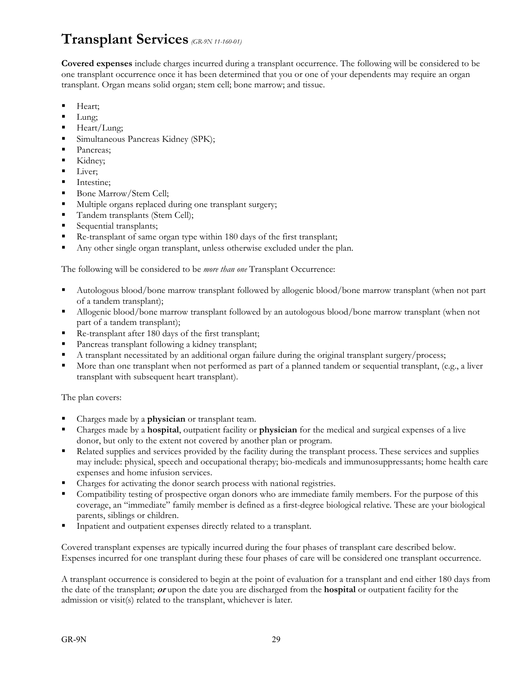### **Transplant Services** *(GR-9N 11-160-01)*

**Covered expenses** include charges incurred during a transplant occurrence. The following will be considered to be one transplant occurrence once it has been determined that you or one of your dependents may require an organ transplant. Organ means solid organ; stem cell; bone marrow; and tissue.

- Heart;
- **Lung**;
- $Heart/Lung;$
- **Simultaneous Pancreas Kidney (SPK);**
- Pancreas;
- Kidney;
- **Liver**;
- **Intestine:**
- Bone Marrow/Stem Cell;
- Multiple organs replaced during one transplant surgery;
- Tandem transplants (Stem Cell);
- Sequential transplants;
- Re-transplant of same organ type within 180 days of the first transplant;
- Any other single organ transplant, unless otherwise excluded under the plan.

The following will be considered to be *more than one* Transplant Occurrence:

- Autologous blood/bone marrow transplant followed by allogenic blood/bone marrow transplant (when not part of a tandem transplant);
- Allogenic blood/bone marrow transplant followed by an autologous blood/bone marrow transplant (when not part of a tandem transplant);
- Re-transplant after 180 days of the first transplant;
- Pancreas transplant following a kidney transplant;
- A transplant necessitated by an additional organ failure during the original transplant surgery/process;
- More than one transplant when not performed as part of a planned tandem or sequential transplant, (e.g., a liver transplant with subsequent heart transplant).

The plan covers:

- Charges made by a **physician** or transplant team.
- Charges made by a **hospital**, outpatient facility or **physician** for the medical and surgical expenses of a live donor, but only to the extent not covered by another plan or program.
- Related supplies and services provided by the facility during the transplant process. These services and supplies may include: physical, speech and occupational therapy; bio-medicals and immunosuppressants; home health care expenses and home infusion services.
- Charges for activating the donor search process with national registries.
- Compatibility testing of prospective organ donors who are immediate family members. For the purpose of this coverage, an "immediate" family member is defined as a first-degree biological relative. These are your biological parents, siblings or children.
- Inpatient and outpatient expenses directly related to a transplant.

Covered transplant expenses are typically incurred during the four phases of transplant care described below. Expenses incurred for one transplant during these four phases of care will be considered one transplant occurrence.

A transplant occurrence is considered to begin at the point of evaluation for a transplant and end either 180 days from the date of the transplant; **or** upon the date you are discharged from the **hospital** or outpatient facility for the admission or visit(s) related to the transplant, whichever is later.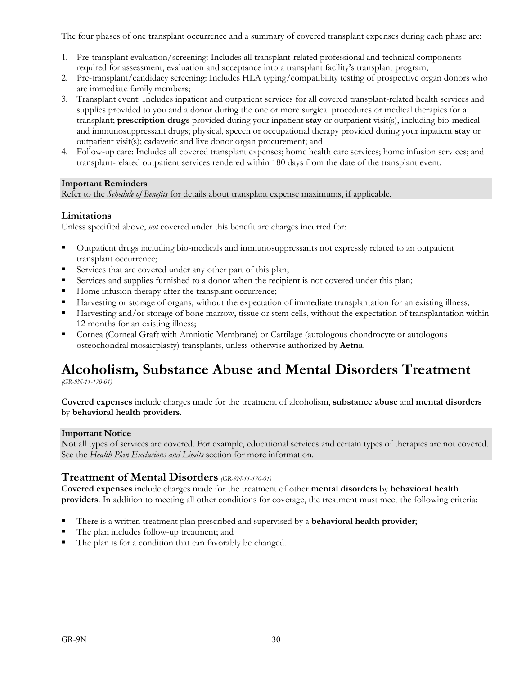The four phases of one transplant occurrence and a summary of covered transplant expenses during each phase are:

- 1. Pre-transplant evaluation/screening: Includes all transplant-related professional and technical components required for assessment, evaluation and acceptance into a transplant facility's transplant program;
- 2. Pre-transplant/candidacy screening: Includes HLA typing/compatibility testing of prospective organ donors who are immediate family members;
- 3. Transplant event: Includes inpatient and outpatient services for all covered transplant-related health services and supplies provided to you and a donor during the one or more surgical procedures or medical therapies for a transplant; **prescription drugs** provided during your inpatient **stay** or outpatient visit(s), including bio-medical and immunosuppressant drugs; physical, speech or occupational therapy provided during your inpatient **stay** or outpatient visit(s); cadaveric and live donor organ procurement; and
- 4. Follow-up care: Includes all covered transplant expenses; home health care services; home infusion services; and transplant-related outpatient services rendered within 180 days from the date of the transplant event.

#### **Important Reminders**

Refer to the *Schedule of Benefits* for details about transplant expense maximums, if applicable.

#### **Limitations**

Unless specified above, *not* covered under this benefit are charges incurred for:

- Outpatient drugs including bio-medicals and immunosuppressants not expressly related to an outpatient transplant occurrence;
- Services that are covered under any other part of this plan;
- Services and supplies furnished to a donor when the recipient is not covered under this plan;
- Home infusion therapy after the transplant occurrence;
- Harvesting or storage of organs, without the expectation of immediate transplantation for an existing illness;
- Harvesting and/or storage of bone marrow, tissue or stem cells, without the expectation of transplantation within 12 months for an existing illness;
- Cornea (Corneal Graft with Amniotic Membrane) or Cartilage (autologous chondrocyte or autologous osteochondral mosaicplasty) transplants, unless otherwise authorized by **Aetna**.

### **Alcoholism, Substance Abuse and Mental Disorders Treatment**

*(GR-9N-11-170-01)*

**Covered expenses** include charges made for the treatment of alcoholism, **substance abuse** and **mental disorders** by **behavioral health providers**.

#### **Important Notice**

Not all types of services are covered. For example, educational services and certain types of therapies are not covered. See the *Health Plan Exclusions and Limits* section for more information.

#### **Treatment of Mental Disorders** *(GR-9N-11-170-01)*

**Covered expenses** include charges made for the treatment of other **mental disorders** by **behavioral health providers**. In addition to meeting all other conditions for coverage, the treatment must meet the following criteria:

- There is a written treatment plan prescribed and supervised by a **behavioral health provider**;
- The plan includes follow-up treatment; and
- The plan is for a condition that can favorably be changed.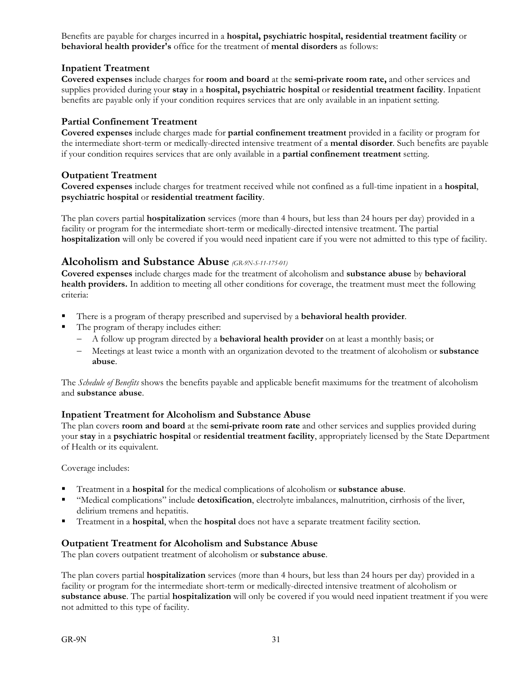Benefits are payable for charges incurred in a **hospital, psychiatric hospital, residential treatment facility** or **behavioral health provider's** office for the treatment of **mental disorders** as follows:

#### **Inpatient Treatment**

**Covered expenses** include charges for **room and board** at the **semi-private room rate,** and other services and supplies provided during your **stay** in a **hospital, psychiatric hospital** or **residential treatment facility**. Inpatient benefits are payable only if your condition requires services that are only available in an inpatient setting.

#### **Partial Confinement Treatment**

**Covered expenses** include charges made for **partial confinement treatment** provided in a facility or program for the intermediate short-term or medically-directed intensive treatment of a **mental disorder**. Such benefits are payable if your condition requires services that are only available in a **partial confinement treatment** setting.

#### **Outpatient Treatment**

**Covered expenses** include charges for treatment received while not confined as a full-time inpatient in a **hospital**, **psychiatric hospital** or **residential treatment facility**.

The plan covers partial **hospitalization** services (more than 4 hours, but less than 24 hours per day) provided in a facility or program for the intermediate short-term or medically-directed intensive treatment. The partial **hospitalization** will only be covered if you would need inpatient care if you were not admitted to this type of facility.

#### **Alcoholism and Substance Abuse** *(GR-9N-S-11-175-01)*

**Covered expenses** include charges made for the treatment of alcoholism and **substance abuse** by **behavioral health providers.** In addition to meeting all other conditions for coverage, the treatment must meet the following criteria:

- There is a program of therapy prescribed and supervised by a **behavioral health provider**.
- The program of therapy includes either:
	- A follow up program directed by a **behavioral health provider** on at least a monthly basis; or
	- Meetings at least twice a month with an organization devoted to the treatment of alcoholism or **substance abuse**.

The *Schedule of Benefits* shows the benefits payable and applicable benefit maximums for the treatment of alcoholism and **substance abuse**.

#### **Inpatient Treatment for Alcoholism and Substance Abuse**

The plan covers **room and board** at the **semi-private room rate** and other services and supplies provided during your **stay** in a **psychiatric hospital** or **residential treatment facility**, appropriately licensed by the State Department of Health or its equivalent.

Coverage includes:

- Treatment in a **hospital** for the medical complications of alcoholism or **substance abuse**.
- "Medical complications" include **detoxification**, electrolyte imbalances, malnutrition, cirrhosis of the liver, delirium tremens and hepatitis.
- Treatment in a **hospital**, when the **hospital** does not have a separate treatment facility section.

#### **Outpatient Treatment for Alcoholism and Substance Abuse**

The plan covers outpatient treatment of alcoholism or **substance abuse**.

The plan covers partial **hospitalization** services (more than 4 hours, but less than 24 hours per day) provided in a facility or program for the intermediate short-term or medically-directed intensive treatment of alcoholism or **substance abuse**. The partial **hospitalization** will only be covered if you would need inpatient treatment if you were not admitted to this type of facility.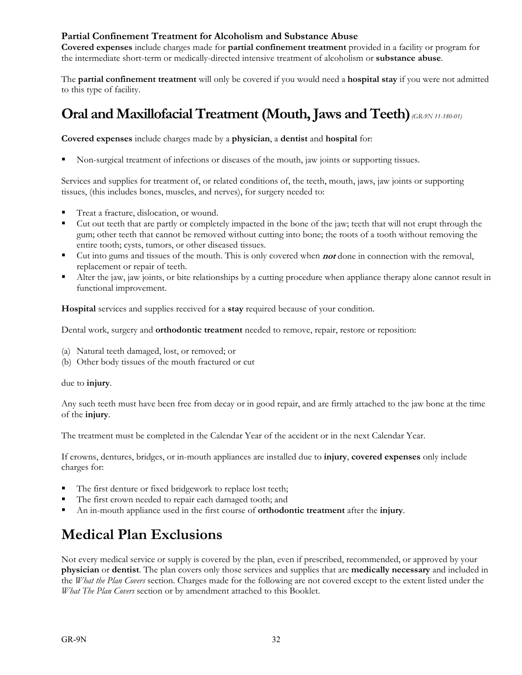#### **Partial Confinement Treatment for Alcoholism and Substance Abuse**

**Covered expenses** include charges made for **partial confinement treatment** provided in a facility or program for the intermediate short-term or medically-directed intensive treatment of alcoholism or **substance abuse**.

The **partial confinement treatment** will only be covered if you would need a **hospital stay** if you were not admitted to this type of facility.

### **Oral and Maxillofacial Treatment (Mouth, Jaws and Teeth)** *(GR-9N 11-180-01)*

**Covered expenses** include charges made by a **physician**, a **dentist** and **hospital** for:

Non-surgical treatment of infections or diseases of the mouth, jaw joints or supporting tissues.

Services and supplies for treatment of, or related conditions of, the teeth, mouth, jaws, jaw joints or supporting tissues, (this includes bones, muscles, and nerves), for surgery needed to:

- Treat a fracture, dislocation, or wound.
- Cut out teeth that are partly or completely impacted in the bone of the jaw; teeth that will not erupt through the gum; other teeth that cannot be removed without cutting into bone; the roots of a tooth without removing the entire tooth; cysts, tumors, or other diseased tissues.
- Cut into gums and tissues of the mouth. This is only covered when **not** done in connection with the removal, replacement or repair of teeth.
- Alter the jaw, jaw joints, or bite relationships by a cutting procedure when appliance therapy alone cannot result in functional improvement.

**Hospital** services and supplies received for a **stay** required because of your condition.

Dental work, surgery and **orthodontic treatment** needed to remove, repair, restore or reposition:

- (a) Natural teeth damaged, lost, or removed; or
- (b) Other body tissues of the mouth fractured or cut

#### due to **injury**.

Any such teeth must have been free from decay or in good repair, and are firmly attached to the jaw bone at the time of the **injury**.

The treatment must be completed in the Calendar Year of the accident or in the next Calendar Year.

If crowns, dentures, bridges, or in-mouth appliances are installed due to **injury**, **covered expenses** only include charges for:

- The first denture or fixed bridgework to replace lost teeth;
- The first crown needed to repair each damaged tooth; and
- An in-mouth appliance used in the first course of **orthodontic treatment** after the **injury**.

### **Medical Plan Exclusions**

Not every medical service or supply is covered by the plan, even if prescribed, recommended, or approved by your **physician** or **dentist**. The plan covers only those services and supplies that are **medically necessary** and included in the *What the Plan Covers* section. Charges made for the following are not covered except to the extent listed under the *What The Plan Covers* section or by amendment attached to this Booklet.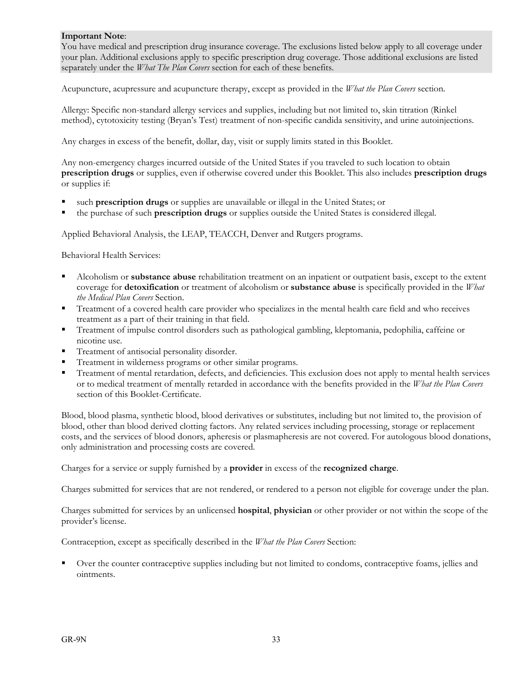#### **Important Note**:

You have medical and prescription drug insurance coverage. The exclusions listed below apply to all coverage under your plan. Additional exclusions apply to specific prescription drug coverage. Those additional exclusions are listed separately under the *What The Plan Covers* section for each of these benefits.

Acupuncture, acupressure and acupuncture therapy, except as provided in the *What the Plan Covers* section.

Allergy: Specific non-standard allergy services and supplies, including but not limited to, skin titration (Rinkel method), cytotoxicity testing (Bryan's Test) treatment of non-specific candida sensitivity, and urine autoinjections.

Any charges in excess of the benefit, dollar, day, visit or supply limits stated in this Booklet.

Any non-emergency charges incurred outside of the United States if you traveled to such location to obtain **prescription drugs** or supplies, even if otherwise covered under this Booklet. This also includes **prescription drugs** or supplies if:

- such **prescription drugs** or supplies are unavailable or illegal in the United States; or
- the purchase of such **prescription drugs** or supplies outside the United States is considered illegal.

Applied Behavioral Analysis, the LEAP, TEACCH, Denver and Rutgers programs.

Behavioral Health Services:

- Alcoholism or **substance abuse** rehabilitation treatment on an inpatient or outpatient basis, except to the extent coverage for **detoxification** or treatment of alcoholism or **substance abuse** is specifically provided in the *What the Medical Plan Covers* Section.
- Treatment of a covered health care provider who specializes in the mental health care field and who receives treatment as a part of their training in that field.
- Treatment of impulse control disorders such as pathological gambling, kleptomania, pedophilia, caffeine or nicotine use.
- Treatment of antisocial personality disorder.
- Treatment in wilderness programs or other similar programs.
- Treatment of mental retardation, defects, and deficiencies. This exclusion does not apply to mental health services or to medical treatment of mentally retarded in accordance with the benefits provided in the *What the Plan Covers*  section of this Booklet-Certificate.

Blood, blood plasma, synthetic blood, blood derivatives or substitutes, including but not limited to, the provision of blood, other than blood derived clotting factors. Any related services including processing, storage or replacement costs, and the services of blood donors, apheresis or plasmapheresis are not covered. For autologous blood donations, only administration and processing costs are covered.

Charges for a service or supply furnished by a **provider** in excess of the **recognized charge**.

Charges submitted for services that are not rendered, or rendered to a person not eligible for coverage under the plan.

Charges submitted for services by an unlicensed **hospital**, **physician** or other provider or not within the scope of the provider's license.

Contraception, except as specifically described in the *What the Plan Covers* Section:

 Over the counter contraceptive supplies including but not limited to condoms, contraceptive foams, jellies and ointments.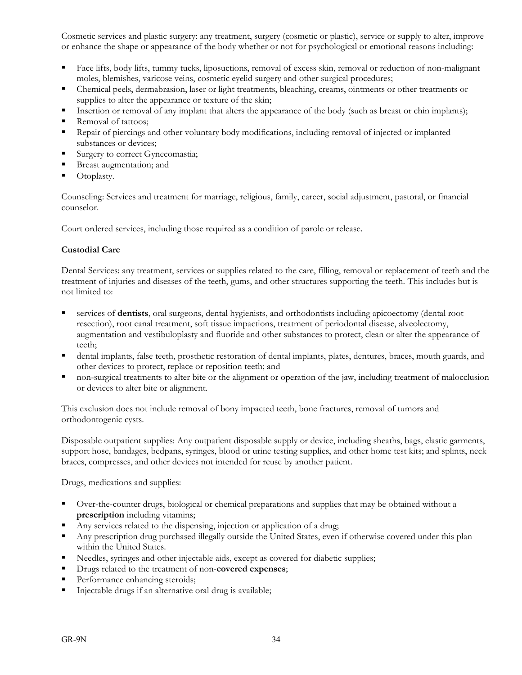Cosmetic services and plastic surgery: any treatment, surgery (cosmetic or plastic), service or supply to alter, improve or enhance the shape or appearance of the body whether or not for psychological or emotional reasons including:

- Face lifts, body lifts, tummy tucks, liposuctions, removal of excess skin, removal or reduction of non-malignant moles, blemishes, varicose veins, cosmetic eyelid surgery and other surgical procedures;
- Chemical peels, dermabrasion, laser or light treatments, bleaching, creams, ointments or other treatments or supplies to alter the appearance or texture of the skin;
- Insertion or removal of any implant that alters the appearance of the body (such as breast or chin implants);
- Removal of tattoos;
- Repair of piercings and other voluntary body modifications, including removal of injected or implanted substances or devices;
- Surgery to correct Gynecomastia;
- Breast augmentation; and
- Otoplasty.

Counseling: Services and treatment for marriage, religious, family, career, social adjustment, pastoral, or financial counselor.

Court ordered services, including those required as a condition of parole or release.

### **Custodial Care**

Dental Services: any treatment, services or supplies related to the care, filling, removal or replacement of teeth and the treatment of injuries and diseases of the teeth, gums, and other structures supporting the teeth. This includes but is not limited to:

- services of **dentists**, oral surgeons, dental hygienists, and orthodontists including apicoectomy (dental root resection), root canal treatment, soft tissue impactions, treatment of periodontal disease, alveolectomy, augmentation and vestibuloplasty and fluoride and other substances to protect, clean or alter the appearance of teeth;
- dental implants, false teeth, prosthetic restoration of dental implants, plates, dentures, braces, mouth guards, and other devices to protect, replace or reposition teeth; and
- non-surgical treatments to alter bite or the alignment or operation of the jaw, including treatment of malocclusion or devices to alter bite or alignment.

This exclusion does not include removal of bony impacted teeth, bone fractures, removal of tumors and orthodontogenic cysts.

Disposable outpatient supplies: Any outpatient disposable supply or device, including sheaths, bags, elastic garments, support hose, bandages, bedpans, syringes, blood or urine testing supplies, and other home test kits; and splints, neck braces, compresses, and other devices not intended for reuse by another patient.

Drugs, medications and supplies:

- Over-the-counter drugs, biological or chemical preparations and supplies that may be obtained without a **prescription** including vitamins;
- Any services related to the dispensing, injection or application of a drug;
- Any prescription drug purchased illegally outside the United States, even if otherwise covered under this plan within the United States.
- Needles, syringes and other injectable aids, except as covered for diabetic supplies;
- Drugs related to the treatment of non-**covered expenses**;
- Performance enhancing steroids;
- Injectable drugs if an alternative oral drug is available;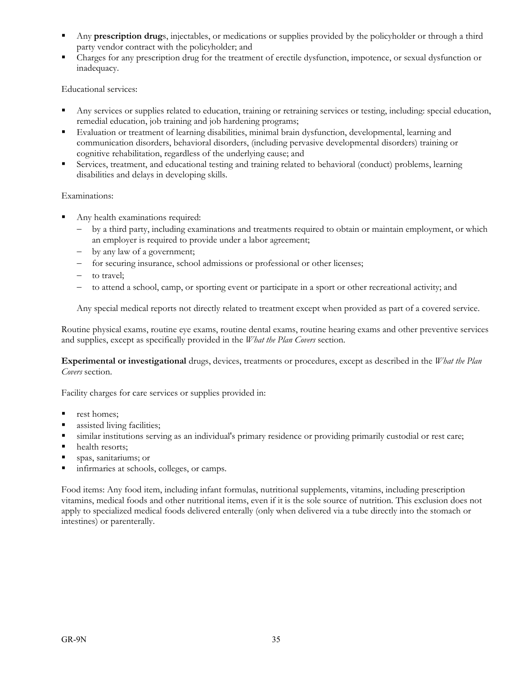- Any **prescription drug**s, injectables, or medications or supplies provided by the policyholder or through a third party vendor contract with the policyholder; and
- Charges for any prescription drug for the treatment of erectile dysfunction, impotence, or sexual dysfunction or inadequacy.

Educational services:

- Any services or supplies related to education, training or retraining services or testing, including: special education, remedial education, job training and job hardening programs;
- Evaluation or treatment of learning disabilities, minimal brain dysfunction, developmental, learning and communication disorders, behavioral disorders, (including pervasive developmental disorders) training or cognitive rehabilitation, regardless of the underlying cause; and
- Services, treatment, and educational testing and training related to behavioral (conduct) problems, learning disabilities and delays in developing skills.

### Examinations:

- Any health examinations required:
	- by a third party, including examinations and treatments required to obtain or maintain employment, or which an employer is required to provide under a labor agreement;
	- by any law of a government;
	- for securing insurance, school admissions or professional or other licenses;
	- to travel;
	- to attend a school, camp, or sporting event or participate in a sport or other recreational activity; and

Any special medical reports not directly related to treatment except when provided as part of a covered service.

Routine physical exams, routine eye exams, routine dental exams, routine hearing exams and other preventive services and supplies, except as specifically provided in the *What the Plan Covers* section.

**Experimental or investigational** drugs, devices, treatments or procedures, except as described in the *What the Plan Covers* section.

Facility charges for care services or supplies provided in:

- $r$  rest homes:
- **assisted living facilities;**
- similar institutions serving as an individual's primary residence or providing primarily custodial or rest care;
- health resorts;
- spas, sanitariums; or
- infirmaries at schools, colleges, or camps.

Food items: Any food item, including infant formulas, nutritional supplements, vitamins, including prescription vitamins, medical foods and other nutritional items, even if it is the sole source of nutrition. This exclusion does not apply to specialized medical foods delivered enterally (only when delivered via a tube directly into the stomach or intestines) or parenterally.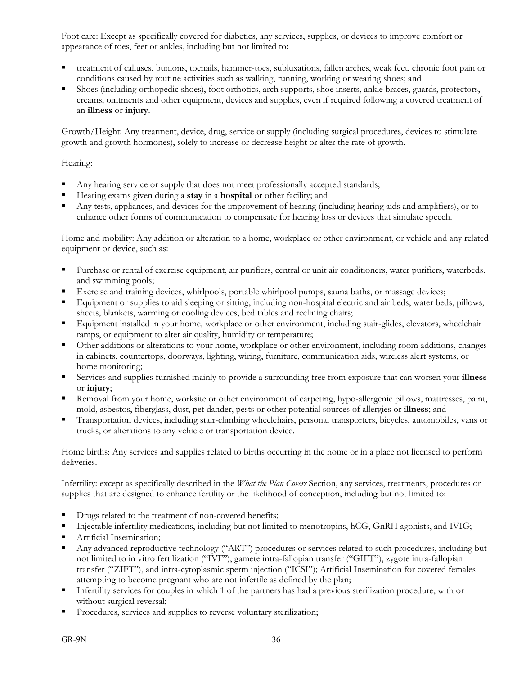Foot care: Except as specifically covered for diabetics, any services, supplies, or devices to improve comfort or appearance of toes, feet or ankles, including but not limited to:

- treatment of calluses, bunions, toenails, hammer-toes, subluxations, fallen arches, weak feet, chronic foot pain or conditions caused by routine activities such as walking, running, working or wearing shoes; and
- Shoes (including orthopedic shoes), foot orthotics, arch supports, shoe inserts, ankle braces, guards, protectors, creams, ointments and other equipment, devices and supplies, even if required following a covered treatment of an **illness** or **injury**.

Growth/Height: Any treatment, device, drug, service or supply (including surgical procedures, devices to stimulate growth and growth hormones), solely to increase or decrease height or alter the rate of growth.

### Hearing:

- Any hearing service or supply that does not meet professionally accepted standards;
- Hearing exams given during a **stay** in a **hospital** or other facility; and
- Any tests, appliances, and devices for the improvement of hearing (including hearing aids and amplifiers), or to enhance other forms of communication to compensate for hearing loss or devices that simulate speech.

Home and mobility: Any addition or alteration to a home, workplace or other environment, or vehicle and any related equipment or device, such as:

- Purchase or rental of exercise equipment, air purifiers, central or unit air conditioners, water purifiers, waterbeds. and swimming pools;
- Exercise and training devices, whirlpools, portable whirlpool pumps, sauna baths, or massage devices;
- Equipment or supplies to aid sleeping or sitting, including non-hospital electric and air beds, water beds, pillows, sheets, blankets, warming or cooling devices, bed tables and reclining chairs;
- Equipment installed in your home, workplace or other environment, including stair-glides, elevators, wheelchair ramps, or equipment to alter air quality, humidity or temperature;
- Other additions or alterations to your home, workplace or other environment, including room additions, changes in cabinets, countertops, doorways, lighting, wiring, furniture, communication aids, wireless alert systems, or home monitoring;
- Services and supplies furnished mainly to provide a surrounding free from exposure that can worsen your **illness** or **injury**;
- Removal from your home, worksite or other environment of carpeting, hypo-allergenic pillows, mattresses, paint, mold, asbestos, fiberglass, dust, pet dander, pests or other potential sources of allergies or **illness**; and
- Transportation devices, including stair-climbing wheelchairs, personal transporters, bicycles, automobiles, vans or trucks, or alterations to any vehicle or transportation device.

Home births: Any services and supplies related to births occurring in the home or in a place not licensed to perform deliveries.

Infertility: except as specifically described in the *What the Plan Covers* Section, any services, treatments, procedures or supplies that are designed to enhance fertility or the likelihood of conception, including but not limited to:

- Drugs related to the treatment of non-covered benefits;
- Injectable infertility medications, including but not limited to menotropins, hCG, GnRH agonists, and IVIG;
- **Artificial Insemination;**
- Any advanced reproductive technology ("ART") procedures or services related to such procedures, including but not limited to in vitro fertilization ("IVF"), gamete intra-fallopian transfer ("GIFT"), zygote intra-fallopian transfer ("ZIFT"), and intra-cytoplasmic sperm injection ("ICSI"); Artificial Insemination for covered females attempting to become pregnant who are not infertile as defined by the plan;
- Infertility services for couples in which 1 of the partners has had a previous sterilization procedure, with or without surgical reversal;
- Procedures, services and supplies to reverse voluntary sterilization;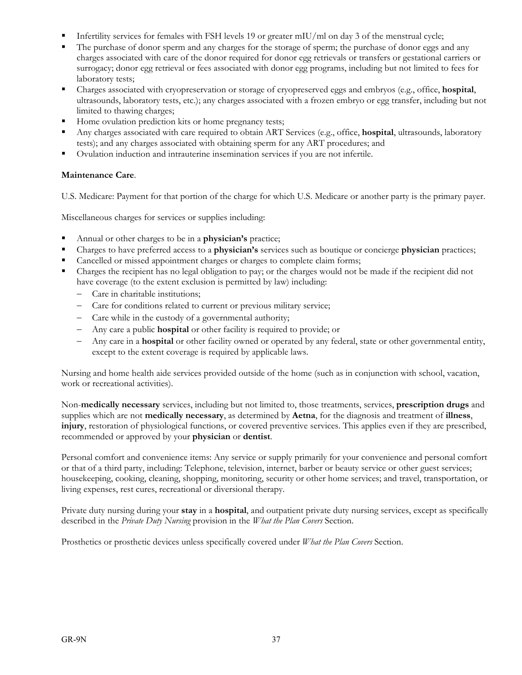- Infertility services for females with FSH levels 19 or greater mIU/ml on day 3 of the menstrual cycle;
- The purchase of donor sperm and any charges for the storage of sperm; the purchase of donor eggs and any charges associated with care of the donor required for donor egg retrievals or transfers or gestational carriers or surrogacy; donor egg retrieval or fees associated with donor egg programs, including but not limited to fees for laboratory tests;
- Charges associated with cryopreservation or storage of cryopreserved eggs and embryos (e.g., office, **hospital**, ultrasounds, laboratory tests, etc.); any charges associated with a frozen embryo or egg transfer, including but not limited to thawing charges;
- Home ovulation prediction kits or home pregnancy tests;
- Any charges associated with care required to obtain ART Services (e.g., office, **hospital**, ultrasounds, laboratory tests); and any charges associated with obtaining sperm for any ART procedures; and
- Ovulation induction and intrauterine insemination services if you are not infertile.

### **Maintenance Care**.

U.S. Medicare: Payment for that portion of the charge for which U.S. Medicare or another party is the primary payer.

Miscellaneous charges for services or supplies including:

- Annual or other charges to be in a **physician's** practice;
- Charges to have preferred access to a **physician's** services such as boutique or concierge **physician** practices;
- Cancelled or missed appointment charges or charges to complete claim forms;
- Charges the recipient has no legal obligation to pay; or the charges would not be made if the recipient did not have coverage (to the extent exclusion is permitted by law) including:
	- Care in charitable institutions;
	- Care for conditions related to current or previous military service;
	- Care while in the custody of a governmental authority;
	- Any care a public **hospital** or other facility is required to provide; or
	- Any care in a **hospital** or other facility owned or operated by any federal, state or other governmental entity, except to the extent coverage is required by applicable laws.

Nursing and home health aide services provided outside of the home (such as in conjunction with school, vacation, work or recreational activities).

Non-**medically necessary** services, including but not limited to, those treatments, services, **prescription drugs** and supplies which are not **medically necessary**, as determined by **Aetna**, for the diagnosis and treatment of **illness**, **injury**, restoration of physiological functions, or covered preventive services. This applies even if they are prescribed, recommended or approved by your **physician** or **dentist**.

Personal comfort and convenience items: Any service or supply primarily for your convenience and personal comfort or that of a third party, including: Telephone, television, internet, barber or beauty service or other guest services; housekeeping, cooking, cleaning, shopping, monitoring, security or other home services; and travel, transportation, or living expenses, rest cures, recreational or diversional therapy.

Private duty nursing during your **stay** in a **hospital**, and outpatient private duty nursing services, except as specifically described in the *Private Duty Nursing* provision in the *What the Plan Covers* Section.

Prosthetics or prosthetic devices unless specifically covered under *What the Plan Covers* Section.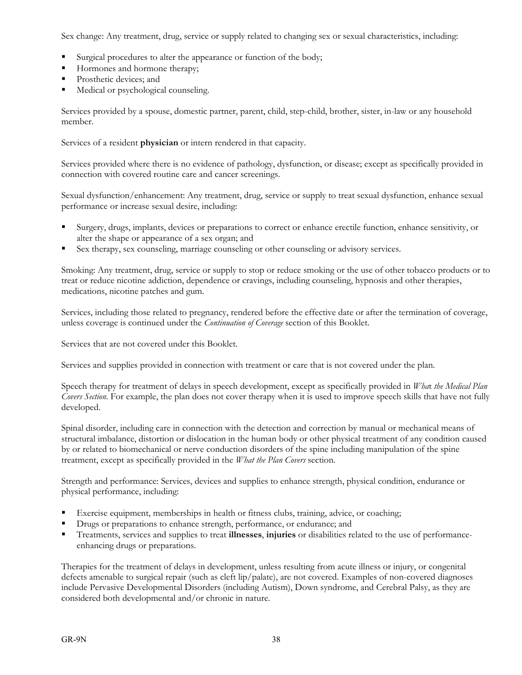Sex change: Any treatment, drug, service or supply related to changing sex or sexual characteristics, including:

- Surgical procedures to alter the appearance or function of the body;
- Hormones and hormone therapy;
- Prosthetic devices; and
- Medical or psychological counseling.

Services provided by a spouse, domestic partner, parent, child, step-child, brother, sister, in-law or any household member.

Services of a resident **physician** or intern rendered in that capacity.

Services provided where there is no evidence of pathology, dysfunction, or disease; except as specifically provided in connection with covered routine care and cancer screenings.

Sexual dysfunction/enhancement: Any treatment, drug, service or supply to treat sexual dysfunction, enhance sexual performance or increase sexual desire, including:

- Surgery, drugs, implants, devices or preparations to correct or enhance erectile function, enhance sensitivity, or alter the shape or appearance of a sex organ; and
- Sex therapy, sex counseling, marriage counseling or other counseling or advisory services.

Smoking: Any treatment, drug, service or supply to stop or reduce smoking or the use of other tobacco products or to treat or reduce nicotine addiction, dependence or cravings, including counseling, hypnosis and other therapies, medications, nicotine patches and gum.

Services, including those related to pregnancy, rendered before the effective date or after the termination of coverage, unless coverage is continued under the *Continuation of Coverage* section of this Booklet.

Services that are not covered under this Booklet.

Services and supplies provided in connection with treatment or care that is not covered under the plan.

Speech therapy for treatment of delays in speech development, except as specifically provided in *Wha*t *the Medical Plan Covers Section*. For example, the plan does not cover therapy when it is used to improve speech skills that have not fully developed.

Spinal disorder, including care in connection with the detection and correction by manual or mechanical means of structural imbalance, distortion or dislocation in the human body or other physical treatment of any condition caused by or related to biomechanical or nerve conduction disorders of the spine including manipulation of the spine treatment, except as specifically provided in the *What the Plan Covers* section.

Strength and performance: Services, devices and supplies to enhance strength, physical condition, endurance or physical performance, including:

- Exercise equipment, memberships in health or fitness clubs, training, advice, or coaching;
- Drugs or preparations to enhance strength, performance, or endurance; and
- Treatments, services and supplies to treat **illnesses**, **injuries** or disabilities related to the use of performanceenhancing drugs or preparations.

Therapies for the treatment of delays in development, unless resulting from acute illness or injury, or congenital defects amenable to surgical repair (such as cleft lip/palate), are not covered. Examples of non-covered diagnoses include Pervasive Developmental Disorders (including Autism), Down syndrome, and Cerebral Palsy, as they are considered both developmental and/or chronic in nature.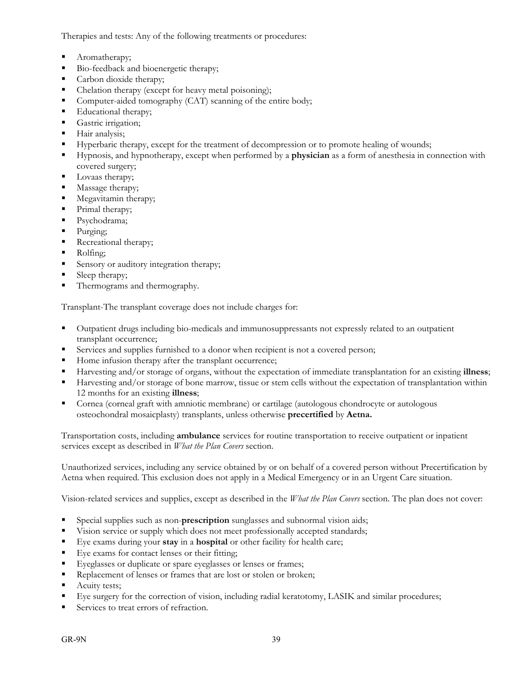Therapies and tests: Any of the following treatments or procedures:

- Aromatherapy;
- Bio-feedback and bioenergetic therapy;
- Carbon dioxide therapy;
- Chelation therapy (except for heavy metal poisoning);
- Computer-aided tomography (CAT) scanning of the entire body;
- Educational therapy;
- Gastric irrigation;
- **Hair analysis;**
- Hyperbaric therapy, except for the treatment of decompression or to promote healing of wounds;
- Hypnosis, and hypnotherapy, except when performed by a **physician** as a form of anesthesia in connection with covered surgery;
- **Lovaas therapy;**
- **Massage therapy;**
- Megavitamin therapy;
- Primal therapy;
- Psychodrama;
- Purging;
- Recreational therapy;
- Rolfing;
- Sensory or auditory integration therapy;
- Sleep therapy;
- **Thermograms and thermography.**

Transplant-The transplant coverage does not include charges for:

- Outpatient drugs including bio-medicals and immunosuppressants not expressly related to an outpatient transplant occurrence;
- Services and supplies furnished to a donor when recipient is not a covered person;
- Home infusion therapy after the transplant occurrence;
- Harvesting and/or storage of organs, without the expectation of immediate transplantation for an existing **illness**;
- Harvesting and/or storage of bone marrow, tissue or stem cells without the expectation of transplantation within 12 months for an existing **illness**;
- Cornea (corneal graft with amniotic membrane) or cartilage (autologous chondrocyte or autologous osteochondral mosaicplasty) transplants, unless otherwise **precertified** by **Aetna.**

Transportation costs, including **ambulance** services for routine transportation to receive outpatient or inpatient services except as described in *What the Plan Covers* section.

Unauthorized services, including any service obtained by or on behalf of a covered person without Precertification by Aetna when required. This exclusion does not apply in a Medical Emergency or in an Urgent Care situation.

Vision-related services and supplies, except as described in the *What the Plan Covers* section. The plan does not cover:

- Special supplies such as non-**prescription** sunglasses and subnormal vision aids;
- Vision service or supply which does not meet professionally accepted standards;
- Eye exams during your **stay** in a **hospital** or other facility for health care;
- Eye exams for contact lenses or their fitting;
- Eyeglasses or duplicate or spare eyeglasses or lenses or frames;
- Replacement of lenses or frames that are lost or stolen or broken;
- Acuity tests;
- Eye surgery for the correction of vision, including radial keratotomy, LASIK and similar procedures;
- Services to treat errors of refraction.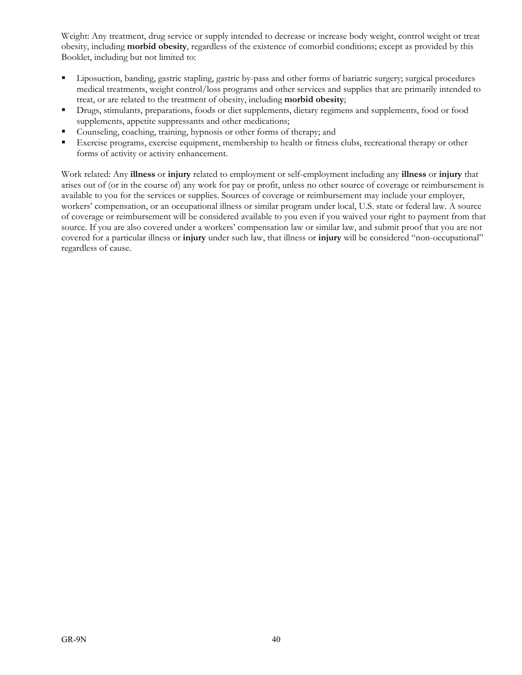Weight: Any treatment, drug service or supply intended to decrease or increase body weight, control weight or treat obesity, including **morbid obesity**, regardless of the existence of comorbid conditions; except as provided by this Booklet, including but not limited to:

- Liposuction, banding, gastric stapling, gastric by-pass and other forms of bariatric surgery; surgical procedures medical treatments, weight control/loss programs and other services and supplies that are primarily intended to treat, or are related to the treatment of obesity, including **morbid obesity**;
- Drugs, stimulants, preparations, foods or diet supplements, dietary regimens and supplements, food or food supplements, appetite suppressants and other medications;
- Counseling, coaching, training, hypnosis or other forms of therapy; and
- Exercise programs, exercise equipment, membership to health or fitness clubs, recreational therapy or other forms of activity or activity enhancement.

Work related: Any **illness** or **injury** related to employment or self-employment including any **illness** or **injury** that arises out of (or in the course of) any work for pay or profit, unless no other source of coverage or reimbursement is available to you for the services or supplies. Sources of coverage or reimbursement may include your employer, workers' compensation, or an occupational illness or similar program under local, U.S. state or federal law. A source of coverage or reimbursement will be considered available to you even if you waived your right to payment from that source. If you are also covered under a workers' compensation law or similar law, and submit proof that you are not covered for a particular illness or **injury** under such law, that illness or **injury** will be considered "non-occupational" regardless of cause.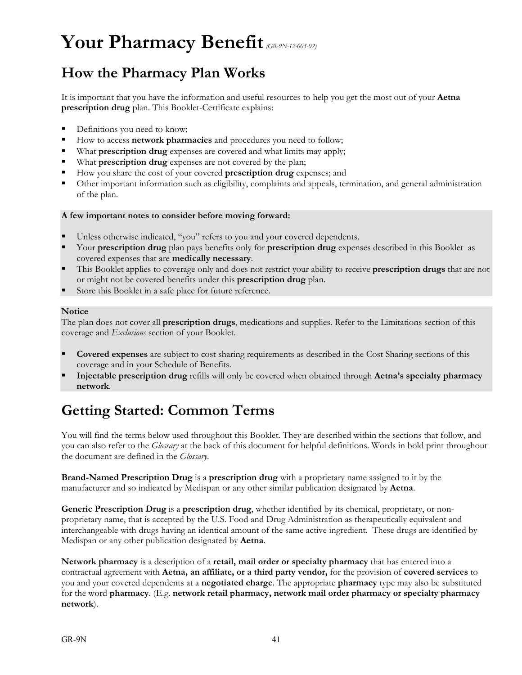# **Your Pharmacy Benefit***(GR-9N-12-005-02)*

## **How the Pharmacy Plan Works**

It is important that you have the information and useful resources to help you get the most out of your **Aetna prescription drug** plan. This Booklet-Certificate explains:

- Definitions you need to know;
- How to access **network pharmacies** and procedures you need to follow;
- What **prescription drug** expenses are covered and what limits may apply;
- What **prescription drug** expenses are not covered by the plan;
- How you share the cost of your covered **prescription drug** expenses; and
- Other important information such as eligibility, complaints and appeals, termination, and general administration of the plan.

### **A few important notes to consider before moving forward:**

- Unless otherwise indicated, "you" refers to you and your covered dependents.
- Your **prescription drug** plan pays benefits only for **prescription drug** expenses described in this Booklet as covered expenses that are **medically necessary**.
- This Booklet applies to coverage only and does not restrict your ability to receive **prescription drugs** that are not or might not be covered benefits under this **prescription drug** plan.
- Store this Booklet in a safe place for future reference.

### **Notice**

The plan does not cover all **prescription drugs**, medications and supplies. Refer to the Limitations section of this coverage and *Exclusions* section of your Booklet.

- **Covered expenses** are subject to cost sharing requirements as described in the Cost Sharing sections of this coverage and in your Schedule of Benefits.
- **Injectable prescription drug** refills will only be covered when obtained through **Aetna's specialty pharmacy network**.

# **Getting Started: Common Terms**

You will find the terms below used throughout this Booklet. They are described within the sections that follow, and you can also refer to the *Glossary* at the back of this document for helpful definitions. Words in bold print throughout the document are defined in the *Glossary*.

**Brand-Named Prescription Drug** is a **prescription drug** with a proprietary name assigned to it by the manufacturer and so indicated by Medispan or any other similar publication designated by **Aetna**.

**Generic Prescription Drug** is a **prescription drug**, whether identified by its chemical, proprietary, or nonproprietary name, that is accepted by the U.S. Food and Drug Administration as therapeutically equivalent and interchangeable with drugs having an identical amount of the same active ingredient. These drugs are identified by Medispan or any other publication designated by **Aetna**.

**Network pharmacy** is a description of a **retail, mail order or specialty pharmacy** that has entered into a contractual agreement with **Aetna, an affiliate, or a third party vendor,** for the provision of **covered services** to you and your covered dependents at a **negotiated charge**. The appropriate **pharmacy** type may also be substituted for the word **pharmacy**. (E.g. **network retail pharmacy, network mail order pharmacy or specialty pharmacy network**).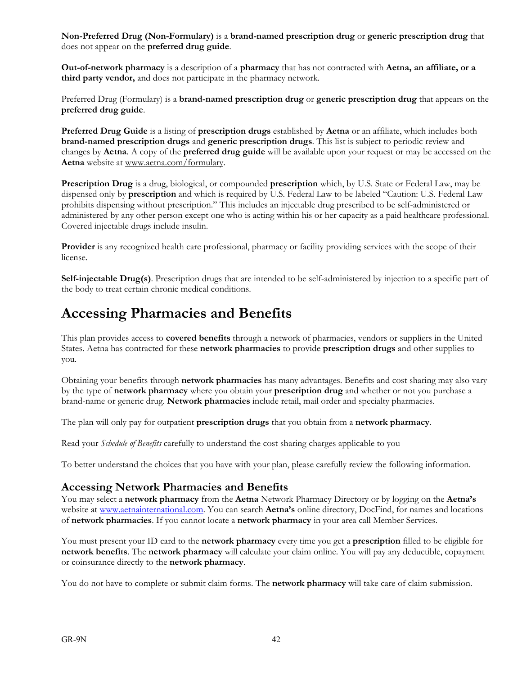**Non-Preferred Drug (Non-Formulary)** is a **brand-named prescription drug** or **generic prescription drug** that does not appear on the **preferred drug guide**.

**Out-of-network pharmacy** is a description of a **pharmacy** that has not contracted with **Aetna, an affiliate, or a third party vendor,** and does not participate in the pharmacy network.

Preferred Drug (Formulary) is a **brand-named prescription drug** or **generic prescription drug** that appears on the **preferred drug guide**.

**Preferred Drug Guide** is a listing of **prescription drugs** established by **Aetna** or an affiliate, which includes both **brand-named prescription drugs** and **generic prescription drugs**. This list is subject to periodic review and changes by **Aetna**. A copy of the **preferred drug guide** will be available upon your request or may be accessed on the **Aetna** website at www.aetna.com/formulary.

**Prescription Drug** is a drug, biological, or compounded **prescription** which, by U.S. State or Federal Law, may be dispensed only by **prescription** and which is required by U.S. Federal Law to be labeled "Caution: U.S. Federal Law prohibits dispensing without prescription." This includes an injectable drug prescribed to be self-administered or administered by any other person except one who is acting within his or her capacity as a paid healthcare professional. Covered injectable drugs include insulin.

**Provider** is any recognized health care professional, pharmacy or facility providing services with the scope of their license.

**Self-injectable Drug(s)**. Prescription drugs that are intended to be self-administered by injection to a specific part of the body to treat certain chronic medical conditions.

## **Accessing Pharmacies and Benefits**

This plan provides access to **covered benefits** through a network of pharmacies, vendors or suppliers in the United States. Aetna has contracted for these **network pharmacies** to provide **prescription drugs** and other supplies to you.

Obtaining your benefits through **network pharmacies** has many advantages. Benefits and cost sharing may also vary by the type of **network pharmacy** where you obtain your **prescription drug** and whether or not you purchase a brand-name or generic drug. **Network pharmacies** include retail, mail order and specialty pharmacies.

The plan will only pay for outpatient **prescription drugs** that you obtain from a **network pharmacy**.

Read your *Schedule of Benefits* carefully to understand the cost sharing charges applicable to you

To better understand the choices that you have with your plan, please carefully review the following information.

### **Accessing Network Pharmacies and Benefits**

You may select a **network pharmacy** from the **Aetna** Network Pharmacy Directory or by logging on the **Aetna's** website at www.aetnainternational.com. You can search **Aetna's** online directory, DocFind, for names and locations of **network pharmacies**. If you cannot locate a **network pharmacy** in your area call Member Services.

You must present your ID card to the **network pharmacy** every time you get a **prescription** filled to be eligible for **network benefits**. The **network pharmacy** will calculate your claim online. You will pay any deductible, copayment or coinsurance directly to the **network pharmacy**.

You do not have to complete or submit claim forms. The **network pharmacy** will take care of claim submission.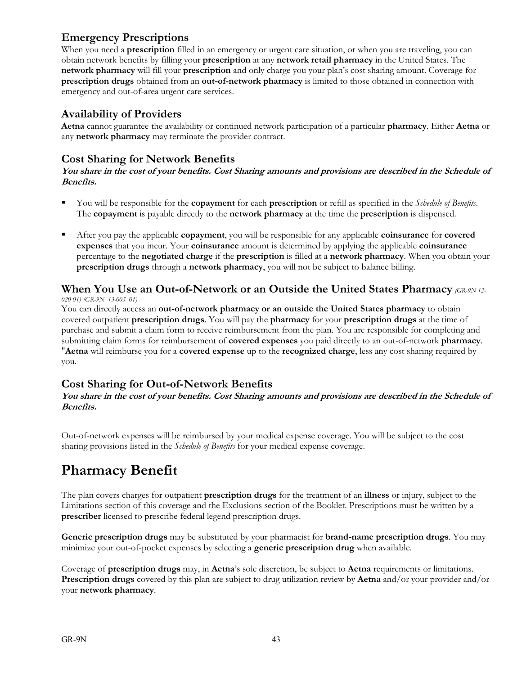## **Emergency Prescriptions**

When you need a **prescription** filled in an emergency or urgent care situation, or when you are traveling, you can obtain network benefits by filling your **prescription** at any **network retail pharmacy** in the United States. The **network pharmacy** will fill your **prescription** and only charge you your plan's cost sharing amount. Coverage for **prescription drugs** obtained from an **out-of-network pharmacy** is limited to those obtained in connection with emergency and out-of-area urgent care services.

### **Availability of Providers**

**Aetna** cannot guarantee the availability or continued network participation of a particular **pharmacy**. Either **Aetna** or any **network pharmacy** may terminate the provider contract.

### **Cost Sharing for Network Benefits**

**You share in the cost of your benefits. Cost Sharing amounts and provisions are described in the Schedule of Benefits.**

- You will be responsible for the **copayment** for each **prescription** or refill as specified in the *Schedule of Benefits*. The **copayment** is payable directly to the **network pharmacy** at the time the **prescription** is dispensed.
- After you pay the applicable **copayment**, you will be responsible for any applicable **coinsurance** for **covered expenses** that you incur. Your **coinsurance** amount is determined by applying the applicable **coinsurance** percentage to the **negotiated charge** if the **prescription** is filled at a **network pharmacy**. When you obtain your **prescription drugs** through a **network pharmacy**, you will not be subject to balance billing.

## **When You Use an Out-of-Network or an Outside the United States Pharmacy** *(GR-9N 12-*

*020 01) (GR-9N 13-005 01)*

You can directly access an **out-of-network pharmacy or an outside the United States pharmacy** to obtain covered outpatient **prescription drugs**. You will pay the **pharmacy** for your **prescription drugs** at the time of purchase and submit a claim form to receive reimbursement from the plan. You are responsible for completing and submitting claim forms for reimbursement of **covered expenses** you paid directly to an out-of-network **pharmacy**. "**Aetna** will reimburse you for a **covered expense** up to the **recognized charge**, less any cost sharing required by you.

### **Cost Sharing for Out-of-Network Benefits**

**You share in the cost of your benefits. Cost Sharing amounts and provisions are described in the Schedule of Benefits.**

Out-of-network expenses will be reimbursed by your medical expense coverage. You will be subject to the cost sharing provisions listed in the *Schedule of Benefits* for your medical expense coverage.

## **Pharmacy Benefit**

The plan covers charges for outpatient **prescription drugs** for the treatment of an **illness** or injury, subject to the Limitations section of this coverage and the Exclusions section of the Booklet. Prescriptions must be written by a **prescriber** licensed to prescribe federal legend prescription drugs.

**Generic prescription drugs** may be substituted by your pharmacist for **brand-name prescription drugs**. You may minimize your out-of-pocket expenses by selecting a **generic prescription drug** when available.

Coverage of **prescription drugs** may, in **Aetna**'s sole discretion, be subject to **Aetna** requirements or limitations. **Prescription drugs** covered by this plan are subject to drug utilization review by **Aetna** and/or your provider and/or your **network pharmacy**.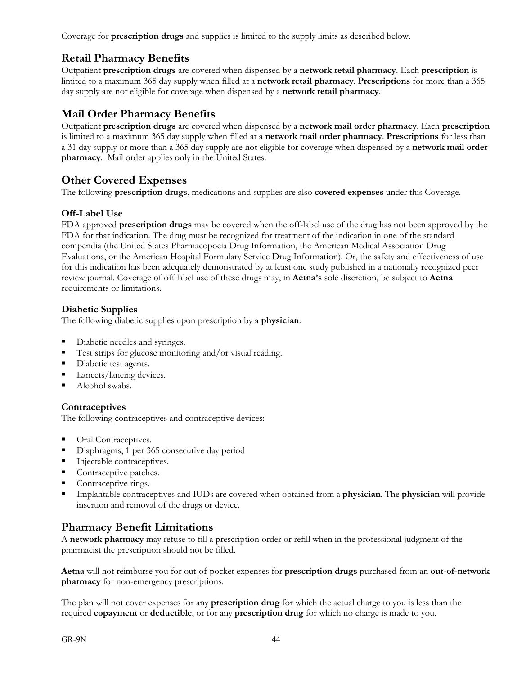Coverage for **prescription drugs** and supplies is limited to the supply limits as described below.

## **Retail Pharmacy Benefits**

Outpatient **prescription drugs** are covered when dispensed by a **network retail pharmacy**. Each **prescription** is limited to a maximum 365 day supply when filled at a **network retail pharmacy**. **Prescriptions** for more than a 365 day supply are not eligible for coverage when dispensed by a **network retail pharmacy**.

## **Mail Order Pharmacy Benefits**

Outpatient **prescription drugs** are covered when dispensed by a **network mail order pharmacy**. Each **prescription** is limited to a maximum 365 day supply when filled at a **network mail order pharmacy**. **Prescriptions** for less than a 31 day supply or more than a 365 day supply are not eligible for coverage when dispensed by a **network mail order pharmacy**. Mail order applies only in the United States.

## **Other Covered Expenses**

The following **prescription drugs**, medications and supplies are also **covered expenses** under this Coverage.

### **Off-Label Use**

FDA approved **prescription drugs** may be covered when the off-label use of the drug has not been approved by the FDA for that indication. The drug must be recognized for treatment of the indication in one of the standard compendia (the United States Pharmacopoeia Drug Information, the American Medical Association Drug Evaluations, or the American Hospital Formulary Service Drug Information). Or, the safety and effectiveness of use for this indication has been adequately demonstrated by at least one study published in a nationally recognized peer review journal. Coverage of off label use of these drugs may, in **Aetna's** sole discretion, be subject to **Aetna** requirements or limitations.

### **Diabetic Supplies**

The following diabetic supplies upon prescription by a **physician**:

- Diabetic needles and syringes.
- Test strips for glucose monitoring and/or visual reading.
- Diabetic test agents.
- **Lancets/lancing devices.**
- Alcohol swabs.

### **Contraceptives**

The following contraceptives and contraceptive devices:

- **Oral Contraceptives.**
- Diaphragms, 1 per 365 consecutive day period
- Injectable contraceptives.
- **Contraceptive patches.**
- Contraceptive rings.
- Implantable contraceptives and IUDs are covered when obtained from a **physician**. The **physician** will provide insertion and removal of the drugs or device.

### **Pharmacy Benefit Limitations**

A **network pharmacy** may refuse to fill a prescription order or refill when in the professional judgment of the pharmacist the prescription should not be filled.

**Aetna** will not reimburse you for out-of-pocket expenses for **prescription drugs** purchased from an **out-of-network pharmacy** for non-emergency prescriptions.

The plan will not cover expenses for any **prescription drug** for which the actual charge to you is less than the required **copayment** or **deductible**, or for any **prescription drug** for which no charge is made to you.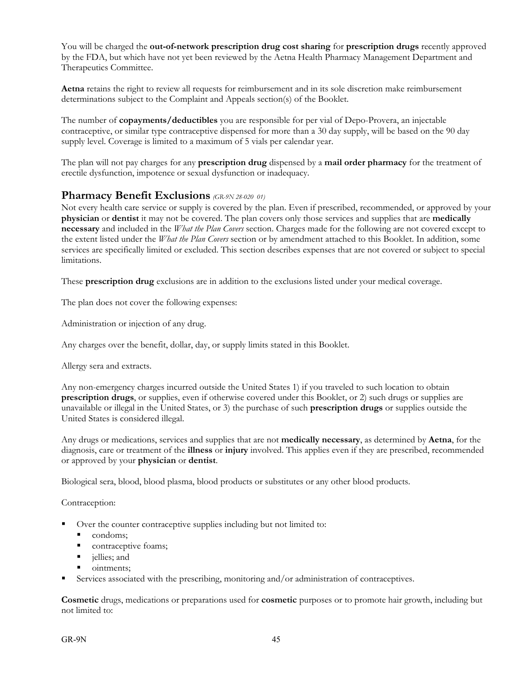You will be charged the **out-of-network prescription drug cost sharing** for **prescription drugs** recently approved by the FDA, but which have not yet been reviewed by the Aetna Health Pharmacy Management Department and Therapeutics Committee.

**Aetna** retains the right to review all requests for reimbursement and in its sole discretion make reimbursement determinations subject to the Complaint and Appeals section(s) of the Booklet.

The number of **copayments/deductibles** you are responsible for per vial of Depo-Provera, an injectable contraceptive, or similar type contraceptive dispensed for more than a 30 day supply, will be based on the 90 day supply level. Coverage is limited to a maximum of 5 vials per calendar year.

The plan will not pay charges for any **prescription drug** dispensed by a **mail order pharmacy** for the treatment of erectile dysfunction, impotence or sexual dysfunction or inadequacy.

### **Pharmacy Benefit Exclusions** *(GR-9N 28-020 01)*

Not every health care service or supply is covered by the plan. Even if prescribed, recommended, or approved by your **physician** or **dentist** it may not be covered. The plan covers only those services and supplies that are **medically necessary** and included in the *What the Plan Covers* section. Charges made for the following are not covered except to the extent listed under the *What the Plan Covers* section or by amendment attached to this Booklet. In addition, some services are specifically limited or excluded. This section describes expenses that are not covered or subject to special limitations.

These **prescription drug** exclusions are in addition to the exclusions listed under your medical coverage.

The plan does not cover the following expenses:

Administration or injection of any drug.

Any charges over the benefit, dollar, day, or supply limits stated in this Booklet.

Allergy sera and extracts.

Any non-emergency charges incurred outside the United States 1) if you traveled to such location to obtain **prescription drugs**, or supplies, even if otherwise covered under this Booklet, or 2) such drugs or supplies are unavailable or illegal in the United States, or 3) the purchase of such **prescription drugs** or supplies outside the United States is considered illegal.

Any drugs or medications, services and supplies that are not **medically necessary**, as determined by **Aetna**, for the diagnosis, care or treatment of the **illness** or **injury** involved. This applies even if they are prescribed, recommended or approved by your **physician** or **dentist**.

Biological sera, blood, blood plasma, blood products or substitutes or any other blood products.

Contraception:

- Over the counter contraceptive supplies including but not limited to:
	- condoms;
	- contraceptive foams;
	- ullies; and
	- ointments;
- Services associated with the prescribing, monitoring and/or administration of contraceptives.

**Cosmetic** drugs, medications or preparations used for **cosmetic** purposes or to promote hair growth, including but not limited to: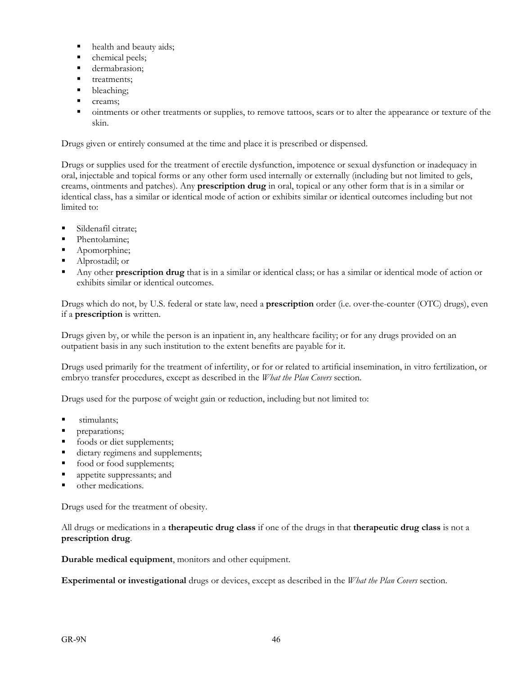- health and beauty aids;
- chemical peels;
- **dermabrasion;**
- **treatments:**
- bleaching;
- creams;
- ointments or other treatments or supplies, to remove tattoos, scars or to alter the appearance or texture of the skin.

Drugs given or entirely consumed at the time and place it is prescribed or dispensed.

Drugs or supplies used for the treatment of erectile dysfunction, impotence or sexual dysfunction or inadequacy in oral, injectable and topical forms or any other form used internally or externally (including but not limited to gels, creams, ointments and patches). Any **prescription drug** in oral, topical or any other form that is in a similar or identical class, has a similar or identical mode of action or exhibits similar or identical outcomes including but not limited to:

- Sildenafil citrate;
- Phentolamine;
- Apomorphine;
- Alprostadil; or
- Any other **prescription drug** that is in a similar or identical class; or has a similar or identical mode of action or exhibits similar or identical outcomes.

Drugs which do not, by U.S. federal or state law, need a **prescription** order (i.e. over-the-counter (OTC) drugs), even if a **prescription** is written.

Drugs given by, or while the person is an inpatient in, any healthcare facility; or for any drugs provided on an outpatient basis in any such institution to the extent benefits are payable for it.

Drugs used primarily for the treatment of infertility, or for or related to artificial insemination, in vitro fertilization, or embryo transfer procedures, except as described in the *What the Plan Covers* section.

Drugs used for the purpose of weight gain or reduction, including but not limited to:

- **stimulants**;
- **preparations**;
- foods or diet supplements;
- dietary regimens and supplements;
- **food or food supplements;**
- **appetite suppressants; and**
- other medications.

Drugs used for the treatment of obesity.

All drugs or medications in a **therapeutic drug class** if one of the drugs in that **therapeutic drug class** is not a **prescription drug**.

**Durable medical equipment**, monitors and other equipment.

**Experimental or investigational** drugs or devices, except as described in the *What the Plan Covers* section.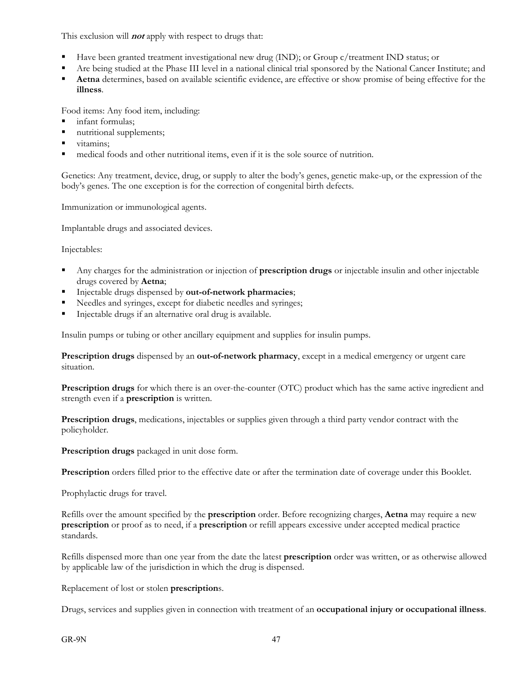This exclusion will **not** apply with respect to drugs that:

- Have been granted treatment investigational new drug (IND); or Group c/treatment IND status; or
- Are being studied at the Phase III level in a national clinical trial sponsored by the National Cancer Institute; and
- **Aetna** determines, based on available scientific evidence, are effective or show promise of being effective for the **illness**.

Food items: Any food item, including:

- infant formulas;
- nutritional supplements;
- vitamins:
- medical foods and other nutritional items, even if it is the sole source of nutrition.

Genetics: Any treatment, device, drug, or supply to alter the body's genes, genetic make-up, or the expression of the body's genes. The one exception is for the correction of congenital birth defects.

Immunization or immunological agents.

Implantable drugs and associated devices.

Injectables:

- Any charges for the administration or injection of **prescription drugs** or injectable insulin and other injectable drugs covered by **Aetna**;
- Injectable drugs dispensed by **out-of-network pharmacies**;
- Needles and syringes, except for diabetic needles and syringes;
- Injectable drugs if an alternative oral drug is available.

Insulin pumps or tubing or other ancillary equipment and supplies for insulin pumps.

**Prescription drugs** dispensed by an **out-of-network pharmacy**, except in a medical emergency or urgent care situation.

**Prescription drugs** for which there is an over-the-counter (OTC) product which has the same active ingredient and strength even if a **prescription** is written.

**Prescription drugs**, medications, injectables or supplies given through a third party vendor contract with the policyholder.

**Prescription drugs** packaged in unit dose form.

**Prescription** orders filled prior to the effective date or after the termination date of coverage under this Booklet.

Prophylactic drugs for travel.

Refills over the amount specified by the **prescription** order. Before recognizing charges, **Aetna** may require a new **prescription** or proof as to need, if a **prescription** or refill appears excessive under accepted medical practice standards.

Refills dispensed more than one year from the date the latest **prescription** order was written, or as otherwise allowed by applicable law of the jurisdiction in which the drug is dispensed.

Replacement of lost or stolen **prescription**s.

Drugs, services and supplies given in connection with treatment of an **occupational injury or occupational illness**.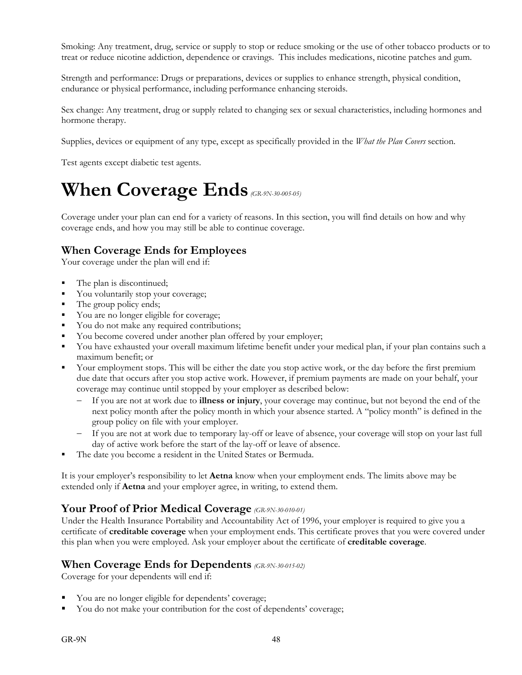Smoking: Any treatment, drug, service or supply to stop or reduce smoking or the use of other tobacco products or to treat or reduce nicotine addiction, dependence or cravings. This includes medications, nicotine patches and gum.

Strength and performance: Drugs or preparations, devices or supplies to enhance strength, physical condition, endurance or physical performance, including performance enhancing steroids.

Sex change: Any treatment, drug or supply related to changing sex or sexual characteristics, including hormones and hormone therapy.

Supplies, devices or equipment of any type, except as specifically provided in the *What the Plan Covers* section.

Test agents except diabetic test agents.

# **When Coverage Ends** *(GR-9N-30-005-05)*

Coverage under your plan can end for a variety of reasons. In this section, you will find details on how and why coverage ends, and how you may still be able to continue coverage.

## **When Coverage Ends for Employees**

Your coverage under the plan will end if:

- The plan is discontinued;
- You voluntarily stop your coverage;
- The group policy ends;
- You are no longer eligible for coverage;
- You do not make any required contributions;
- You become covered under another plan offered by your employer;
- You have exhausted your overall maximum lifetime benefit under your medical plan, if your plan contains such a maximum benefit; or
- Your employment stops. This will be either the date you stop active work, or the day before the first premium due date that occurs after you stop active work. However, if premium payments are made on your behalf, your coverage may continue until stopped by your employer as described below:
	- If you are not at work due to **illness or injury**, your coverage may continue, but not beyond the end of the next policy month after the policy month in which your absence started. A "policy month" is defined in the group policy on file with your employer.
	- If you are not at work due to temporary lay-off or leave of absence, your coverage will stop on your last full day of active work before the start of the lay-off or leave of absence.
- The date you become a resident in the United States or Bermuda.

It is your employer's responsibility to let **Aetna** know when your employment ends. The limits above may be extended only if **Aetna** and your employer agree, in writing, to extend them.

### **Your Proof of Prior Medical Coverage** *(GR-9N-30-010-01)*

Under the Health Insurance Portability and Accountability Act of 1996, your employer is required to give you a certificate of **creditable coverage** when your employment ends. This certificate proves that you were covered under this plan when you were employed. Ask your employer about the certificate of **creditable coverage**.

### **When Coverage Ends for Dependents** *(GR-9N-30-015-02)*

Coverage for your dependents will end if:

- You are no longer eligible for dependents' coverage;
- You do not make your contribution for the cost of dependents' coverage;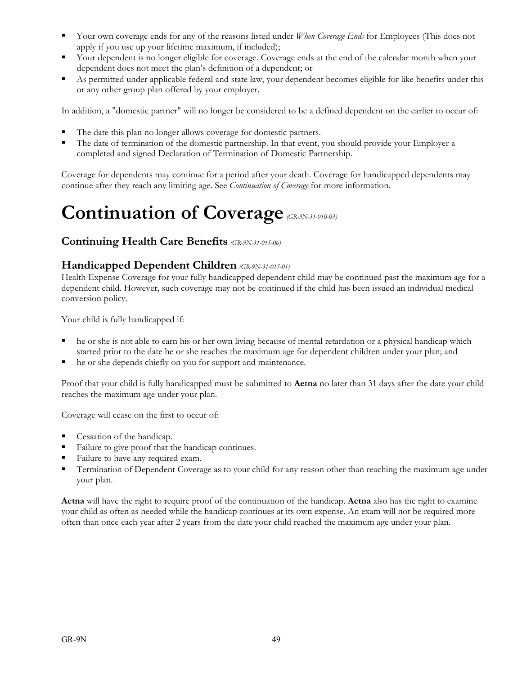- Your own coverage ends for any of the reasons listed under *When Coverage Ends* for Employees (This does not apply if you use up your lifetime maximum, if included);
- Your dependent is no longer eligible for coverage. Coverage ends at the end of the calendar month when your dependent does not meet the plan's definition of a dependent; or
- As permitted under applicable federal and state law, your dependent becomes eligible for like benefits under this or any other group plan offered by your employer.

In addition, a "domestic partner" will no longer be considered to be a defined dependent on the earlier to occur of:

- The date this plan no longer allows coverage for domestic partners.
- The date of termination of the domestic partnership. In that event, you should provide your Employer a completed and signed Declaration of Termination of Domestic Partnership.

Coverage for dependents may continue for a period after your death. Coverage for handicapped dependents may continue after they reach any limiting age. See *Continuation of Coverage* for more information.

# **Continuation of Coverage***(GR-9N-31-010-03)*

### **Continuing Health Care Benefits** *(GR-9N-31-015-06)*

### **Handicapped Dependent Children** *(GR-9N-31-015-01)*

Health Expense Coverage for your fully handicapped dependent child may be continued past the maximum age for a dependent child. However, such coverage may not be continued if the child has been issued an individual medical conversion policy.

Your child is fully handicapped if:

- he or she is not able to earn his or her own living because of mental retardation or a physical handicap which started prior to the date he or she reaches the maximum age for dependent children under your plan; and
- he or she depends chiefly on you for support and maintenance.

Proof that your child is fully handicapped must be submitted to **Aetna** no later than 31 days after the date your child reaches the maximum age under your plan.

Coverage will cease on the first to occur of:

- Cessation of the handicap.
- Failure to give proof that the handicap continues.
- Failure to have any required exam.
- **Termination of Dependent Coverage as to your child for any reason other than reaching the maximum age under** your plan.

**Aetna** will have the right to require proof of the continuation of the handicap. **Aetna** also has the right to examine your child as often as needed while the handicap continues at its own expense. An exam will not be required more often than once each year after 2 years from the date your child reached the maximum age under your plan.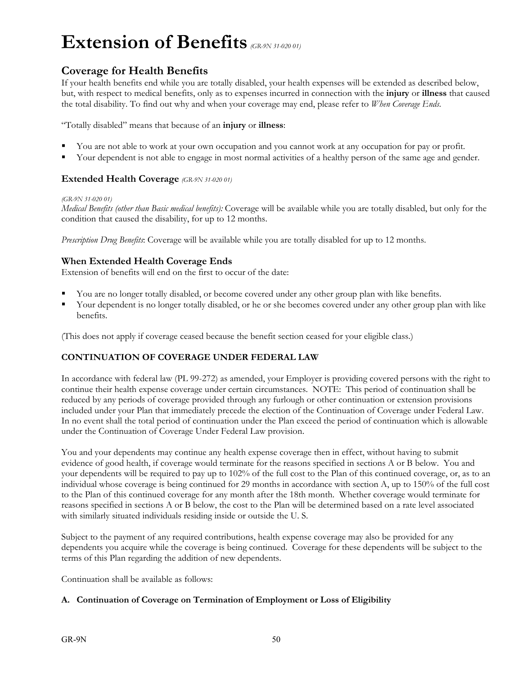# **Extension of Benefits** *(GR-9N 31-020 01)*

## **Coverage for Health Benefits**

If your health benefits end while you are totally disabled, your health expenses will be extended as described below, but, with respect to medical benefits, only as to expenses incurred in connection with the **injury** or **illness** that caused the total disability. To find out why and when your coverage may end, please refer to *When Coverage Ends*.

"Totally disabled" means that because of an **injury** or **illness**:

- You are not able to work at your own occupation and you cannot work at any occupation for pay or profit.
- Your dependent is not able to engage in most normal activities of a healthy person of the same age and gender.

### **Extended Health Coverage** *(GR-9N 31-020 01)*

#### *(GR-9N 31-020 01)*

*Medical Benefits (other than Basic medical benefits):* Coverage will be available while you are totally disabled, but only for the condition that caused the disability, for up to 12 months.

*Prescription Drug Benefits*: Coverage will be available while you are totally disabled for up to 12 months.

### **When Extended Health Coverage Ends**

Extension of benefits will end on the first to occur of the date:

- You are no longer totally disabled, or become covered under any other group plan with like benefits.
- Your dependent is no longer totally disabled, or he or she becomes covered under any other group plan with like benefits.

(This does not apply if coverage ceased because the benefit section ceased for your eligible class.)

### **CONTINUATION OF COVERAGE UNDER FEDERAL LAW**

In accordance with federal law (PL 99-272) as amended, your Employer is providing covered persons with the right to continue their health expense coverage under certain circumstances. NOTE: This period of continuation shall be reduced by any periods of coverage provided through any furlough or other continuation or extension provisions included under your Plan that immediately precede the election of the Continuation of Coverage under Federal Law. In no event shall the total period of continuation under the Plan exceed the period of continuation which is allowable under the Continuation of Coverage Under Federal Law provision.

You and your dependents may continue any health expense coverage then in effect, without having to submit evidence of good health, if coverage would terminate for the reasons specified in sections A or B below. You and your dependents will be required to pay up to 102% of the full cost to the Plan of this continued coverage, or, as to an individual whose coverage is being continued for 29 months in accordance with section A, up to 150% of the full cost to the Plan of this continued coverage for any month after the 18th month. Whether coverage would terminate for reasons specified in sections A or B below, the cost to the Plan will be determined based on a rate level associated with similarly situated individuals residing inside or outside the U. S.

Subject to the payment of any required contributions, health expense coverage may also be provided for any dependents you acquire while the coverage is being continued. Coverage for these dependents will be subject to the terms of this Plan regarding the addition of new dependents.

Continuation shall be available as follows:

### **A. Continuation of Coverage on Termination of Employment or Loss of Eligibility**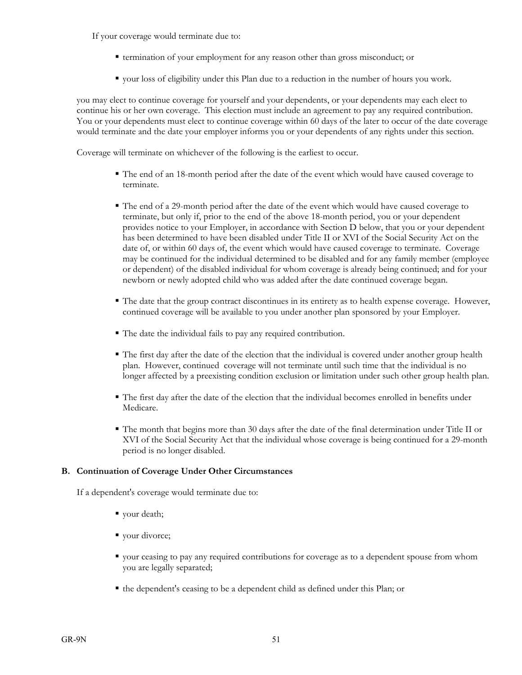If your coverage would terminate due to:

- termination of your employment for any reason other than gross misconduct; or
- your loss of eligibility under this Plan due to a reduction in the number of hours you work.

you may elect to continue coverage for yourself and your dependents, or your dependents may each elect to continue his or her own coverage. This election must include an agreement to pay any required contribution. You or your dependents must elect to continue coverage within 60 days of the later to occur of the date coverage would terminate and the date your employer informs you or your dependents of any rights under this section.

Coverage will terminate on whichever of the following is the earliest to occur.

- The end of an 18-month period after the date of the event which would have caused coverage to terminate.
- The end of a 29-month period after the date of the event which would have caused coverage to terminate, but only if, prior to the end of the above 18-month period, you or your dependent provides notice to your Employer, in accordance with Section D below, that you or your dependent has been determined to have been disabled under Title II or XVI of the Social Security Act on the date of, or within 60 days of, the event which would have caused coverage to terminate. Coverage may be continued for the individual determined to be disabled and for any family member (employee or dependent) of the disabled individual for whom coverage is already being continued; and for your newborn or newly adopted child who was added after the date continued coverage began.
- The date that the group contract discontinues in its entirety as to health expense coverage. However, continued coverage will be available to you under another plan sponsored by your Employer.
- The date the individual fails to pay any required contribution.
- The first day after the date of the election that the individual is covered under another group health plan. However, continued coverage will not terminate until such time that the individual is no longer affected by a preexisting condition exclusion or limitation under such other group health plan.
- The first day after the date of the election that the individual becomes enrolled in benefits under Medicare.
- The month that begins more than 30 days after the date of the final determination under Title II or XVI of the Social Security Act that the individual whose coverage is being continued for a 29-month period is no longer disabled.

### **B. Continuation of Coverage Under Other Circumstances**

If a dependent's coverage would terminate due to:

- vour death;
- vour divorce;
- your ceasing to pay any required contributions for coverage as to a dependent spouse from whom you are legally separated;
- the dependent's ceasing to be a dependent child as defined under this Plan; or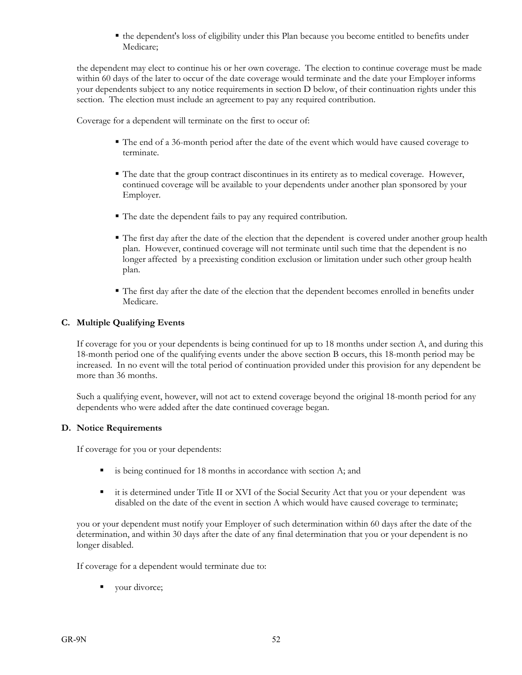the dependent's loss of eligibility under this Plan because you become entitled to benefits under Medicare;

the dependent may elect to continue his or her own coverage. The election to continue coverage must be made within 60 days of the later to occur of the date coverage would terminate and the date your Employer informs your dependents subject to any notice requirements in section D below, of their continuation rights under this section. The election must include an agreement to pay any required contribution.

Coverage for a dependent will terminate on the first to occur of:

- The end of a 36-month period after the date of the event which would have caused coverage to terminate.
- The date that the group contract discontinues in its entirety as to medical coverage. However, continued coverage will be available to your dependents under another plan sponsored by your Employer.
- The date the dependent fails to pay any required contribution.
- The first day after the date of the election that the dependent is covered under another group health plan. However, continued coverage will not terminate until such time that the dependent is no longer affected by a preexisting condition exclusion or limitation under such other group health plan.
- The first day after the date of the election that the dependent becomes enrolled in benefits under Medicare.

### **C. Multiple Qualifying Events**

If coverage for you or your dependents is being continued for up to 18 months under section A, and during this 18-month period one of the qualifying events under the above section B occurs, this 18-month period may be increased. In no event will the total period of continuation provided under this provision for any dependent be more than 36 months.

Such a qualifying event, however, will not act to extend coverage beyond the original 18-month period for any dependents who were added after the date continued coverage began.

### **D. Notice Requirements**

If coverage for you or your dependents:

- is being continued for 18 months in accordance with section A; and
- it is determined under Title II or XVI of the Social Security Act that you or your dependent was disabled on the date of the event in section A which would have caused coverage to terminate;

you or your dependent must notify your Employer of such determination within 60 days after the date of the determination, and within 30 days after the date of any final determination that you or your dependent is no longer disabled.

If coverage for a dependent would terminate due to:

your divorce;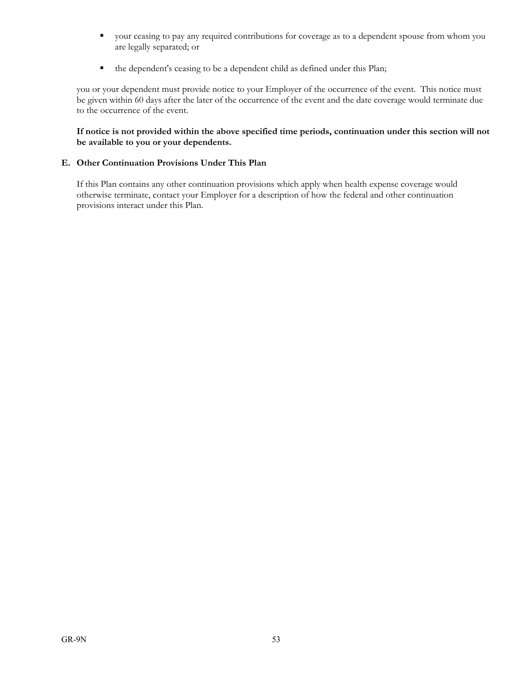- your ceasing to pay any required contributions for coverage as to a dependent spouse from whom you are legally separated; or
- the dependent's ceasing to be a dependent child as defined under this Plan;

you or your dependent must provide notice to your Employer of the occurrence of the event. This notice must be given within 60 days after the later of the occurrence of the event and the date coverage would terminate due to the occurrence of the event.

**If notice is not provided within the above specified time periods, continuation under this section will not be available to you or your dependents.** 

### **E. Other Continuation Provisions Under This Plan**

If this Plan contains any other continuation provisions which apply when health expense coverage would otherwise terminate, contact your Employer for a description of how the federal and other continuation provisions interact under this Plan.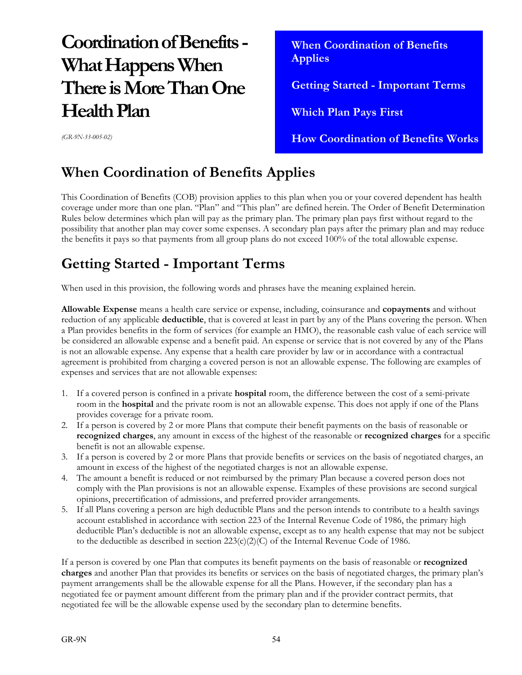# **Coordination of Benefits - What Happens When There is More Than One Health Plan**

 **When Coordination of Benefits Applies Getting Started - Important Terms Which Plan Pays First How Coordination of Benefits Works** 

*(GR-9N-33-005-02)*

# **When Coordination of Benefits Applies**

This Coordination of Benefits (COB) provision applies to this plan when you or your covered dependent has health coverage under more than one plan. "Plan" and "This plan" are defined herein. The Order of Benefit Determination Rules below determines which plan will pay as the primary plan. The primary plan pays first without regard to the possibility that another plan may cover some expenses. A secondary plan pays after the primary plan and may reduce the benefits it pays so that payments from all group plans do not exceed 100% of the total allowable expense.

# **Getting Started - Important Terms**

When used in this provision, the following words and phrases have the meaning explained herein.

**Allowable Expense** means a health care service or expense, including, coinsurance and **copayments** and without reduction of any applicable **deductible**, that is covered at least in part by any of the Plans covering the person. When a Plan provides benefits in the form of services (for example an HMO), the reasonable cash value of each service will be considered an allowable expense and a benefit paid. An expense or service that is not covered by any of the Plans is not an allowable expense. Any expense that a health care provider by law or in accordance with a contractual agreement is prohibited from charging a covered person is not an allowable expense. The following are examples of expenses and services that are not allowable expenses:

- 1. If a covered person is confined in a private **hospital** room, the difference between the cost of a semi-private room in the **hospital** and the private room is not an allowable expense. This does not apply if one of the Plans provides coverage for a private room.
- 2. If a person is covered by 2 or more Plans that compute their benefit payments on the basis of reasonable or **recognized charges**, any amount in excess of the highest of the reasonable or **recognized charges** for a specific benefit is not an allowable expense.
- 3. If a person is covered by 2 or more Plans that provide benefits or services on the basis of negotiated charges, an amount in excess of the highest of the negotiated charges is not an allowable expense.
- 4. The amount a benefit is reduced or not reimbursed by the primary Plan because a covered person does not comply with the Plan provisions is not an allowable expense. Examples of these provisions are second surgical opinions, precertification of admissions, and preferred provider arrangements.
- 5. If all Plans covering a person are high deductible Plans and the person intends to contribute to a health savings account established in accordance with section 223 of the Internal Revenue Code of 1986, the primary high deductible Plan's deductible is not an allowable expense, except as to any health expense that may not be subject to the deductible as described in section  $223(c)(2)(C)$  of the Internal Revenue Code of 1986.

If a person is covered by one Plan that computes its benefit payments on the basis of reasonable or **recognized charges** and another Plan that provides its benefits or services on the basis of negotiated charges, the primary plan's payment arrangements shall be the allowable expense for all the Plans. However, if the secondary plan has a negotiated fee or payment amount different from the primary plan and if the provider contract permits, that negotiated fee will be the allowable expense used by the secondary plan to determine benefits.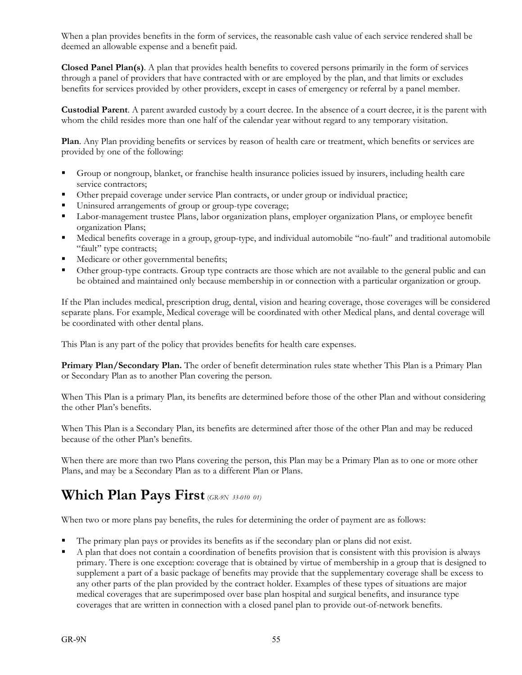When a plan provides benefits in the form of services, the reasonable cash value of each service rendered shall be deemed an allowable expense and a benefit paid.

**Closed Panel Plan(s)**. A plan that provides health benefits to covered persons primarily in the form of services through a panel of providers that have contracted with or are employed by the plan, and that limits or excludes benefits for services provided by other providers, except in cases of emergency or referral by a panel member.

**Custodial Parent**. A parent awarded custody by a court decree. In the absence of a court decree, it is the parent with whom the child resides more than one half of the calendar year without regard to any temporary visitation.

**Plan**. Any Plan providing benefits or services by reason of health care or treatment, which benefits or services are provided by one of the following:

- Group or nongroup, blanket, or franchise health insurance policies issued by insurers, including health care service contractors;
- Other prepaid coverage under service Plan contracts, or under group or individual practice;
- Uninsured arrangements of group or group-type coverage;
- Labor-management trustee Plans, labor organization plans, employer organization Plans, or employee benefit organization Plans;
- Medical benefits coverage in a group, group-type, and individual automobile "no-fault" and traditional automobile "fault" type contracts;
- Medicare or other governmental benefits;
- Other group-type contracts. Group type contracts are those which are not available to the general public and can be obtained and maintained only because membership in or connection with a particular organization or group.

If the Plan includes medical, prescription drug, dental, vision and hearing coverage, those coverages will be considered separate plans. For example, Medical coverage will be coordinated with other Medical plans, and dental coverage will be coordinated with other dental plans.

This Plan is any part of the policy that provides benefits for health care expenses.

**Primary Plan/Secondary Plan.** The order of benefit determination rules state whether This Plan is a Primary Plan or Secondary Plan as to another Plan covering the person.

When This Plan is a primary Plan, its benefits are determined before those of the other Plan and without considering the other Plan's benefits.

When This Plan is a Secondary Plan, its benefits are determined after those of the other Plan and may be reduced because of the other Plan's benefits.

When there are more than two Plans covering the person, this Plan may be a Primary Plan as to one or more other Plans, and may be a Secondary Plan as to a different Plan or Plans.

# Which Plan Pays First (*GR-9N 33-010 01*)

When two or more plans pay benefits, the rules for determining the order of payment are as follows:

- The primary plan pays or provides its benefits as if the secondary plan or plans did not exist.
- A plan that does not contain a coordination of benefits provision that is consistent with this provision is always primary. There is one exception: coverage that is obtained by virtue of membership in a group that is designed to supplement a part of a basic package of benefits may provide that the supplementary coverage shall be excess to any other parts of the plan provided by the contract holder. Examples of these types of situations are major medical coverages that are superimposed over base plan hospital and surgical benefits, and insurance type coverages that are written in connection with a closed panel plan to provide out-of-network benefits.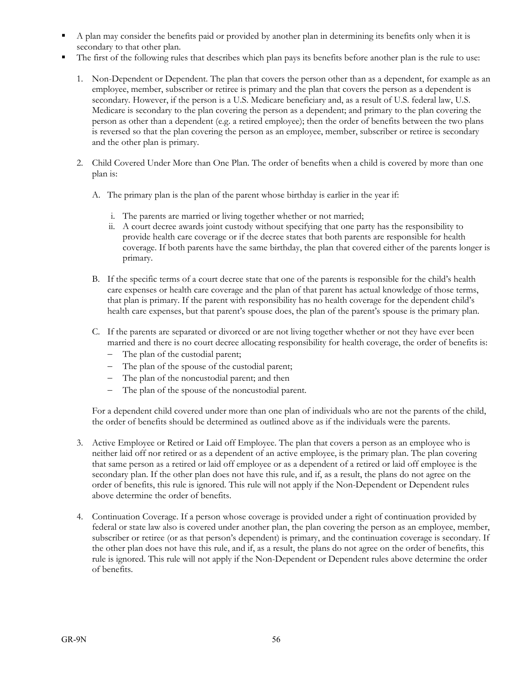- A plan may consider the benefits paid or provided by another plan in determining its benefits only when it is secondary to that other plan.
- The first of the following rules that describes which plan pays its benefits before another plan is the rule to use:
	- 1. Non-Dependent or Dependent. The plan that covers the person other than as a dependent, for example as an employee, member, subscriber or retiree is primary and the plan that covers the person as a dependent is secondary. However, if the person is a U.S. Medicare beneficiary and, as a result of U.S. federal law, U.S. Medicare is secondary to the plan covering the person as a dependent; and primary to the plan covering the person as other than a dependent (e.g. a retired employee); then the order of benefits between the two plans is reversed so that the plan covering the person as an employee, member, subscriber or retiree is secondary and the other plan is primary.
	- 2. Child Covered Under More than One Plan. The order of benefits when a child is covered by more than one plan is:
		- A. The primary plan is the plan of the parent whose birthday is earlier in the year if:
			- i. The parents are married or living together whether or not married;
			- ii. A court decree awards joint custody without specifying that one party has the responsibility to provide health care coverage or if the decree states that both parents are responsible for health coverage. If both parents have the same birthday, the plan that covered either of the parents longer is primary.
		- B. If the specific terms of a court decree state that one of the parents is responsible for the child's health care expenses or health care coverage and the plan of that parent has actual knowledge of those terms, that plan is primary. If the parent with responsibility has no health coverage for the dependent child's health care expenses, but that parent's spouse does, the plan of the parent's spouse is the primary plan.
		- C. If the parents are separated or divorced or are not living together whether or not they have ever been married and there is no court decree allocating responsibility for health coverage, the order of benefits is:
			- The plan of the custodial parent;
			- The plan of the spouse of the custodial parent;
			- The plan of the noncustodial parent; and then
			- The plan of the spouse of the noncustodial parent.

For a dependent child covered under more than one plan of individuals who are not the parents of the child, the order of benefits should be determined as outlined above as if the individuals were the parents.

- 3. Active Employee or Retired or Laid off Employee. The plan that covers a person as an employee who is neither laid off nor retired or as a dependent of an active employee, is the primary plan. The plan covering that same person as a retired or laid off employee or as a dependent of a retired or laid off employee is the secondary plan. If the other plan does not have this rule, and if, as a result, the plans do not agree on the order of benefits, this rule is ignored. This rule will not apply if the Non-Dependent or Dependent rules above determine the order of benefits.
- 4. Continuation Coverage. If a person whose coverage is provided under a right of continuation provided by federal or state law also is covered under another plan, the plan covering the person as an employee, member, subscriber or retiree (or as that person's dependent) is primary, and the continuation coverage is secondary. If the other plan does not have this rule, and if, as a result, the plans do not agree on the order of benefits, this rule is ignored. This rule will not apply if the Non-Dependent or Dependent rules above determine the order of benefits.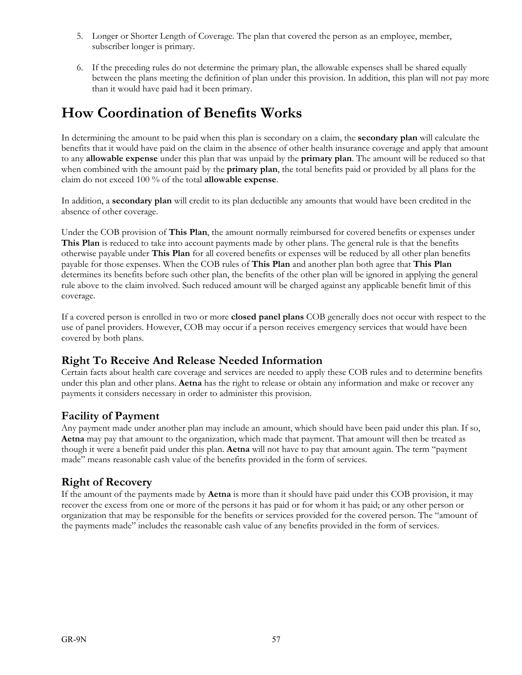- 5. Longer or Shorter Length of Coverage. The plan that covered the person as an employee, member, subscriber longer is primary.
- 6. If the preceding rules do not determine the primary plan, the allowable expenses shall be shared equally between the plans meeting the definition of plan under this provision. In addition, this plan will not pay more than it would have paid had it been primary.

## **How Coordination of Benefits Works**

In determining the amount to be paid when this plan is secondary on a claim, the **secondary plan** will calculate the benefits that it would have paid on the claim in the absence of other health insurance coverage and apply that amount to any **allowable expense** under this plan that was unpaid by the **primary plan**. The amount will be reduced so that when combined with the amount paid by the **primary plan**, the total benefits paid or provided by all plans for the claim do not exceed 100 % of the total **allowable expense**.

In addition, a **secondary plan** will credit to its plan deductible any amounts that would have been credited in the absence of other coverage.

Under the COB provision of **This Plan**, the amount normally reimbursed for covered benefits or expenses under **This Plan** is reduced to take into account payments made by other plans. The general rule is that the benefits otherwise payable under **This Plan** for all covered benefits or expenses will be reduced by all other plan benefits payable for those expenses. When the COB rules of **This Plan** and another plan both agree that **This Plan** determines its benefits before such other plan, the benefits of the other plan will be ignored in applying the general rule above to the claim involved. Such reduced amount will be charged against any applicable benefit limit of this coverage.

If a covered person is enrolled in two or more **closed panel plans** COB generally does not occur with respect to the use of panel providers. However, COB may occur if a person receives emergency services that would have been covered by both plans.

### **Right To Receive And Release Needed Information**

Certain facts about health care coverage and services are needed to apply these COB rules and to determine benefits under this plan and other plans. **Aetna** has the right to release or obtain any information and make or recover any payments it considers necessary in order to administer this provision.

## **Facility of Payment**

Any payment made under another plan may include an amount, which should have been paid under this plan. If so, **Aetna** may pay that amount to the organization, which made that payment. That amount will then be treated as though it were a benefit paid under this plan. **Aetna** will not have to pay that amount again. The term "payment made" means reasonable cash value of the benefits provided in the form of services.

## **Right of Recovery**

If the amount of the payments made by **Aetna** is more than it should have paid under this COB provision, it may recover the excess from one or more of the persons it has paid or for whom it has paid; or any other person or organization that may be responsible for the benefits or services provided for the covered person. The "amount of the payments made" includes the reasonable cash value of any benefits provided in the form of services.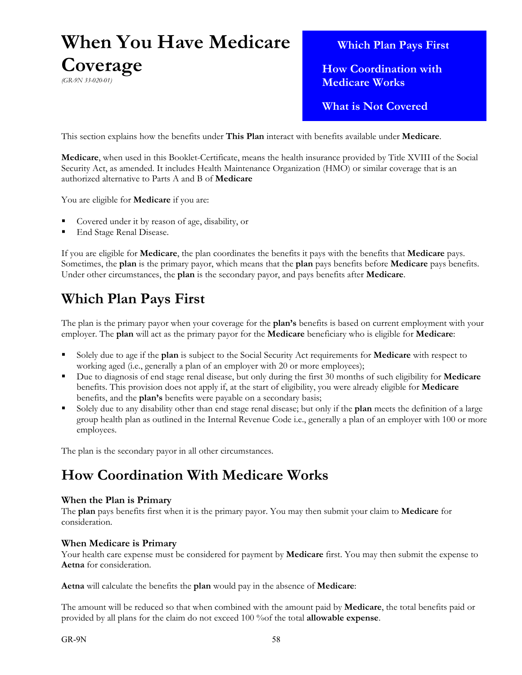# **When You Have Medicare Coverage** *(GR-9N 33-020-01)*

 **Which Plan Pays First**

 **How Coordination with Medicare Works**

 **What is Not Covered**

This section explains how the benefits under **This Plan** interact with benefits available under **Medicare**.

**Medicare**, when used in this Booklet-Certificate, means the health insurance provided by Title XVIII of the Social Security Act, as amended. It includes Health Maintenance Organization (HMO) or similar coverage that is an authorized alternative to Parts A and B of **Medicare**

You are eligible for **Medicare** if you are:

- Covered under it by reason of age, disability, or
- End Stage Renal Disease.

If you are eligible for **Medicare**, the plan coordinates the benefits it pays with the benefits that **Medicare** pays. Sometimes, the **plan** is the primary payor, which means that the **plan** pays benefits before **Medicare** pays benefits. Under other circumstances, the **plan** is the secondary payor, and pays benefits after **Medicare**.

# **Which Plan Pays First**

The plan is the primary payor when your coverage for the **plan's** benefits is based on current employment with your employer. The **plan** will act as the primary payor for the **Medicare** beneficiary who is eligible for **Medicare**:

- Solely due to age if the **plan** is subject to the Social Security Act requirements for **Medicare** with respect to working aged (i.e., generally a plan of an employer with 20 or more employees);
- Due to diagnosis of end stage renal disease, but only during the first 30 months of such eligibility for **Medicare**  benefits. This provision does not apply if, at the start of eligibility, you were already eligible for **Medicare**  benefits, and the **plan's** benefits were payable on a secondary basis;
- Solely due to any disability other than end stage renal disease; but only if the **plan** meets the definition of a large group health plan as outlined in the Internal Revenue Code i.e., generally a plan of an employer with 100 or more employees.

The plan is the secondary payor in all other circumstances.

# **How Coordination With Medicare Works**

### **When the Plan is Primary**

The **plan** pays benefits first when it is the primary payor. You may then submit your claim to **Medicare** for consideration.

### **When Medicare is Primary**

Your health care expense must be considered for payment by **Medicare** first. You may then submit the expense to **Aetna** for consideration.

**Aetna** will calculate the benefits the **plan** would pay in the absence of **Medicare**:

The amount will be reduced so that when combined with the amount paid by **Medicare**, the total benefits paid or provided by all plans for the claim do not exceed 100 %of the total **allowable expense**.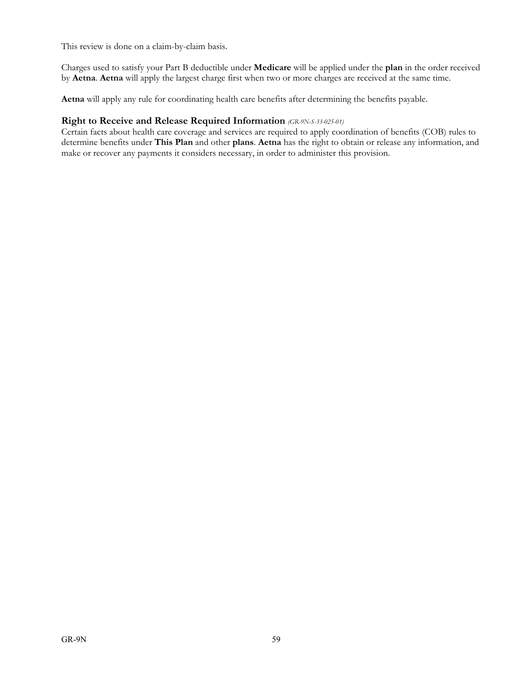This review is done on a claim-by-claim basis.

Charges used to satisfy your Part B deductible under **Medicare** will be applied under the **plan** in the order received by **Aetna**. **Aetna** will apply the largest charge first when two or more charges are received at the same time.

**Aetna** will apply any rule for coordinating health care benefits after determining the benefits payable.

### **Right to Receive and Release Required Information** *(GR-9N-S-33-025-01)*

Certain facts about health care coverage and services are required to apply coordination of benefits (COB) rules to determine benefits under **This Plan** and other **plans**. **Aetna** has the right to obtain or release any information, and make or recover any payments it considers necessary, in order to administer this provision.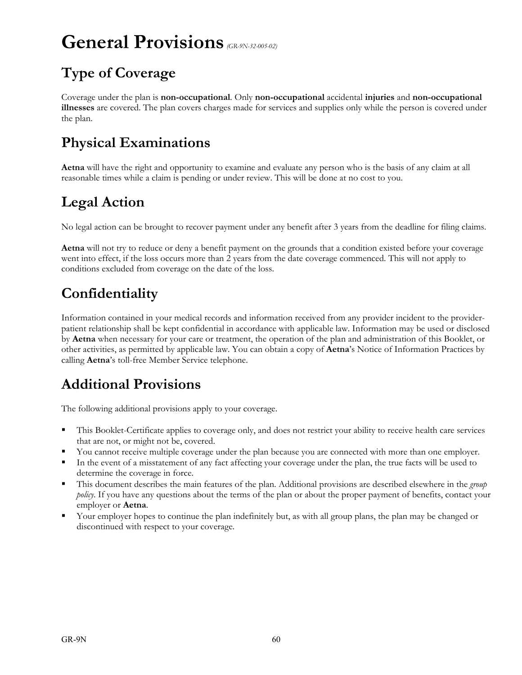# **General Provisions** *(GR-9N-32-005-02)*

# **Type of Coverage**

Coverage under the plan is **non-occupational**. Only **non-occupational** accidental **injuries** and **non-occupational illnesses** are covered. The plan covers charges made for services and supplies only while the person is covered under the plan.

## **Physical Examinations**

**Aetna** will have the right and opportunity to examine and evaluate any person who is the basis of any claim at all reasonable times while a claim is pending or under review. This will be done at no cost to you.

# **Legal Action**

No legal action can be brought to recover payment under any benefit after 3 years from the deadline for filing claims.

**Aetna** will not try to reduce or deny a benefit payment on the grounds that a condition existed before your coverage went into effect, if the loss occurs more than 2 years from the date coverage commenced. This will not apply to conditions excluded from coverage on the date of the loss.

# **Confidentiality**

Information contained in your medical records and information received from any provider incident to the providerpatient relationship shall be kept confidential in accordance with applicable law. Information may be used or disclosed by **Aetna** when necessary for your care or treatment, the operation of the plan and administration of this Booklet, or other activities, as permitted by applicable law. You can obtain a copy of **Aetna**'s Notice of Information Practices by calling **Aetna**'s toll-free Member Service telephone.

# **Additional Provisions**

The following additional provisions apply to your coverage.

- This Booklet-Certificate applies to coverage only, and does not restrict your ability to receive health care services that are not, or might not be, covered.
- You cannot receive multiple coverage under the plan because you are connected with more than one employer.
- In the event of a misstatement of any fact affecting your coverage under the plan, the true facts will be used to determine the coverage in force.
- This document describes the main features of the plan. Additional provisions are described elsewhere in the *group policy*. If you have any questions about the terms of the plan or about the proper payment of benefits, contact your employer or **Aetna**.
- Your employer hopes to continue the plan indefinitely but, as with all group plans, the plan may be changed or discontinued with respect to your coverage.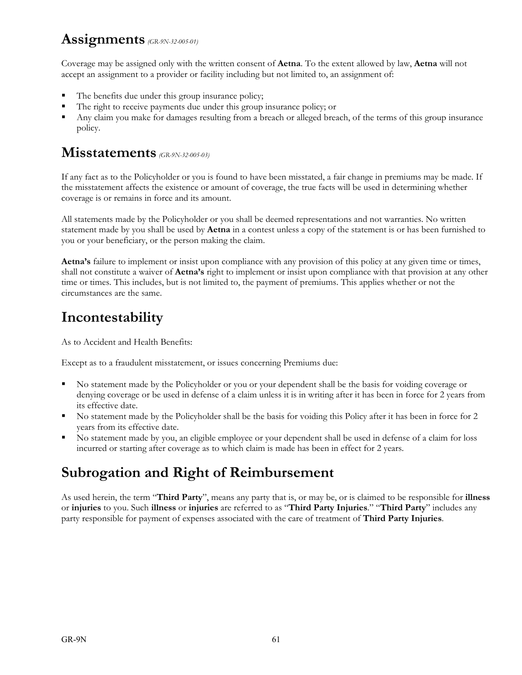## **Assignments** *(GR-9N-32-005-01)*

Coverage may be assigned only with the written consent of **Aetna**. To the extent allowed by law, **Aetna** will not accept an assignment to a provider or facility including but not limited to, an assignment of:

- The benefits due under this group insurance policy;
- The right to receive payments due under this group insurance policy; or
- Any claim you make for damages resulting from a breach or alleged breach, of the terms of this group insurance policy.

## **Misstatements** *(GR-9N-32-005-03)*

If any fact as to the Policyholder or you is found to have been misstated, a fair change in premiums may be made. If the misstatement affects the existence or amount of coverage, the true facts will be used in determining whether coverage is or remains in force and its amount.

All statements made by the Policyholder or you shall be deemed representations and not warranties. No written statement made by you shall be used by **Aetna** in a contest unless a copy of the statement is or has been furnished to you or your beneficiary, or the person making the claim.

**Aetna's** failure to implement or insist upon compliance with any provision of this policy at any given time or times, shall not constitute a waiver of **Aetna's** right to implement or insist upon compliance with that provision at any other time or times. This includes, but is not limited to, the payment of premiums. This applies whether or not the circumstances are the same.

# **Incontestability**

As to Accident and Health Benefits:

Except as to a fraudulent misstatement, or issues concerning Premiums due:

- No statement made by the Policyholder or you or your dependent shall be the basis for voiding coverage or denying coverage or be used in defense of a claim unless it is in writing after it has been in force for 2 years from its effective date.
- No statement made by the Policyholder shall be the basis for voiding this Policy after it has been in force for 2 years from its effective date.
- No statement made by you, an eligible employee or your dependent shall be used in defense of a claim for loss incurred or starting after coverage as to which claim is made has been in effect for 2 years.

# **Subrogation and Right of Reimbursement**

As used herein, the term "**Third Party**", means any party that is, or may be, or is claimed to be responsible for **illness**  or **injuries** to you. Such **illness** or **injuries** are referred to as "**Third Party Injuries**." "**Third Party**" includes any party responsible for payment of expenses associated with the care of treatment of **Third Party Injuries**.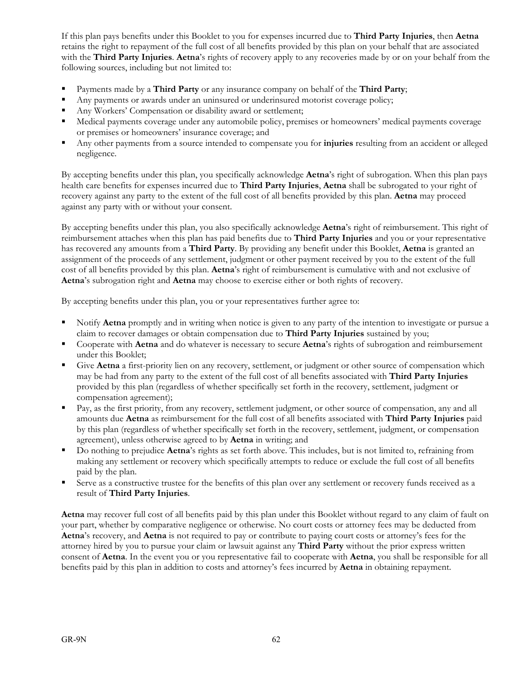If this plan pays benefits under this Booklet to you for expenses incurred due to **Third Party Injuries**, then **Aetna**  retains the right to repayment of the full cost of all benefits provided by this plan on your behalf that are associated with the **Third Party Injuries**. **Aetna**'s rights of recovery apply to any recoveries made by or on your behalf from the following sources, including but not limited to:

- Payments made by a **Third Party** or any insurance company on behalf of the **Third Party**;
- Any payments or awards under an uninsured or underinsured motorist coverage policy;
- Any Workers' Compensation or disability award or settlement;
- Medical payments coverage under any automobile policy, premises or homeowners' medical payments coverage or premises or homeowners' insurance coverage; and
- Any other payments from a source intended to compensate you for **injuries** resulting from an accident or alleged negligence.

By accepting benefits under this plan, you specifically acknowledge **Aetna**'s right of subrogation. When this plan pays health care benefits for expenses incurred due to **Third Party Injuries**, **Aetna** shall be subrogated to your right of recovery against any party to the extent of the full cost of all benefits provided by this plan. **Aetna** may proceed against any party with or without your consent.

By accepting benefits under this plan, you also specifically acknowledge **Aetna**'s right of reimbursement. This right of reimbursement attaches when this plan has paid benefits due to **Third Party Injuries** and you or your representative has recovered any amounts from a **Third Party**. By providing any benefit under this Booklet, **Aetna** is granted an assignment of the proceeds of any settlement, judgment or other payment received by you to the extent of the full cost of all benefits provided by this plan. **Aetna**'s right of reimbursement is cumulative with and not exclusive of **Aetna**'s subrogation right and **Aetna** may choose to exercise either or both rights of recovery.

By accepting benefits under this plan, you or your representatives further agree to:

- Notify **Aetna** promptly and in writing when notice is given to any party of the intention to investigate or pursue a claim to recover damages or obtain compensation due to **Third Party Injuries** sustained by you;
- Cooperate with **Aetna** and do whatever is necessary to secure **Aetna**'s rights of subrogation and reimbursement under this Booklet;
- Give **Aetna** a first-priority lien on any recovery, settlement, or judgment or other source of compensation which may be had from any party to the extent of the full cost of all benefits associated with **Third Party Injuries** provided by this plan (regardless of whether specifically set forth in the recovery, settlement, judgment or compensation agreement);
- Pay, as the first priority, from any recovery, settlement judgment, or other source of compensation, any and all amounts due **Aetna** as reimbursement for the full cost of all benefits associated with **Third Party Injuries** paid by this plan (regardless of whether specifically set forth in the recovery, settlement, judgment, or compensation agreement), unless otherwise agreed to by **Aetna** in writing; and
- Do nothing to prejudice **Aetna**'s rights as set forth above. This includes, but is not limited to, refraining from making any settlement or recovery which specifically attempts to reduce or exclude the full cost of all benefits paid by the plan.
- Serve as a constructive trustee for the benefits of this plan over any settlement or recovery funds received as a result of **Third Party Injuries**.

**Aetna** may recover full cost of all benefits paid by this plan under this Booklet without regard to any claim of fault on your part, whether by comparative negligence or otherwise. No court costs or attorney fees may be deducted from **Aetna**'s recovery, and **Aetna** is not required to pay or contribute to paying court costs or attorney's fees for the attorney hired by you to pursue your claim or lawsuit against any **Third Party** without the prior express written consent of **Aetna**. In the event you or you representative fail to cooperate with **Aetna**, you shall be responsible for all benefits paid by this plan in addition to costs and attorney's fees incurred by **Aetna** in obtaining repayment.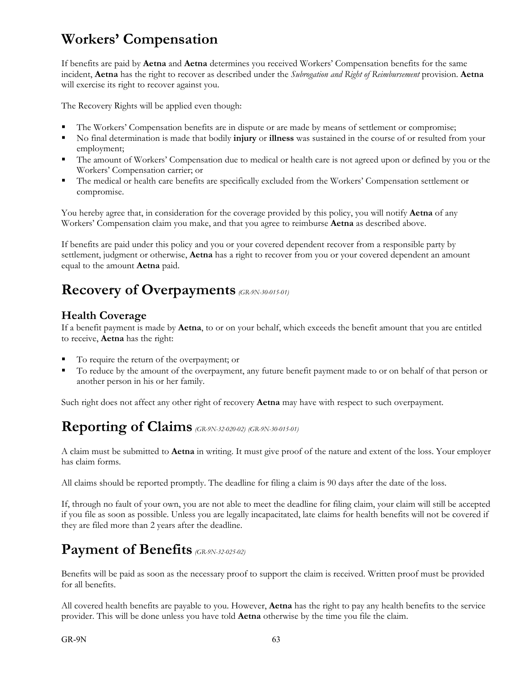# **Workers' Compensation**

If benefits are paid by **Aetna** and **Aetna** determines you received Workers' Compensation benefits for the same incident, **Aetna** has the right to recover as described under the *Subrogation and Right of Reimbursement* provision. **Aetna** will exercise its right to recover against you.

The Recovery Rights will be applied even though:

- The Workers' Compensation benefits are in dispute or are made by means of settlement or compromise;
- No final determination is made that bodily **injury** or **illness** was sustained in the course of or resulted from your employment;
- The amount of Workers' Compensation due to medical or health care is not agreed upon or defined by you or the Workers' Compensation carrier; or
- The medical or health care benefits are specifically excluded from the Workers' Compensation settlement or compromise.

You hereby agree that, in consideration for the coverage provided by this policy, you will notify **Aetna** of any Workers' Compensation claim you make, and that you agree to reimburse **Aetna** as described above.

If benefits are paid under this policy and you or your covered dependent recover from a responsible party by settlement, judgment or otherwise, **Aetna** has a right to recover from you or your covered dependent an amount equal to the amount **Aetna** paid.

# **Recovery of Overpayments** *(GR-9N-30-015-01)*

## **Health Coverage**

If a benefit payment is made by **Aetna**, to or on your behalf, which exceeds the benefit amount that you are entitled to receive, **Aetna** has the right:

- To require the return of the overpayment; or
- To reduce by the amount of the overpayment, any future benefit payment made to or on behalf of that person or another person in his or her family.

Such right does not affect any other right of recovery **Aetna** may have with respect to such overpayment.

# **Reporting of Claims** *(GR-9N-32-020-02) (GR-9N-30-015-01)*

A claim must be submitted to **Aetna** in writing. It must give proof of the nature and extent of the loss. Your employer has claim forms.

All claims should be reported promptly. The deadline for filing a claim is 90 days after the date of the loss.

If, through no fault of your own, you are not able to meet the deadline for filing claim, your claim will still be accepted if you file as soon as possible. Unless you are legally incapacitated, late claims for health benefits will not be covered if they are filed more than 2 years after the deadline.

# **Payment of Benefits** *(GR-9N-32-025-02)*

Benefits will be paid as soon as the necessary proof to support the claim is received. Written proof must be provided for all benefits.

All covered health benefits are payable to you. However, **Aetna** has the right to pay any health benefits to the service provider. This will be done unless you have told **Aetna** otherwise by the time you file the claim.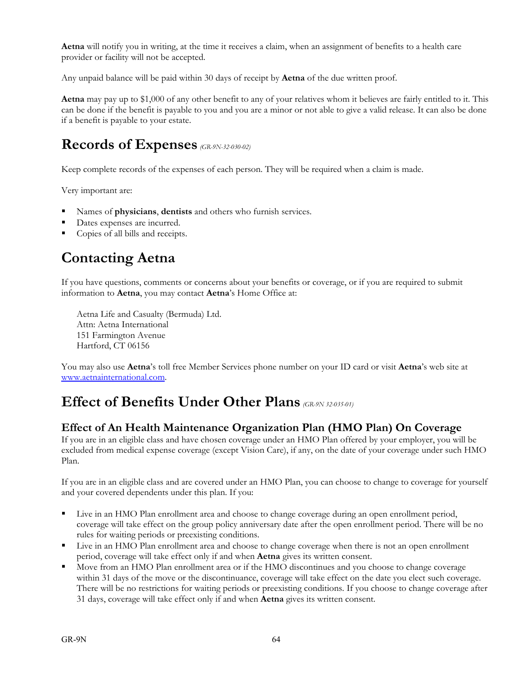**Aetna** will notify you in writing, at the time it receives a claim, when an assignment of benefits to a health care provider or facility will not be accepted.

Any unpaid balance will be paid within 30 days of receipt by **Aetna** of the due written proof.

**Aetna** may pay up to \$1,000 of any other benefit to any of your relatives whom it believes are fairly entitled to it. This can be done if the benefit is payable to you and you are a minor or not able to give a valid release. It can also be done if a benefit is payable to your estate.

# **Records of Expenses** *(GR-9N-32-030-02)*

Keep complete records of the expenses of each person. They will be required when a claim is made.

Very important are:

- Names of **physicians**, **dentists** and others who furnish services.
- Dates expenses are incurred.
- Copies of all bills and receipts.

# **Contacting Aetna**

If you have questions, comments or concerns about your benefits or coverage, or if you are required to submit information to **Aetna**, you may contact **Aetna**'s Home Office at:

Aetna Life and Casualty (Bermuda) Ltd. Attn: Aetna International 151 Farmington Avenue Hartford, CT 06156

You may also use **Aetna**'s toll free Member Services phone number on your ID card or visit **Aetna**'s web site at www.aetnainternational.com.

# **Effect of Benefits Under Other Plans** *(GR-9N 32-035-01)*

## **Effect of An Health Maintenance Organization Plan (HMO Plan) On Coverage**

If you are in an eligible class and have chosen coverage under an HMO Plan offered by your employer, you will be excluded from medical expense coverage (except Vision Care), if any, on the date of your coverage under such HMO Plan.

If you are in an eligible class and are covered under an HMO Plan, you can choose to change to coverage for yourself and your covered dependents under this plan. If you:

- Live in an HMO Plan enrollment area and choose to change coverage during an open enrollment period, coverage will take effect on the group policy anniversary date after the open enrollment period. There will be no rules for waiting periods or preexisting conditions.
- Live in an HMO Plan enrollment area and choose to change coverage when there is not an open enrollment period, coverage will take effect only if and when **Aetna** gives its written consent.
- Move from an HMO Plan enrollment area or if the HMO discontinues and you choose to change coverage within 31 days of the move or the discontinuance, coverage will take effect on the date you elect such coverage. There will be no restrictions for waiting periods or preexisting conditions. If you choose to change coverage after 31 days, coverage will take effect only if and when **Aetna** gives its written consent.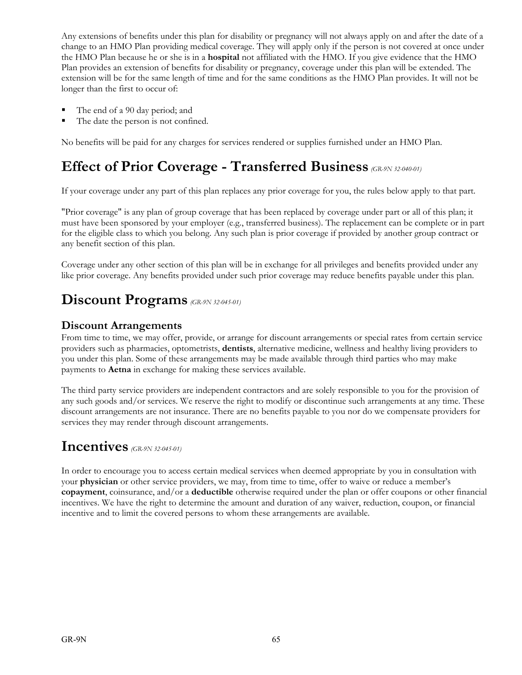Any extensions of benefits under this plan for disability or pregnancy will not always apply on and after the date of a change to an HMO Plan providing medical coverage. They will apply only if the person is not covered at once under the HMO Plan because he or she is in a **hospital** not affiliated with the HMO. If you give evidence that the HMO Plan provides an extension of benefits for disability or pregnancy, coverage under this plan will be extended. The extension will be for the same length of time and for the same conditions as the HMO Plan provides. It will not be longer than the first to occur of:

- The end of a 90 day period; and
- The date the person is not confined.

No benefits will be paid for any charges for services rendered or supplies furnished under an HMO Plan.

## **Effect of Prior Coverage - Transferred Business** *(GR-9N 32-040-01)*

If your coverage under any part of this plan replaces any prior coverage for you, the rules below apply to that part.

"Prior coverage" is any plan of group coverage that has been replaced by coverage under part or all of this plan; it must have been sponsored by your employer (e.g., transferred business). The replacement can be complete or in part for the eligible class to which you belong. Any such plan is prior coverage if provided by another group contract or any benefit section of this plan.

Coverage under any other section of this plan will be in exchange for all privileges and benefits provided under any like prior coverage. Any benefits provided under such prior coverage may reduce benefits payable under this plan.

# **Discount Programs** *(GR-9N 32-045-01)*

### **Discount Arrangements**

From time to time, we may offer, provide, or arrange for discount arrangements or special rates from certain service providers such as pharmacies, optometrists, **dentists**, alternative medicine, wellness and healthy living providers to you under this plan. Some of these arrangements may be made available through third parties who may make payments to **Aetna** in exchange for making these services available.

The third party service providers are independent contractors and are solely responsible to you for the provision of any such goods and/or services. We reserve the right to modify or discontinue such arrangements at any time. These discount arrangements are not insurance. There are no benefits payable to you nor do we compensate providers for services they may render through discount arrangements.

## **Incentives** *(GR-9N 32-045-01)*

In order to encourage you to access certain medical services when deemed appropriate by you in consultation with your **physician** or other service providers, we may, from time to time, offer to waive or reduce a member's **copayment**, coinsurance, and/or a **deductible** otherwise required under the plan or offer coupons or other financial incentives. We have the right to determine the amount and duration of any waiver, reduction, coupon, or financial incentive and to limit the covered persons to whom these arrangements are available.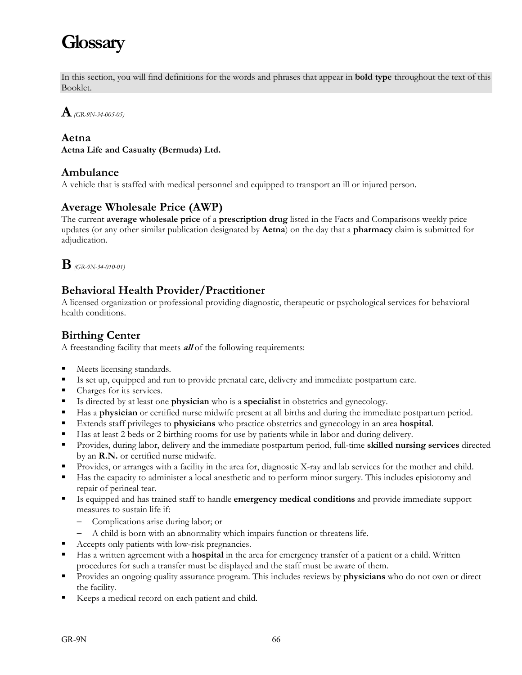# **Glossary**

In this section, you will find definitions for the words and phrases that appear in **bold type** throughout the text of this Booklet.

**A***(GR-9N-34-005-05)*

### **Aetna**

**Aetna Life and Casualty (Bermuda) Ltd.**

### **Ambulance**

A vehicle that is staffed with medical personnel and equipped to transport an ill or injured person.

## **Average Wholesale Price (AWP)**

The current **average wholesale price** of a **prescription drug** listed in the Facts and Comparisons weekly price updates (or any other similar publication designated by **Aetna**) on the day that a **pharmacy** claim is submitted for adjudication.



## **Behavioral Health Provider/Practitioner**

A licensed organization or professional providing diagnostic, therapeutic or psychological services for behavioral health conditions.

## **Birthing Center**

A freestanding facility that meets **all** of the following requirements:

- **Meets licensing standards.**
- Is set up, equipped and run to provide prenatal care, delivery and immediate postpartum care.
- Charges for its services.
- Is directed by at least one **physician** who is a **specialist** in obstetrics and gynecology.
- Has a **physician** or certified nurse midwife present at all births and during the immediate postpartum period.
- Extends staff privileges to **physicians** who practice obstetrics and gynecology in an area **hospital**.
- Has at least 2 beds or 2 birthing rooms for use by patients while in labor and during delivery.
- Provides, during labor, delivery and the immediate postpartum period, full-time **skilled nursing services** directed by an **R.N.** or certified nurse midwife.
- Provides, or arranges with a facility in the area for, diagnostic X-ray and lab services for the mother and child.
- Has the capacity to administer a local anesthetic and to perform minor surgery. This includes episiotomy and repair of perineal tear.
- Is equipped and has trained staff to handle **emergency medical conditions** and provide immediate support measures to sustain life if:
	- Complications arise during labor; or
	- A child is born with an abnormality which impairs function or threatens life.
- Accepts only patients with low-risk pregnancies.
- Has a written agreement with a **hospital** in the area for emergency transfer of a patient or a child. Written procedures for such a transfer must be displayed and the staff must be aware of them.
- Provides an ongoing quality assurance program. This includes reviews by **physicians** who do not own or direct the facility.
- Keeps a medical record on each patient and child.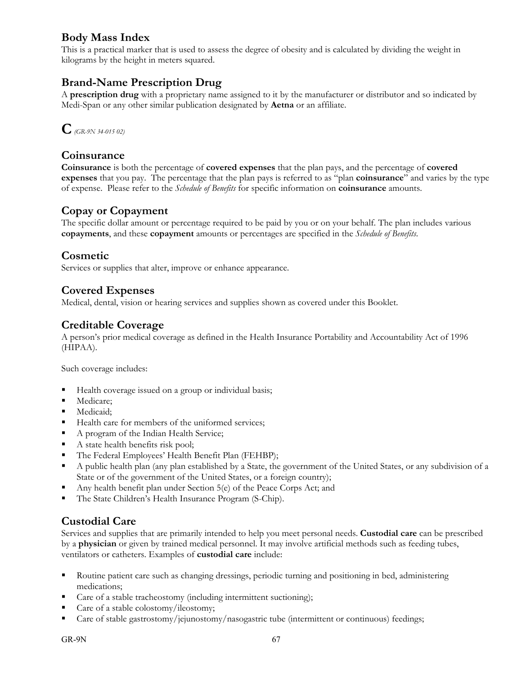## **Body Mass Index**

This is a practical marker that is used to assess the degree of obesity and is calculated by dividing the weight in kilograms by the height in meters squared.

## **Brand-Name Prescription Drug**

A **prescription drug** with a proprietary name assigned to it by the manufacturer or distributor and so indicated by Medi-Span or any other similar publication designated by **Aetna** or an affiliate.



### **Coinsurance**

**Coinsurance** is both the percentage of **covered expenses** that the plan pays, and the percentage of **covered expenses** that you pay. The percentage that the plan pays is referred to as "plan **coinsurance**" and varies by the type of expense. Please refer to the *Schedule of Benefits* for specific information on **coinsurance** amounts.

### **Copay or Copayment**

The specific dollar amount or percentage required to be paid by you or on your behalf. The plan includes various **copayments**, and these **copayment** amounts or percentages are specified in the *Schedule of Benefits*.

### **Cosmetic**

Services or supplies that alter, improve or enhance appearance.

### **Covered Expenses**

Medical, dental, vision or hearing services and supplies shown as covered under this Booklet.

### **Creditable Coverage**

A person's prior medical coverage as defined in the Health Insurance Portability and Accountability Act of 1996 (HIPAA).

Such coverage includes:

- Health coverage issued on a group or individual basis;
- Medicare:
- **Medicaid:**
- Health care for members of the uniformed services;
- A program of the Indian Health Service;
- A state health benefits risk pool;
- The Federal Employees' Health Benefit Plan (FEHBP);
- A public health plan (any plan established by a State, the government of the United States, or any subdivision of a State or of the government of the United States, or a foreign country);
- Any health benefit plan under Section 5(e) of the Peace Corps Act; and
- The State Children's Health Insurance Program (S-Chip).

### **Custodial Care**

Services and supplies that are primarily intended to help you meet personal needs. **Custodial care** can be prescribed by a **physician** or given by trained medical personnel. It may involve artificial methods such as feeding tubes, ventilators or catheters. Examples of **custodial care** include:

- Routine patient care such as changing dressings, periodic turning and positioning in bed, administering medications;
- Care of a stable tracheostomy (including intermittent suctioning);
- Care of a stable colostomy/ileostomy;
- Care of stable gastrostomy/jejunostomy/nasogastric tube (intermittent or continuous) feedings;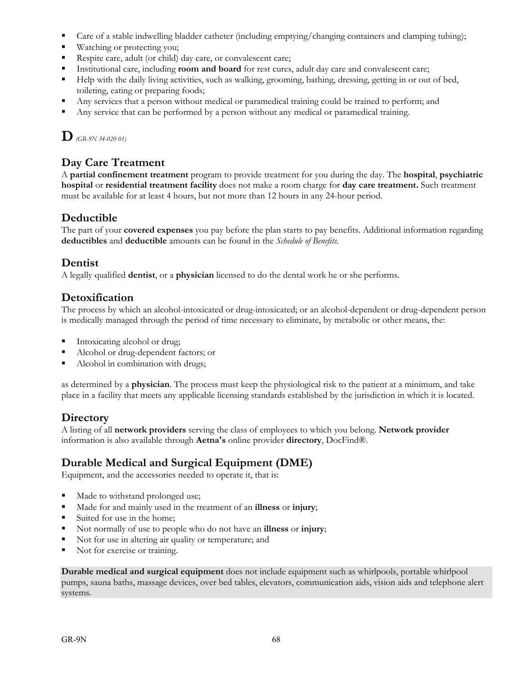- Care of a stable indwelling bladder catheter (including emptying/changing containers and clamping tubing);
- **Watching or protecting you;**
- Respite care, adult (or child) day care, or convalescent care;
- **Institutional care, including <b>room and board** for rest cures, adult day care and convalescent care;
- Help with the daily living activities, such as walking, grooming, bathing, dressing, getting in or out of bed, toileting, eating or preparing foods;
- Any services that a person without medical or paramedical training could be trained to perform; and
- Any service that can be performed by a person without any medical or paramedical training.

**D***(GR-9N 34-020 01)*

## **Day Care Treatment**

A **partial confinement treatment** program to provide treatment for you during the day. The **hospital**, **psychiatric hospital** or **residential treatment facility** does not make a room charge for **day care treatment.** Such treatment must be available for at least 4 hours, but not more than 12 hours in any 24-hour period.

## **Deductible**

The part of your **covered expenses** you pay before the plan starts to pay benefits. Additional information regarding **deductibles** and **deductible** amounts can be found in the *Schedule of Benefits*.

### **Dentist**

A legally qualified **dentist**, or a **physician** licensed to do the dental work he or she performs.

### **Detoxification**

The process by which an alcohol-intoxicated or drug-intoxicated; or an alcohol-dependent or drug-dependent person is medically managed through the period of time necessary to eliminate, by metabolic or other means, the:

- Intoxicating alcohol or drug;
- Alcohol or drug-dependent factors; or
- Alcohol in combination with drugs;

as determined by a **physician**. The process must keep the physiological risk to the patient at a minimum, and take place in a facility that meets any applicable licensing standards established by the jurisdiction in which it is located.

## **Directory**

A listing of all **network providers** serving the class of employees to which you belong. **Network provider** information is also available through **Aetna's** online provider **directory**, DocFind®.

### **Durable Medical and Surgical Equipment (DME)**

Equipment, and the accessories needed to operate it, that is:

- Made to withstand prolonged use;
- Made for and mainly used in the treatment of an **illness** or **injury**;
- Suited for use in the home;
- Not normally of use to people who do not have an **illness** or **injury**;
- Not for use in altering air quality or temperature; and
- Not for exercise or training.

**Durable medical and surgical equipment** does not include equipment such as whirlpools, portable whirlpool pumps, sauna baths, massage devices, over bed tables, elevators, communication aids, vision aids and telephone alert systems.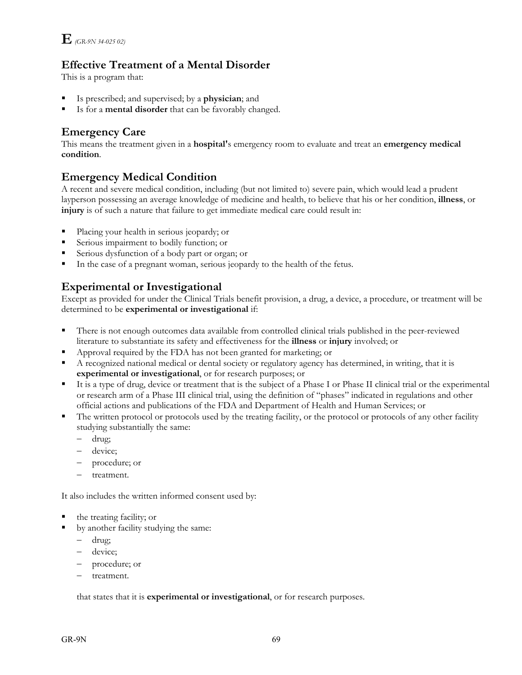## **Effective Treatment of a Mental Disorder**

This is a program that:

- Is prescribed; and supervised; by a **physician**; and
- Is for a **mental disorder** that can be favorably changed.

## **Emergency Care**

This means the treatment given in a **hospital'**s emergency room to evaluate and treat an **emergency medical condition**.

## **Emergency Medical Condition**

A recent and severe medical condition, including (but not limited to) severe pain, which would lead a prudent layperson possessing an average knowledge of medicine and health, to believe that his or her condition, **illness**, or **injury** is of such a nature that failure to get immediate medical care could result in:

- Placing your health in serious jeopardy; or
- Serious impairment to bodily function; or
- Serious dysfunction of a body part or organ; or
- In the case of a pregnant woman, serious jeopardy to the health of the fetus.

## **Experimental or Investigational**

Except as provided for under the Clinical Trials benefit provision, a drug, a device, a procedure, or treatment will be determined to be **experimental or investigational** if:

- There is not enough outcomes data available from controlled clinical trials published in the peer-reviewed literature to substantiate its safety and effectiveness for the **illness** or **injury** involved; or
- Approval required by the FDA has not been granted for marketing; or
- A recognized national medical or dental society or regulatory agency has determined, in writing, that it is **experimental or investigational**, or for research purposes; or
- It is a type of drug, device or treatment that is the subject of a Phase I or Phase II clinical trial or the experimental or research arm of a Phase III clinical trial, using the definition of "phases" indicated in regulations and other official actions and publications of the FDA and Department of Health and Human Services; or
- The written protocol or protocols used by the treating facility, or the protocol or protocols of any other facility studying substantially the same:
	- drug;
	- device;
	- procedure; or
	- treatment.

It also includes the written informed consent used by:

- the treating facility; or
- by another facility studying the same:
	- drug;
	- device;
	- procedure; or
	- treatment.

that states that it is **experimental or investigational**, or for research purposes.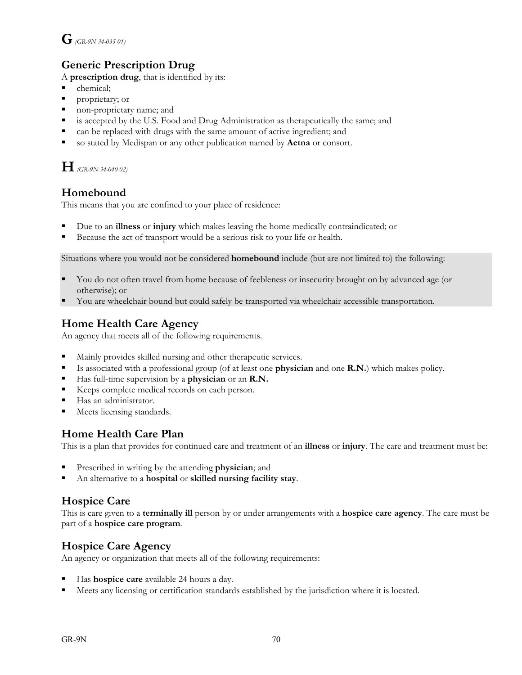# **G** *(GR-9N 34-035 01)*

# **Generic Prescription Drug**

A **prescription drug**, that is identified by its:

- chemical;
- **Peroprietary; or**
- non-proprietary name; and
- is accepted by the U.S. Food and Drug Administration as therapeutically the same; and
- can be replaced with drugs with the same amount of active ingredient; and
- so stated by Medispan or any other publication named by **Aetna** or consort.

**H** *(GR-9N 34-040 02)*

# **Homebound**

This means that you are confined to your place of residence:

- Due to an **illness** or **injury** which makes leaving the home medically contraindicated; or
- Because the act of transport would be a serious risk to your life or health.

Situations where you would not be considered **homebound** include (but are not limited to) the following:

- You do not often travel from home because of feebleness or insecurity brought on by advanced age (or otherwise); or
- You are wheelchair bound but could safely be transported via wheelchair accessible transportation.

# **Home Health Care Agency**

An agency that meets all of the following requirements.

- Mainly provides skilled nursing and other therapeutic services.
- Is associated with a professional group (of at least one **physician** and one **R.N.**) which makes policy.
- Has full-time supervision by a **physician** or an **R.N.**
- Keeps complete medical records on each person.
- Has an administrator.
- **Meets licensing standards.**

## **Home Health Care Plan**

This is a plan that provides for continued care and treatment of an **illness** or **injury**. The care and treatment must be:

- Prescribed in writing by the attending **physician**; and
- An alternative to a **hospital** or **skilled nursing facility stay**.

# **Hospice Care**

This is care given to a **terminally ill** person by or under arrangements with a **hospice care agency**. The care must be part of a **hospice care program**.

## **Hospice Care Agency**

An agency or organization that meets all of the following requirements:

- Has **hospice care** available 24 hours a day.
- Meets any licensing or certification standards established by the jurisdiction where it is located.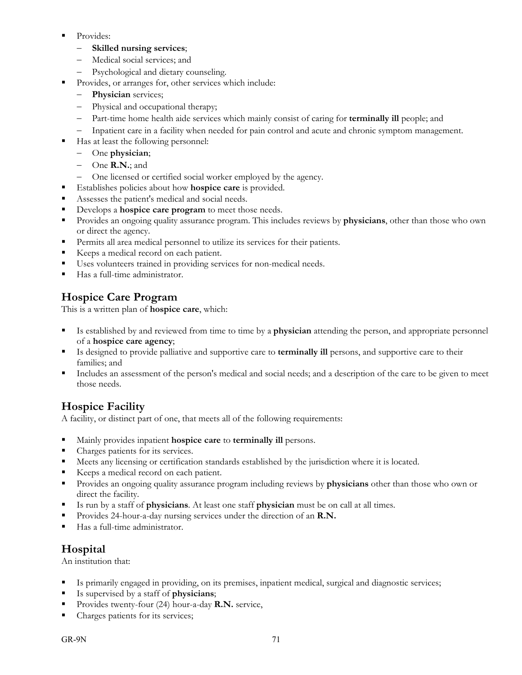- **Provides:** 
	- **Skilled nursing services**;
	- Medical social services; and
	- Psychological and dietary counseling.
- Provides, or arranges for, other services which include:
	- **Physician** services;
	- Physical and occupational therapy;
	- Part-time home health aide services which mainly consist of caring for **terminally ill** people; and
	- Inpatient care in a facility when needed for pain control and acute and chronic symptom management.
- Has at least the following personnel:
	- One **physician**;
	- One **R.N.**; and
	- One licensed or certified social worker employed by the agency.
- Establishes policies about how **hospice care** is provided.
- Assesses the patient's medical and social needs.
- Develops a **hospice care program** to meet those needs.
- Provides an ongoing quality assurance program. This includes reviews by **physicians**, other than those who own or direct the agency.
- Permits all area medical personnel to utilize its services for their patients.
- Keeps a medical record on each patient.
- Uses volunteers trained in providing services for non-medical needs.
- Has a full-time administrator.

# **Hospice Care Program**

This is a written plan of **hospice care**, which:

- Is established by and reviewed from time to time by a **physician** attending the person, and appropriate personnel of a **hospice care agency**;
- Is designed to provide palliative and supportive care to **terminally ill** persons, and supportive care to their families; and
- Includes an assessment of the person's medical and social needs; and a description of the care to be given to meet those needs.

# **Hospice Facility**

A facility, or distinct part of one, that meets all of the following requirements:

- Mainly provides inpatient **hospice care** to **terminally ill** persons.
- Charges patients for its services.
- Meets any licensing or certification standards established by the jurisdiction where it is located.
- Keeps a medical record on each patient.
- Provides an ongoing quality assurance program including reviews by **physicians** other than those who own or direct the facility.
- Is run by a staff of **physicians**. At least one staff **physician** must be on call at all times.
- Provides 24-hour-a-day nursing services under the direction of an **R.N.**
- Has a full-time administrator.

## **Hospital**

An institution that:

- Is primarily engaged in providing, on its premises, inpatient medical, surgical and diagnostic services;
- Is supervised by a staff of **physicians**;
- Provides twenty-four (24) hour-a-day **R.N.** service,
- Charges patients for its services;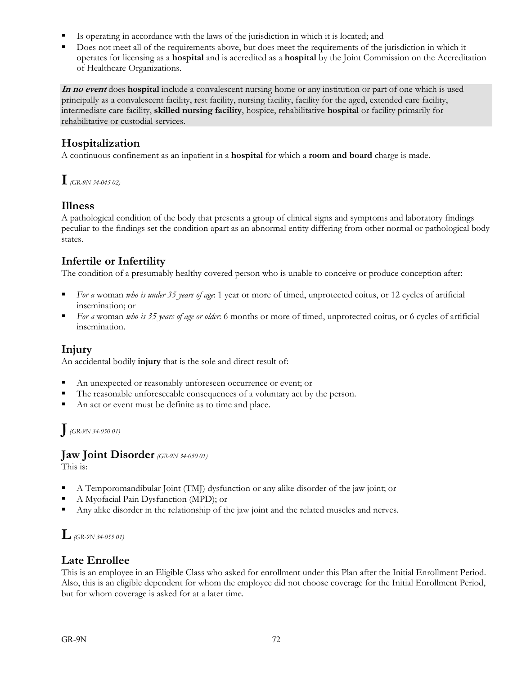- Is operating in accordance with the laws of the jurisdiction in which it is located; and
- Does not meet all of the requirements above, but does meet the requirements of the jurisdiction in which it operates for licensing as a **hospital** and is accredited as a **hospital** by the Joint Commission on the Accreditation of Healthcare Organizations.

**In no event** does **hospital** include a convalescent nursing home or any institution or part of one which is used principally as a convalescent facility, rest facility, nursing facility, facility for the aged, extended care facility, intermediate care facility, **skilled nursing facility**, hospice, rehabilitative **hospital** or facility primarily for rehabilitative or custodial services.

## **Hospitalization**

A continuous confinement as an inpatient in a **hospital** for which a **room and board** charge is made.

**I***(GR-9N 34-045 02)*

## **Illness**

A pathological condition of the body that presents a group of clinical signs and symptoms and laboratory findings peculiar to the findings set the condition apart as an abnormal entity differing from other normal or pathological body states.

# **Infertile or Infertility**

The condition of a presumably healthy covered person who is unable to conceive or produce conception after:

- *For a* woman *who is under 35 years of age*: 1 year or more of timed, unprotected coitus, or 12 cycles of artificial insemination; or
- *For a* woman *who is 35 years of age or older*: 6 months or more of timed, unprotected coitus, or 6 cycles of artificial insemination.

## **Injury**

An accidental bodily **injury** that is the sole and direct result of:

- An unexpected or reasonably unforeseen occurrence or event; or
- The reasonable unforeseeable consequences of a voluntary act by the person.
- An act or event must be definite as to time and place.

# **J***(GR-9N 34-050 01)*

#### **Jaw Joint Disorder** *(GR-9N 34-050 01)*

This is:

- A Temporomandibular Joint (TMJ) dysfunction or any alike disorder of the jaw joint; or
- A Myofacial Pain Dysfunction (MPD); or
- Any alike disorder in the relationship of the jaw joint and the related muscles and nerves.

# **L***(GR-9N 34-055 01)*

## **Late Enrollee**

This is an employee in an Eligible Class who asked for enrollment under this Plan after the Initial Enrollment Period. Also, this is an eligible dependent for whom the employee did not choose coverage for the Initial Enrollment Period, but for whom coverage is asked for at a later time.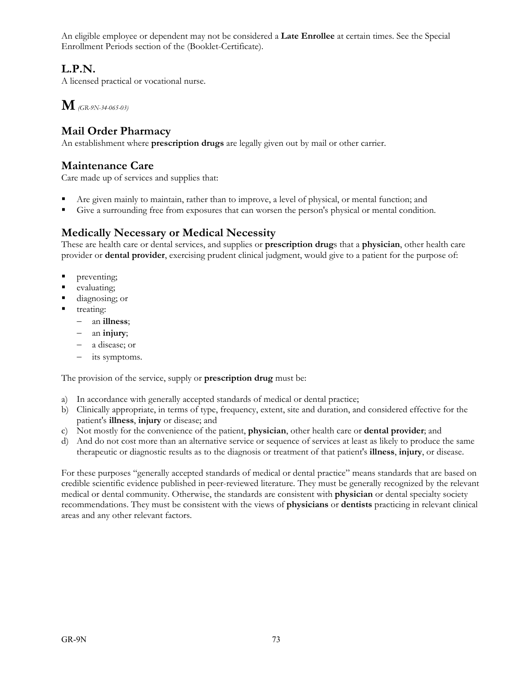An eligible employee or dependent may not be considered a **Late Enrollee** at certain times. See the Special Enrollment Periods section of the (Booklet-Certificate).

# **L.P.N.**

A licensed practical or vocational nurse.

**M** *(GR-9N-34-065-03)*

# **Mail Order Pharmacy**

An establishment where **prescription drugs** are legally given out by mail or other carrier.

## **Maintenance Care**

Care made up of services and supplies that:

- Are given mainly to maintain, rather than to improve, a level of physical, or mental function; and
- Give a surrounding free from exposures that can worsen the person's physical or mental condition.

# **Medically Necessary or Medical Necessity**

These are health care or dental services, and supplies or **prescription drug**s that a **physician**, other health care provider or **dental provider**, exercising prudent clinical judgment, would give to a patient for the purpose of:

- preventing;
- evaluating;
- diagnosing; or
- treating:
	- an **illness**;
	- an **injury**;
	- a disease; or
	- its symptoms.

The provision of the service, supply or **prescription drug** must be:

- a) In accordance with generally accepted standards of medical or dental practice;
- b) Clinically appropriate, in terms of type, frequency, extent, site and duration, and considered effective for the patient's **illness**, **injury** or disease; and
- c) Not mostly for the convenience of the patient, **physician**, other health care or **dental provider**; and
- d) And do not cost more than an alternative service or sequence of services at least as likely to produce the same therapeutic or diagnostic results as to the diagnosis or treatment of that patient's **illness**, **injury**, or disease.

For these purposes "generally accepted standards of medical or dental practice" means standards that are based on credible scientific evidence published in peer-reviewed literature. They must be generally recognized by the relevant medical or dental community. Otherwise, the standards are consistent with **physician** or dental specialty society recommendations. They must be consistent with the views of **physicians** or **dentists** practicing in relevant clinical areas and any other relevant factors.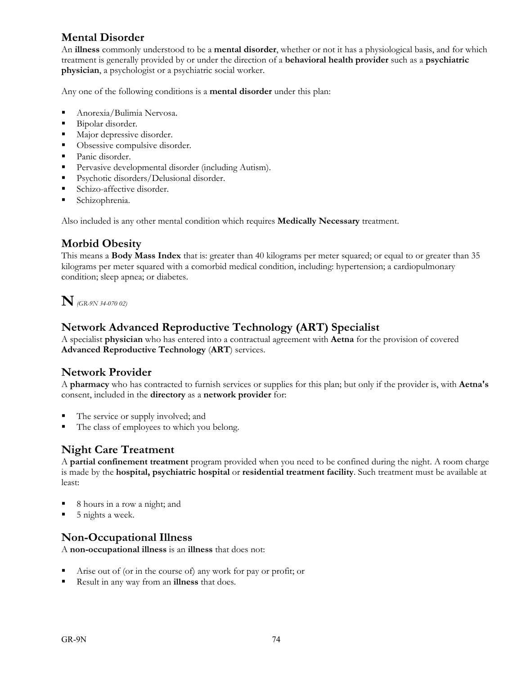# **Mental Disorder**

An **illness** commonly understood to be a **mental disorder**, whether or not it has a physiological basis, and for which treatment is generally provided by or under the direction of a **behavioral health provider** such as a **psychiatric physician**, a psychologist or a psychiatric social worker.

Any one of the following conditions is a **mental disorder** under this plan:

- Anorexia/Bulimia Nervosa.
- Bipolar disorder.
- **Major depressive disorder.**
- Obsessive compulsive disorder.
- Panic disorder.
- Pervasive developmental disorder (including Autism).
- **Psychotic disorders/Delusional disorder.**
- Schizo-affective disorder.
- **Schizophrenia.**

Also included is any other mental condition which requires **Medically Necessary** treatment.

## **Morbid Obesity**

This means a **Body Mass Index** that is: greater than 40 kilograms per meter squared; or equal to or greater than 35 kilograms per meter squared with a comorbid medical condition, including: hypertension; a cardiopulmonary condition; sleep apnea; or diabetes.

**N** *(GR-9N 34-070 02)*

# **Network Advanced Reproductive Technology (ART) Specialist**

A specialist **physician** who has entered into a contractual agreement with **Aetna** for the provision of covered **Advanced Reproductive Technology** (**ART**) services.

## **Network Provider**

A **pharmacy** who has contracted to furnish services or supplies for this plan; but only if the provider is, with **Aetna's** consent, included in the **directory** as a **network provider** for:

- The service or supply involved; and
- The class of employees to which you belong.

## **Night Care Treatment**

A **partial confinement treatment** program provided when you need to be confined during the night. A room charge is made by the **hospital, psychiatric hospital** or **residential treatment facility**. Such treatment must be available at least:

- 8 hours in a row a night; and
- 5 nights a week.

## **Non-Occupational Illness**

A **non-occupational illness** is an **illness** that does not:

- Arise out of (or in the course of) any work for pay or profit; or
- Result in any way from an **illness** that does.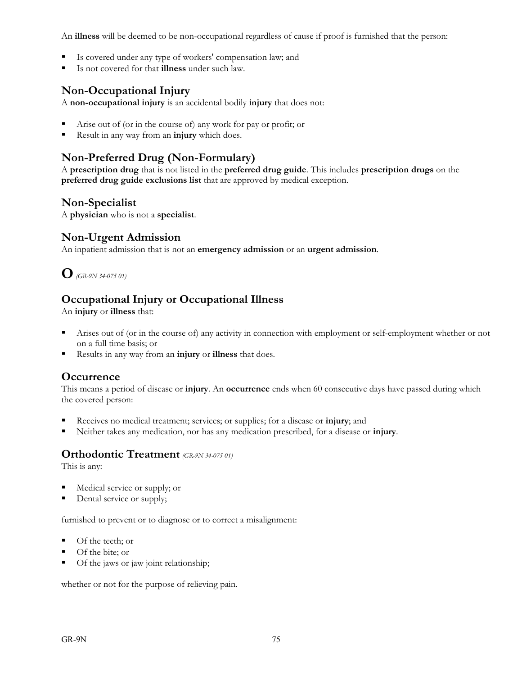An **illness** will be deemed to be non-occupational regardless of cause if proof is furnished that the person:

- Is covered under any type of workers' compensation law; and
- Is not covered for that **illness** under such law.

# **Non-Occupational Injury**

A **non-occupational injury** is an accidental bodily **injury** that does not:

- Arise out of (or in the course of) any work for pay or profit; or
- Result in any way from an **injury** which does.

# **Non-Preferred Drug (Non-Formulary)**

A **prescription drug** that is not listed in the **preferred drug guide**. This includes **prescription drugs** on the **preferred drug guide exclusions list** that are approved by medical exception.

## **Non-Specialist**

A **physician** who is not a **specialist**.

#### **Non-Urgent Admission**

An inpatient admission that is not an **emergency admission** or an **urgent admission**.

**O***(GR-9N 34-075 01)*

# **Occupational Injury or Occupational Illness**

An **injury** or **illness** that:

- Arises out of (or in the course of) any activity in connection with employment or self-employment whether or not on a full time basis; or
- Results in any way from an **injury** or **illness** that does.

## **Occurrence**

This means a period of disease or **injury**. An **occurrence** ends when 60 consecutive days have passed during which the covered person:

- Receives no medical treatment; services; or supplies; for a disease or **injury**; and
- Neither takes any medication, nor has any medication prescribed, for a disease or **injury**.

#### **Orthodontic Treatment** *(GR-9N 34-075 01)*

This is any:

- Medical service or supply; or
- Dental service or supply;

furnished to prevent or to diagnose or to correct a misalignment:

- Of the teeth; or
- Of the bite; or
- Of the jaws or jaw joint relationship;

whether or not for the purpose of relieving pain.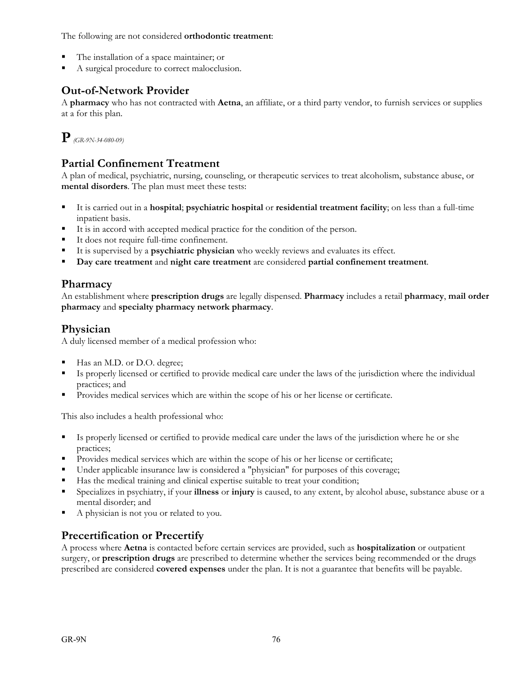The following are not considered **orthodontic treatment**:

- The installation of a space maintainer; or
- A surgical procedure to correct malocclusion.

# **Out-of-Network Provider**

A **pharmacy** who has not contracted with **Aetna**, an affiliate, or a third party vendor, to furnish services or supplies at a for this plan.

**P***(GR-9N-34-080-09)* 

# **Partial Confinement Treatment**

A plan of medical, psychiatric, nursing, counseling, or therapeutic services to treat alcoholism, substance abuse, or **mental disorders**. The plan must meet these tests:

- It is carried out in a **hospital**; **psychiatric hospital** or **residential treatment facility**; on less than a full-time inpatient basis.
- It is in accord with accepted medical practice for the condition of the person.
- It does not require full-time confinement.
- It is supervised by a **psychiatric physician** who weekly reviews and evaluates its effect.
- **Day care treatment** and **night care treatment** are considered **partial confinement treatment**.

## **Pharmacy**

An establishment where **prescription drugs** are legally dispensed. **Pharmacy** includes a retail **pharmacy**, **mail order pharmacy** and **specialty pharmacy network pharmacy**.

# **Physician**

A duly licensed member of a medical profession who:

- Has an M.D. or D.O. degree;
- Is properly licensed or certified to provide medical care under the laws of the jurisdiction where the individual practices; and
- Provides medical services which are within the scope of his or her license or certificate.

This also includes a health professional who:

- Is properly licensed or certified to provide medical care under the laws of the jurisdiction where he or she practices;
- Provides medical services which are within the scope of his or her license or certificate;
- Under applicable insurance law is considered a "physician" for purposes of this coverage;
- Has the medical training and clinical expertise suitable to treat your condition;
- Specializes in psychiatry, if your **illness** or **injury** is caused, to any extent, by alcohol abuse, substance abuse or a mental disorder; and
- A physician is not you or related to you.

# **Precertification or Precertify**

A process where **Aetna** is contacted before certain services are provided, such as **hospitalization** or outpatient surgery, or **prescription drugs** are prescribed to determine whether the services being recommended or the drugs prescribed are considered **covered expenses** under the plan. It is not a guarantee that benefits will be payable.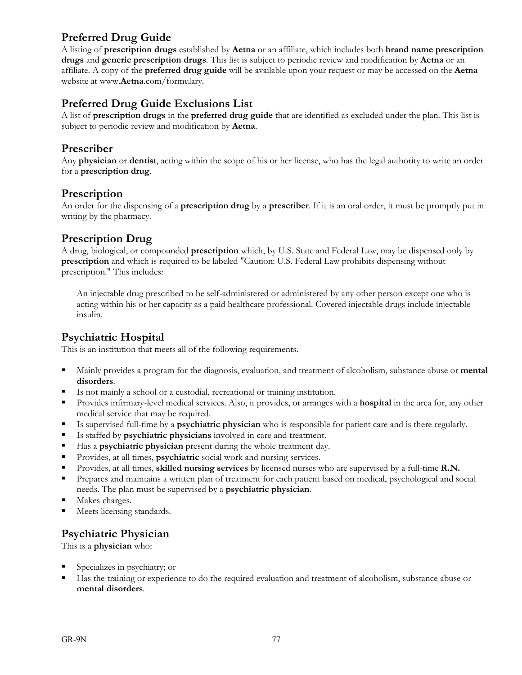# **Preferred Drug Guide**

A listing of **prescription drugs** established by **Aetna** or an affiliate, which includes both **brand name prescription drugs** and **generic prescription drugs**. This list is subject to periodic review and modification by **Aetna** or an affiliate. A copy of the **preferred drug guide** will be available upon your request or may be accessed on the **Aetna** website at www.**Aetna**.com/formulary.

### **Preferred Drug Guide Exclusions List**

A list of **prescription drugs** in the **preferred drug guide** that are identified as excluded under the plan. This list is subject to periodic review and modification by **Aetna**.

#### **Prescriber**

Any **physician** or **dentist**, acting within the scope of his or her license, who has the legal authority to write an order for a **prescription drug**.

#### **Prescription**

An order for the dispensing of a **prescription drug** by a **prescriber**. If it is an oral order, it must be promptly put in writing by the pharmacy.

#### **Prescription Drug**

A drug, biological, or compounded **prescription** which, by U.S. State and Federal Law, may be dispensed only by **prescription** and which is required to be labeled "Caution: U.S. Federal Law prohibits dispensing without prescription." This includes:

 An injectable drug prescribed to be self-administered or administered by any other person except one who is acting within his or her capacity as a paid healthcare professional. Covered injectable drugs include injectable insulin.

#### **Psychiatric Hospital**

This is an institution that meets all of the following requirements.

- Mainly provides a program for the diagnosis, evaluation, and treatment of alcoholism, substance abuse or **mental disorders**.
- Is not mainly a school or a custodial, recreational or training institution.
- Provides infirmary-level medical services. Also, it provides, or arranges with a **hospital** in the area for, any other medical service that may be required.
- Is supervised full-time by a **psychiatric physician** who is responsible for patient care and is there regularly.
- Is staffed by **psychiatric physicians** involved in care and treatment.
- Has a **psychiatric physician** present during the whole treatment day.
- **Provides, at all times, psychiatric** social work and nursing services.
- Provides, at all times, **skilled nursing services** by licensed nurses who are supervised by a full-time **R.N.**
- Prepares and maintains a written plan of treatment for each patient based on medical, psychological and social needs. The plan must be supervised by a **psychiatric physician**.
- Makes charges.
- Meets licensing standards.

#### **Psychiatric Physician**

This is a **physician** who:

- Specializes in psychiatry; or
- Has the training or experience to do the required evaluation and treatment of alcoholism, substance abuse or **mental disorders**.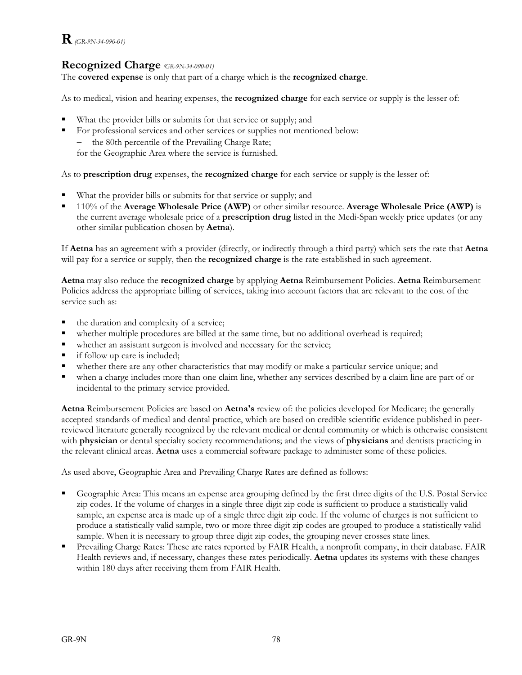# **R***(GR-9N-34-090-01)*

## **Recognized Charge** *(GR-9N-34-090-01)*

The **covered expense** is only that part of a charge which is the **recognized charge**.

As to medical, vision and hearing expenses, the **recognized charge** for each service or supply is the lesser of:

- What the provider bills or submits for that service or supply; and
- For professional services and other services or supplies not mentioned below:
	- the 80th percentile of the Prevailing Charge Rate;

for the Geographic Area where the service is furnished.

As to **prescription drug** expenses, the **recognized charge** for each service or supply is the lesser of:

- What the provider bills or submits for that service or supply; and
- 110% of the **Average Wholesale Price (AWP)** or other similar resource. **Average Wholesale Price (AWP)** is the current average wholesale price of a **prescription drug** listed in the Medi-Span weekly price updates (or any other similar publication chosen by **Aetna**).

If **Aetna** has an agreement with a provider (directly, or indirectly through a third party) which sets the rate that **Aetna** will pay for a service or supply, then the **recognized charge** is the rate established in such agreement.

**Aetna** may also reduce the **recognized charge** by applying **Aetna** Reimbursement Policies. **Aetna** Reimbursement Policies address the appropriate billing of services, taking into account factors that are relevant to the cost of the service such as:

- the duration and complexity of a service;
- whether multiple procedures are billed at the same time, but no additional overhead is required;
- whether an assistant surgeon is involved and necessary for the service;
- **i** if follow up care is included;
- whether there are any other characteristics that may modify or make a particular service unique; and
- when a charge includes more than one claim line, whether any services described by a claim line are part of or incidental to the primary service provided.

**Aetna** Reimbursement Policies are based on **Aetna's** review of: the policies developed for Medicare; the generally accepted standards of medical and dental practice, which are based on credible scientific evidence published in peerreviewed literature generally recognized by the relevant medical or dental community or which is otherwise consistent with **physician** or dental specialty society recommendations; and the views of **physicians** and dentists practicing in the relevant clinical areas. **Aetna** uses a commercial software package to administer some of these policies.

As used above, Geographic Area and Prevailing Charge Rates are defined as follows:

- Geographic Area: This means an expense area grouping defined by the first three digits of the U.S. Postal Service zip codes. If the volume of charges in a single three digit zip code is sufficient to produce a statistically valid sample, an expense area is made up of a single three digit zip code. If the volume of charges is not sufficient to produce a statistically valid sample, two or more three digit zip codes are grouped to produce a statistically valid sample. When it is necessary to group three digit zip codes, the grouping never crosses state lines.
- Prevailing Charge Rates: These are rates reported by FAIR Health, a nonprofit company, in their database. FAIR Health reviews and, if necessary, changes these rates periodically. **Aetna** updates its systems with these changes within 180 days after receiving them from FAIR Health.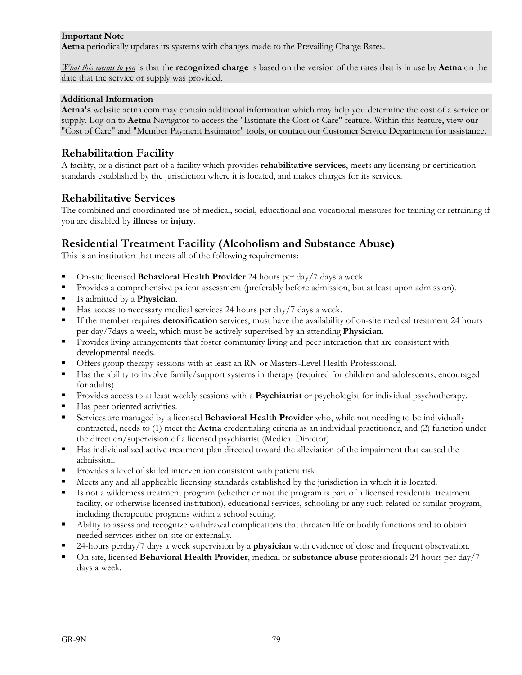#### **Important Note**

**Aetna** periodically updates its systems with changes made to the Prevailing Charge Rates.

*What this means to you* is that the **recognized charge** is based on the version of the rates that is in use by **Aetna** on the date that the service or supply was provided.

#### **Additional Information**

**Aetna's** website aetna.com may contain additional information which may help you determine the cost of a service or supply. Log on to **Aetna** Navigator to access the "Estimate the Cost of Care" feature. Within this feature, view our "Cost of Care" and "Member Payment Estimator" tools, or contact our Customer Service Department for assistance.

#### **Rehabilitation Facility**

A facility, or a distinct part of a facility which provides **rehabilitative services**, meets any licensing or certification standards established by the jurisdiction where it is located, and makes charges for its services.

#### **Rehabilitative Services**

The combined and coordinated use of medical, social, educational and vocational measures for training or retraining if you are disabled by **illness** or **injury**.

#### **Residential Treatment Facility (Alcoholism and Substance Abuse)**

This is an institution that meets all of the following requirements:

- On-site licensed **Behavioral Health Provider** 24 hours per day/7 days a week.
- **Provides a comprehensive patient assessment (preferably before admission, but at least upon admission).**
- Is admitted by a **Physician**.
- Has access to necessary medical services 24 hours per day/7 days a week.
- If the member requires **detoxification** services, must have the availability of on-site medical treatment 24 hours per day/7days a week, which must be actively supervised by an attending **Physician**.
- **Provides living arrangements that foster community living and peer interaction that are consistent with** developmental needs.
- Offers group therapy sessions with at least an RN or Masters-Level Health Professional.
- Has the ability to involve family/support systems in therapy (required for children and adolescents; encouraged for adults).
- Provides access to at least weekly sessions with a **Psychiatrist** or psychologist for individual psychotherapy.
- Has peer oriented activities.
- Services are managed by a licensed **Behavioral Health Provider** who, while not needing to be individually contracted, needs to (1) meet the **Aetna** credentialing criteria as an individual practitioner, and (2) function under the direction/supervision of a licensed psychiatrist (Medical Director).
- Has individualized active treatment plan directed toward the alleviation of the impairment that caused the admission.
- Provides a level of skilled intervention consistent with patient risk.
- Meets any and all applicable licensing standards established by the jurisdiction in which it is located.
- Is not a wilderness treatment program (whether or not the program is part of a licensed residential treatment facility, or otherwise licensed institution), educational services, schooling or any such related or similar program, including therapeutic programs within a school setting.
- Ability to assess and recognize withdrawal complications that threaten life or bodily functions and to obtain needed services either on site or externally.
- 24-hours perday/7 days a week supervision by a **physician** with evidence of close and frequent observation.
- On-site, licensed **Behavioral Health Provider**, medical or **substance abuse** professionals 24 hours per day/7 days a week.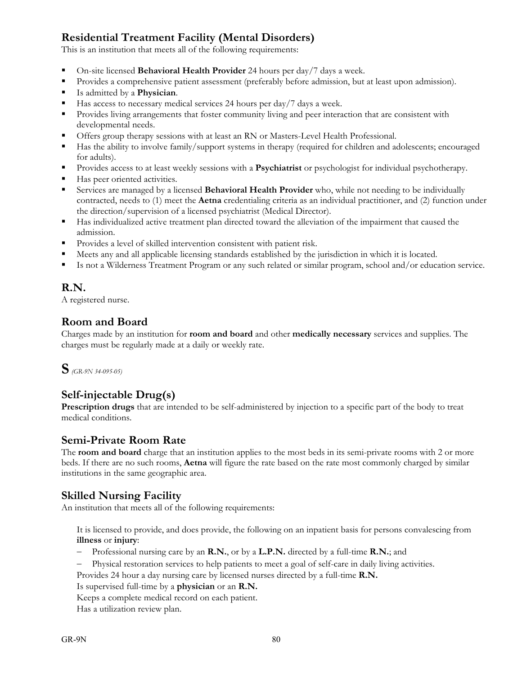# **Residential Treatment Facility (Mental Disorders)**

This is an institution that meets all of the following requirements:

- On-site licensed **Behavioral Health Provider** 24 hours per day/7 days a week.
- **Provides a comprehensive patient assessment (preferably before admission, but at least upon admission).**
- Is admitted by a **Physician**.
- Has access to necessary medical services 24 hours per day/7 days a week.
- **Provides living arrangements that foster community living and peer interaction that are consistent with** developmental needs.
- Offers group therapy sessions with at least an RN or Masters-Level Health Professional.
- Has the ability to involve family/support systems in therapy (required for children and adolescents; encouraged for adults).
- Provides access to at least weekly sessions with a **Psychiatrist** or psychologist for individual psychotherapy.
- Has peer oriented activities.
- Services are managed by a licensed **Behavioral Health Provider** who, while not needing to be individually contracted, needs to (1) meet the **Aetna** credentialing criteria as an individual practitioner, and (2) function under the direction/supervision of a licensed psychiatrist (Medical Director).
- Has individualized active treatment plan directed toward the alleviation of the impairment that caused the admission.
- Provides a level of skilled intervention consistent with patient risk.
- Meets any and all applicable licensing standards established by the jurisdiction in which it is located.
- Is not a Wilderness Treatment Program or any such related or similar program, school and/or education service.

# **R.N.**

A registered nurse.

# **Room and Board**

Charges made by an institution for **room and board** and other **medically necessary** services and supplies. The charges must be regularly made at a daily or weekly rate.



# **Self-injectable Drug(s)**

**Prescription drugs** that are intended to be self-administered by injection to a specific part of the body to treat medical conditions.

## **Semi-Private Room Rate**

The **room and board** charge that an institution applies to the most beds in its semi-private rooms with 2 or more beds. If there are no such rooms, **Aetna** will figure the rate based on the rate most commonly charged by similar institutions in the same geographic area.

## **Skilled Nursing Facility**

An institution that meets all of the following requirements:

 It is licensed to provide, and does provide, the following on an inpatient basis for persons convalescing from **illness** or **injury**:

- Professional nursing care by an **R.N.**, or by a **L.P.N.** directed by a full-time **R.N.**; and
- Physical restoration services to help patients to meet a goal of self-care in daily living activities.
- Provides 24 hour a day nursing care by licensed nurses directed by a full-time **R.N.**

Is supervised full-time by a **physician** or an **R.N.**

- Keeps a complete medical record on each patient.
- Has a utilization review plan.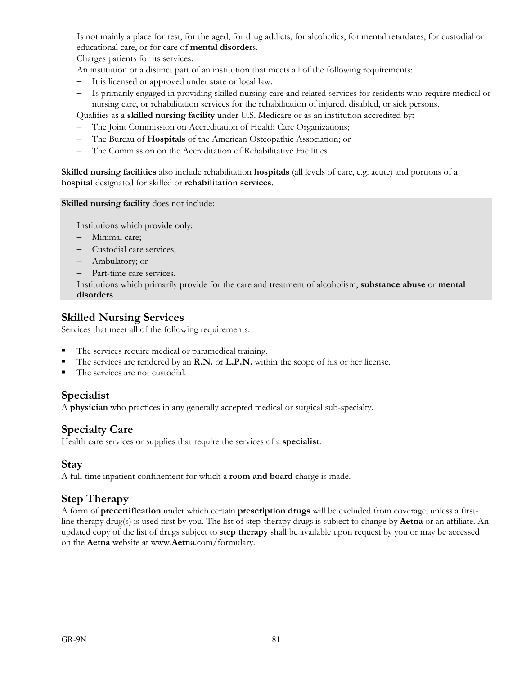Is not mainly a place for rest, for the aged, for drug addicts, for alcoholics, for mental retardates, for custodial or educational care, or for care of **mental disorder**s.

Charges patients for its services.

An institution or a distinct part of an institution that meets all of the following requirements:

- It is licensed or approved under state or local law.
- Is primarily engaged in providing skilled nursing care and related services for residents who require medical or nursing care, or rehabilitation services for the rehabilitation of injured, disabled, or sick persons.

Qualifies as a **skilled nursing facility** under U.S. Medicare or as an institution accredited by**:**

- The Joint Commission on Accreditation of Health Care Organizations;
- The Bureau of **Hospitals** of the American Osteopathic Association; or
- The Commission on the Accreditation of Rehabilitative Facilities

**Skilled nursing facilities** also include rehabilitation **hospitals** (all levels of care, e.g. acute) and portions of a **hospital** designated for skilled or **rehabilitation services**.

**Skilled nursing facility** does not include:

Institutions which provide only:

- Minimal care;
- Custodial care services;
- Ambulatory; or
- Part-time care services.

 Institutions which primarily provide for the care and treatment of alcoholism, **substance abuse** or **mental disorders**.

## **Skilled Nursing Services**

Services that meet all of the following requirements:

- The services require medical or paramedical training.
- The services are rendered by an **R.N.** or **L.P.N.** within the scope of his or her license.
- The services are not custodial.

#### **Specialist**

A **physician** who practices in any generally accepted medical or surgical sub-specialty.

## **Specialty Care**

Health care services or supplies that require the services of a **specialist**.

#### **Stay**

A full-time inpatient confinement for which a **room and board** charge is made.

## **Step Therapy**

A form of **precertification** under which certain **prescription drugs** will be excluded from coverage, unless a firstline therapy drug(s) is used first by you. The list of step-therapy drugs is subject to change by **Aetna** or an affiliate. An updated copy of the list of drugs subject to **step therapy** shall be available upon request by you or may be accessed on the **Aetna** website at www.**Aetna**.com/formulary.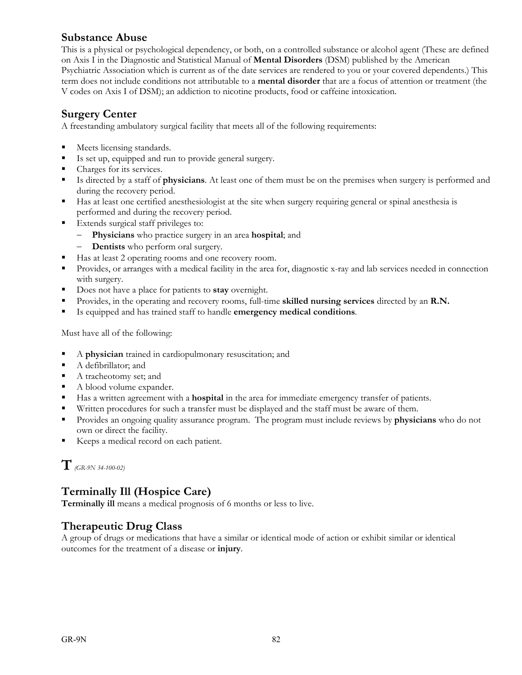## **Substance Abuse**

This is a physical or psychological dependency, or both, on a controlled substance or alcohol agent (These are defined on Axis I in the Diagnostic and Statistical Manual of **Mental Disorders** (DSM) published by the American Psychiatric Association which is current as of the date services are rendered to you or your covered dependents.) This term does not include conditions not attributable to a **mental disorder** that are a focus of attention or treatment (the V codes on Axis I of DSM); an addiction to nicotine products, food or caffeine intoxication.

### **Surgery Center**

A freestanding ambulatory surgical facility that meets all of the following requirements:

- Meets licensing standards.
- Is set up, equipped and run to provide general surgery.
- Charges for its services.
- Is directed by a staff of **physicians**. At least one of them must be on the premises when surgery is performed and during the recovery period.
- Has at least one certified anesthesiologist at the site when surgery requiring general or spinal anesthesia is performed and during the recovery period.
- **Extends surgical staff privileges to:** 
	- **Physicians** who practice surgery in an area **hospital**; and
	- **Dentists** who perform oral surgery.
- Has at least 2 operating rooms and one recovery room.
- **Provides, or arranges with a medical facility in the area for, diagnostic x-ray and lab services needed in connection** with surgery.
- Does not have a place for patients to **stay** overnight.
- Provides, in the operating and recovery rooms, full-time **skilled nursing services** directed by an **R.N.**
- Is equipped and has trained staff to handle **emergency medical conditions**.

Must have all of the following:

- A **physician** trained in cardiopulmonary resuscitation; and
- A defibrillator; and
- A tracheotomy set; and
- A blood volume expander.
- Has a written agreement with a **hospital** in the area for immediate emergency transfer of patients.
- Written procedures for such a transfer must be displayed and the staff must be aware of them.
- Provides an ongoing quality assurance program. The program must include reviews by **physicians** who do not own or direct the facility.
- Keeps a medical record on each patient.

**T***(GR-9N 34-100-02)*

## **Terminally Ill (Hospice Care)**

**Terminally ill** means a medical prognosis of 6 months or less to live.

# **Therapeutic Drug Class**

A group of drugs or medications that have a similar or identical mode of action or exhibit similar or identical outcomes for the treatment of a disease or **injury**.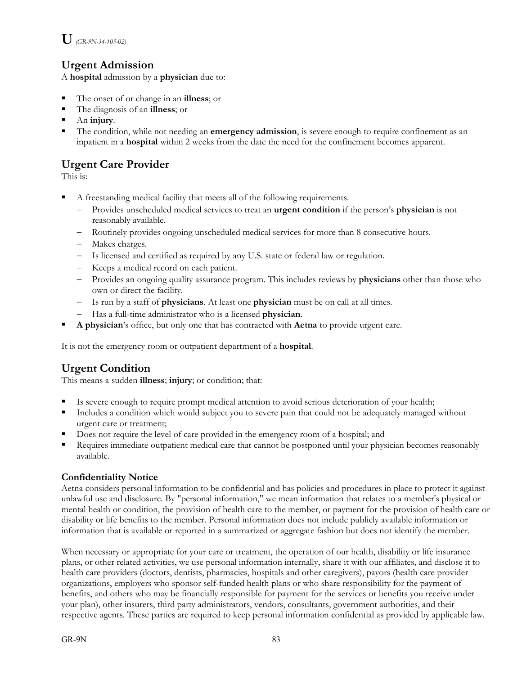# **Urgent Admission**

A **hospital** admission by a **physician** due to:

- The onset of or change in an **illness**; or
- The diagnosis of an **illness**; or
- An **injury**.
- The condition, while not needing an **emergency admission**, is severe enough to require confinement as an inpatient in a **hospital** within 2 weeks from the date the need for the confinement becomes apparent.

# **Urgent Care Provider**

This is:

- A freestanding medical facility that meets all of the following requirements.
	- Provides unscheduled medical services to treat an **urgent condition** if the person's **physician** is not reasonably available.
	- Routinely provides ongoing unscheduled medical services for more than 8 consecutive hours.
	- Makes charges.
	- Is licensed and certified as required by any U.S. state or federal law or regulation.
	- Keeps a medical record on each patient.
	- Provides an ongoing quality assurance program. This includes reviews by **physicians** other than those who own or direct the facility.
	- Is run by a staff of **physicians**. At least one **physician** must be on call at all times.
	- Has a full-time administrator who is a licensed **physician**.
- **A physician**'s office, but only one that has contracted with **Aetna** to provide urgent care.

It is not the emergency room or outpatient department of a **hospital**.

# **Urgent Condition**

This means a sudden **illness**; **injury**; or condition; that:

- Is severe enough to require prompt medical attention to avoid serious deterioration of your health;
- Includes a condition which would subject you to severe pain that could not be adequately managed without urgent care or treatment;
- Does not require the level of care provided in the emergency room of a hospital; and
- Requires immediate outpatient medical care that cannot be postponed until your physician becomes reasonably available.

#### **Confidentiality Notice**

Aetna considers personal information to be confidential and has policies and procedures in place to protect it against unlawful use and disclosure. By "personal information," we mean information that relates to a member's physical or mental health or condition, the provision of health care to the member, or payment for the provision of health care or disability or life benefits to the member. Personal information does not include publicly available information or information that is available or reported in a summarized or aggregate fashion but does not identify the member.

When necessary or appropriate for your care or treatment, the operation of our health, disability or life insurance plans, or other related activities, we use personal information internally, share it with our affiliates, and disclose it to health care providers (doctors, dentists, pharmacies, hospitals and other caregivers), payors (health care provider organizations, employers who sponsor self-funded health plans or who share responsibility for the payment of benefits, and others who may be financially responsible for payment for the services or benefits you receive under your plan), other insurers, third party administrators, vendors, consultants, government authorities, and their respective agents. These parties are required to keep personal information confidential as provided by applicable law.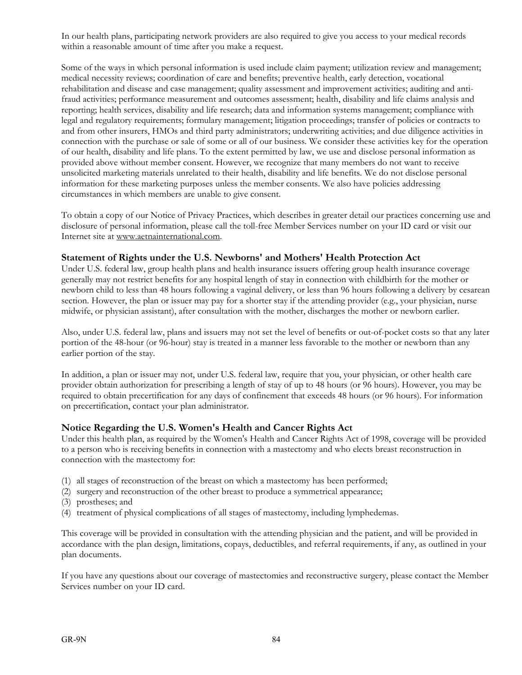In our health plans, participating network providers are also required to give you access to your medical records within a reasonable amount of time after you make a request.

Some of the ways in which personal information is used include claim payment; utilization review and management; medical necessity reviews; coordination of care and benefits; preventive health, early detection, vocational rehabilitation and disease and case management; quality assessment and improvement activities; auditing and antifraud activities; performance measurement and outcomes assessment; health, disability and life claims analysis and reporting; health services, disability and life research; data and information systems management; compliance with legal and regulatory requirements; formulary management; litigation proceedings; transfer of policies or contracts to and from other insurers, HMOs and third party administrators; underwriting activities; and due diligence activities in connection with the purchase or sale of some or all of our business. We consider these activities key for the operation of our health, disability and life plans. To the extent permitted by law, we use and disclose personal information as provided above without member consent. However, we recognize that many members do not want to receive unsolicited marketing materials unrelated to their health, disability and life benefits. We do not disclose personal information for these marketing purposes unless the member consents. We also have policies addressing circumstances in which members are unable to give consent.

To obtain a copy of our Notice of Privacy Practices, which describes in greater detail our practices concerning use and disclosure of personal information, please call the toll-free Member Services number on your ID card or visit our Internet site at www.aetnainternational.com.

#### **Statement of Rights under the U.S. Newborns' and Mothers' Health Protection Act**

Under U.S. federal law, group health plans and health insurance issuers offering group health insurance coverage generally may not restrict benefits for any hospital length of stay in connection with childbirth for the mother or newborn child to less than 48 hours following a vaginal delivery, or less than 96 hours following a delivery by cesarean section. However, the plan or issuer may pay for a shorter stay if the attending provider (e.g., your physician, nurse midwife, or physician assistant), after consultation with the mother, discharges the mother or newborn earlier.

Also, under U.S. federal law, plans and issuers may not set the level of benefits or out-of-pocket costs so that any later portion of the 48-hour (or 96-hour) stay is treated in a manner less favorable to the mother or newborn than any earlier portion of the stay.

In addition, a plan or issuer may not, under U.S. federal law, require that you, your physician, or other health care provider obtain authorization for prescribing a length of stay of up to 48 hours (or 96 hours). However, you may be required to obtain precertification for any days of confinement that exceeds 48 hours (or 96 hours). For information on precertification, contact your plan administrator.

#### **Notice Regarding the U.S. Women's Health and Cancer Rights Act**

Under this health plan, as required by the Women's Health and Cancer Rights Act of 1998, coverage will be provided to a person who is receiving benefits in connection with a mastectomy and who elects breast reconstruction in connection with the mastectomy for:

- (1) all stages of reconstruction of the breast on which a mastectomy has been performed;
- (2) surgery and reconstruction of the other breast to produce a symmetrical appearance;
- (3) prostheses; and
- (4) treatment of physical complications of all stages of mastectomy, including lymphedemas.

This coverage will be provided in consultation with the attending physician and the patient, and will be provided in accordance with the plan design, limitations, copays, deductibles, and referral requirements, if any, as outlined in your plan documents.

If you have any questions about our coverage of mastectomies and reconstructive surgery, please contact the Member Services number on your ID card.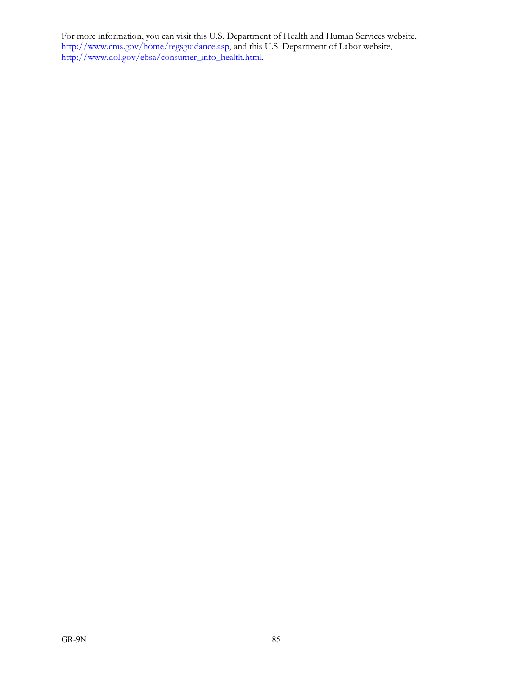For more information, you can visit this U.S. Department of Health and Human Services website, http://www.cms.gov/home/regsguidance.asp, and this U.S. Department of Labor website, http://www.dol.gov/ebsa/consumer\_info\_health.html.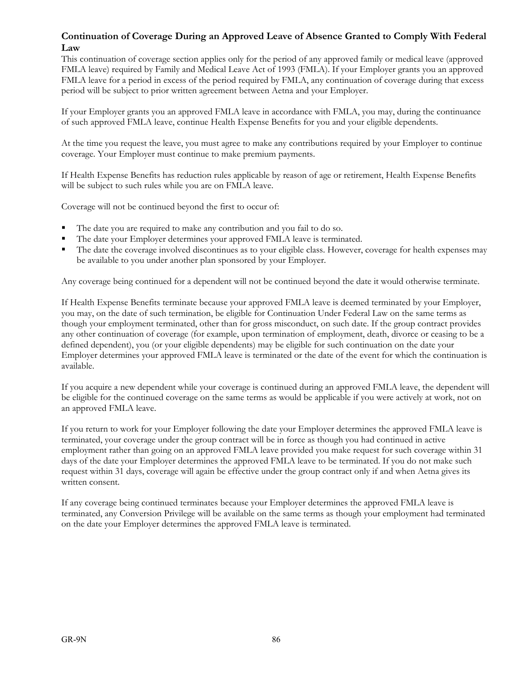#### **Continuation of Coverage During an Approved Leave of Absence Granted to Comply With Federal Law**

This continuation of coverage section applies only for the period of any approved family or medical leave (approved FMLA leave) required by Family and Medical Leave Act of 1993 (FMLA). If your Employer grants you an approved FMLA leave for a period in excess of the period required by FMLA, any continuation of coverage during that excess period will be subject to prior written agreement between Aetna and your Employer.

If your Employer grants you an approved FMLA leave in accordance with FMLA, you may, during the continuance of such approved FMLA leave, continue Health Expense Benefits for you and your eligible dependents.

At the time you request the leave, you must agree to make any contributions required by your Employer to continue coverage. Your Employer must continue to make premium payments.

If Health Expense Benefits has reduction rules applicable by reason of age or retirement, Health Expense Benefits will be subject to such rules while you are on FMLA leave.

Coverage will not be continued beyond the first to occur of:

- The date you are required to make any contribution and you fail to do so.
- The date your Employer determines your approved FMLA leave is terminated.
- The date the coverage involved discontinues as to your eligible class. However, coverage for health expenses may be available to you under another plan sponsored by your Employer.

Any coverage being continued for a dependent will not be continued beyond the date it would otherwise terminate.

If Health Expense Benefits terminate because your approved FMLA leave is deemed terminated by your Employer, you may, on the date of such termination, be eligible for Continuation Under Federal Law on the same terms as though your employment terminated, other than for gross misconduct, on such date. If the group contract provides any other continuation of coverage (for example, upon termination of employment, death, divorce or ceasing to be a defined dependent), you (or your eligible dependents) may be eligible for such continuation on the date your Employer determines your approved FMLA leave is terminated or the date of the event for which the continuation is available.

If you acquire a new dependent while your coverage is continued during an approved FMLA leave, the dependent will be eligible for the continued coverage on the same terms as would be applicable if you were actively at work, not on an approved FMLA leave.

If you return to work for your Employer following the date your Employer determines the approved FMLA leave is terminated, your coverage under the group contract will be in force as though you had continued in active employment rather than going on an approved FMLA leave provided you make request for such coverage within 31 days of the date your Employer determines the approved FMLA leave to be terminated. If you do not make such request within 31 days, coverage will again be effective under the group contract only if and when Aetna gives its written consent.

If any coverage being continued terminates because your Employer determines the approved FMLA leave is terminated, any Conversion Privilege will be available on the same terms as though your employment had terminated on the date your Employer determines the approved FMLA leave is terminated.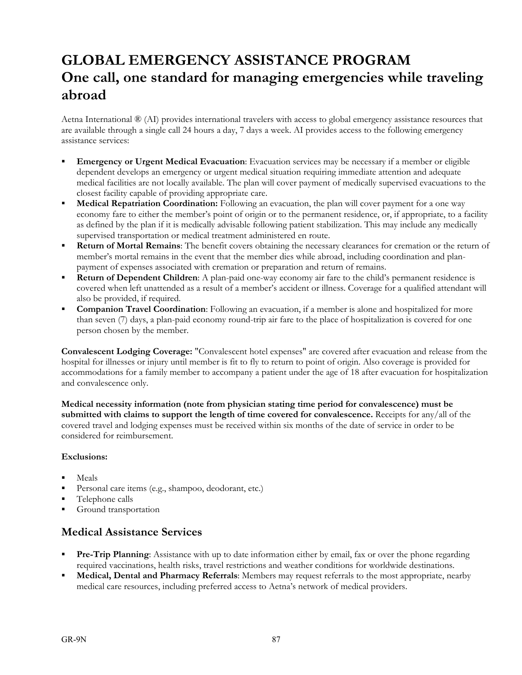# **GLOBAL EMERGENCY ASSISTANCE PROGRAM One call, one standard for managing emergencies while traveling abroad**

Aetna International ® (AI) provides international travelers with access to global emergency assistance resources that are available through a single call 24 hours a day, 7 days a week. AI provides access to the following emergency assistance services:

- **Emergency or Urgent Medical Evacuation**: Evacuation services may be necessary if a member or eligible dependent develops an emergency or urgent medical situation requiring immediate attention and adequate medical facilities are not locally available. The plan will cover payment of medically supervised evacuations to the closest facility capable of providing appropriate care.
- **Medical Repatriation Coordination:** Following an evacuation, the plan will cover payment for a one way economy fare to either the member's point of origin or to the permanent residence, or, if appropriate, to a facility as defined by the plan if it is medically advisable following patient stabilization. This may include any medically supervised transportation or medical treatment administered en route.
- **Return of Mortal Remains**: The benefit covers obtaining the necessary clearances for cremation or the return of member's mortal remains in the event that the member dies while abroad, including coordination and planpayment of expenses associated with cremation or preparation and return of remains.
- **Return of Dependent Children**: A plan-paid one-way economy air fare to the child's permanent residence is covered when left unattended as a result of a member's accident or illness. Coverage for a qualified attendant will also be provided, if required.
- **Companion Travel Coordination**: Following an evacuation, if a member is alone and hospitalized for more than seven (7) days, a plan-paid economy round-trip air fare to the place of hospitalization is covered for one person chosen by the member.

**Convalescent Lodging Coverage:** "Convalescent hotel expenses" are covered after evacuation and release from the hospital for illnesses or injury until member is fit to fly to return to point of origin. Also coverage is provided for accommodations for a family member to accompany a patient under the age of 18 after evacuation for hospitalization and convalescence only.

**Medical necessity information (note from physician stating time period for convalescence) must be submitted with claims to support the length of time covered for convalescence.** Receipts for any/all of the covered travel and lodging expenses must be received within six months of the date of service in order to be considered for reimbursement.

#### **Exclusions:**

- Meals
- Personal care items (e.g., shampoo, deodorant, etc.)
- Telephone calls
- Ground transportation

## **Medical Assistance Services**

- **Pre-Trip Planning**: Assistance with up to date information either by email, fax or over the phone regarding required vaccinations, health risks, travel restrictions and weather conditions for worldwide destinations.
- **Medical, Dental and Pharmacy Referrals**: Members may request referrals to the most appropriate, nearby medical care resources, including preferred access to Aetna's network of medical providers.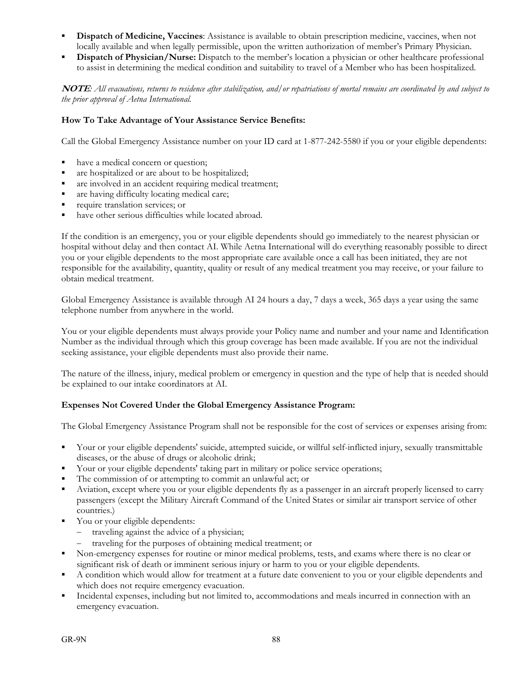- **Dispatch of Medicine, Vaccines**: Assistance is available to obtain prescription medicine, vaccines, when not locally available and when legally permissible, upon the written authorization of member's Primary Physician.
- **Dispatch of Physician/Nurse:** Dispatch to the member's location a physician or other healthcare professional to assist in determining the medical condition and suitability to travel of a Member who has been hospitalized.

**NOTE***: All evacuations, returns to residence after stabilization, and/or repatriations of mortal remains are coordinated by and subject to the prior approval of Aetna International.* 

#### **How To Take Advantage of Your Assista**n**ce Service Benefits:**

Call the Global Emergency Assistance number on your ID card at 1-877-242-5580 if you or your eligible dependents:

- have a medical concern or question;
- are hospitalized or are about to be hospitalized;
- are involved in an accident requiring medical treatment;
- are having difficulty locating medical care;
- **require translation services; or**
- have other serious difficulties while located abroad.

If the condition is an emergency, you or your eligible dependents should go immediately to the nearest physician or hospital without delay and then contact AI. While Aetna International will do everything reasonably possible to direct you or your eligible dependents to the most appropriate care available once a call has been initiated, they are not responsible for the availability, quantity, quality or result of any medical treatment you may receive, or your failure to obtain medical treatment.

Global Emergency Assistance is available through AI 24 hours a day, 7 days a week, 365 days a year using the same telephone number from anywhere in the world.

You or your eligible dependents must always provide your Policy name and number and your name and Identification Number as the individual through which this group coverage has been made available. If you are not the individual seeking assistance, your eligible dependents must also provide their name.

The nature of the illness, injury, medical problem or emergency in question and the type of help that is needed should be explained to our intake coordinators at AI.

#### **Expenses Not Covered Under the Global Emergency Assistance Program:**

The Global Emergency Assistance Program shall not be responsible for the cost of services or expenses arising from:

- Your or your eligible dependents' suicide, attempted suicide, or willful self-inflicted injury, sexually transmittable diseases, or the abuse of drugs or alcoholic drink;
- Your or your eligible dependents' taking part in military or police service operations;
- The commission of or attempting to commit an unlawful act; or
- Aviation, except where you or your eligible dependents fly as a passenger in an aircraft properly licensed to carry passengers (except the Military Aircraft Command of the United States or similar air transport service of other countries.)
- You or your eligible dependents:
	- traveling against the advice of a physician;
	- traveling for the purposes of obtaining medical treatment; or
- Non-emergency expenses for routine or minor medical problems, tests, and exams where there is no clear or significant risk of death or imminent serious injury or harm to you or your eligible dependents.
- A condition which would allow for treatment at a future date convenient to you or your eligible dependents and which does not require emergency evacuation.
- Incidental expenses, including but not limited to, accommodations and meals incurred in connection with an emergency evacuation.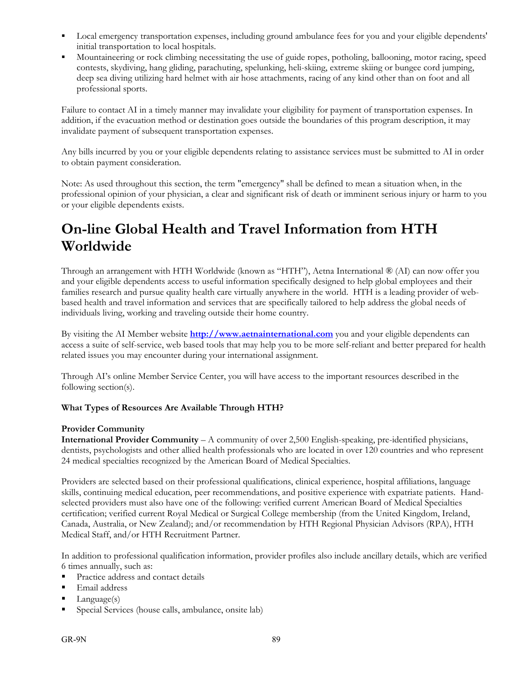- Local emergency transportation expenses, including ground ambulance fees for you and your eligible dependents' initial transportation to local hospitals.
- Mountaineering or rock climbing necessitating the use of guide ropes, potholing, ballooning, motor racing, speed contests, skydiving, hang gliding, parachuting, spelunking, heli-skiing, extreme skiing or bungee cord jumping, deep sea diving utilizing hard helmet with air hose attachments, racing of any kind other than on foot and all professional sports.

Failure to contact AI in a timely manner may invalidate your eligibility for payment of transportation expenses. In addition, if the evacuation method or destination goes outside the boundaries of this program description, it may invalidate payment of subsequent transportation expenses.

Any bills incurred by you or your eligible dependents relating to assistance services must be submitted to AI in order to obtain payment consideration.

Note: As used throughout this section, the term "emergency" shall be defined to mean a situation when, in the professional opinion of your physician, a clear and significant risk of death or imminent serious injury or harm to you or your eligible dependents exists.

# **On-line Global Health and Travel Information from HTH Worldwide**

Through an arrangement with HTH Worldwide (known as "HTH"), Aetna International ® (AI) can now offer you and your eligible dependents access to useful information specifically designed to help global employees and their families research and pursue quality health care virtually anywhere in the world. HTH is a leading provider of webbased health and travel information and services that are specifically tailored to help address the global needs of individuals living, working and traveling outside their home country.

By visiting the AI Member website **http://www.aetnainternational.com** you and your eligible dependents can access a suite of self-service, web based tools that may help you to be more self-reliant and better prepared for health related issues you may encounter during your international assignment.

Through AI's online Member Service Center, you will have access to the important resources described in the following section(s).

#### **What Types of Resources Are Available Through HTH?**

#### **Provider Community**

**International Provider Community** – A community of over 2,500 English-speaking, pre-identified physicians, dentists, psychologists and other allied health professionals who are located in over 120 countries and who represent 24 medical specialties recognized by the American Board of Medical Specialties.

Providers are selected based on their professional qualifications, clinical experience, hospital affiliations, language skills, continuing medical education, peer recommendations, and positive experience with expatriate patients. Handselected providers must also have one of the following: verified current American Board of Medical Specialties certification; verified current Royal Medical or Surgical College membership (from the United Kingdom, Ireland, Canada, Australia, or New Zealand); and/or recommendation by HTH Regional Physician Advisors (RPA), HTH Medical Staff, and/or HTH Recruitment Partner.

In addition to professional qualification information, provider profiles also include ancillary details, which are verified 6 times annually, such as:

- Practice address and contact details
- **Email address**
- $\blacksquare$  Language(s)
- Special Services (house calls, ambulance, onsite lab)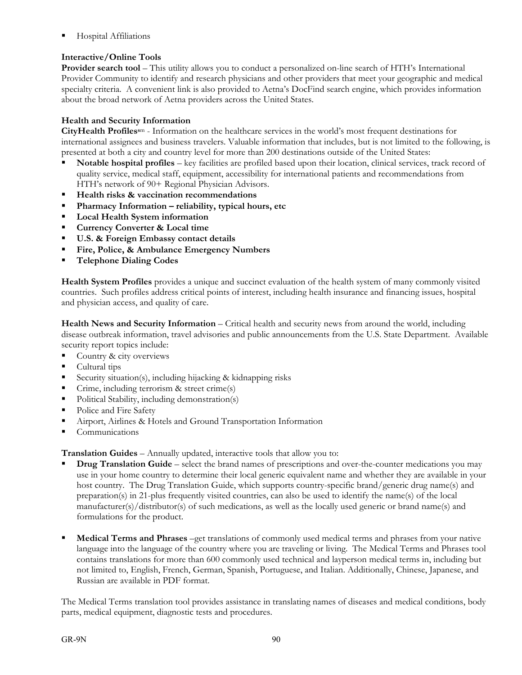Hospital Affiliations

#### **Interactive/Online Tools**

**Provider search tool** – This utility allows you to conduct a personalized on-line search of HTH's International Provider Community to identify and research physicians and other providers that meet your geographic and medical specialty criteria. A convenient link is also provided to Aetna's DocFind search engine, which provides information about the broad network of Aetna providers across the United States.

#### **Health and Security Information**

**CityHealth Profiless**m - Information on the healthcare services in the world's most frequent destinations for international assignees and business travelers. Valuable information that includes, but is not limited to the following, is presented at both a city and country level for more than 200 destinations outside of the United States:

- **Notable hospital profiles** key facilities are profiled based upon their location, clinical services, track record of quality service, medical staff, equipment, accessibility for international patients and recommendations from HTH's network of 90+ Regional Physician Advisors.
- **Health risks & vaccination recommendations**
- **Pharmacy Information reliability, typical hours, etc**
- **Local Health System information**
- **Currency Converter & Local time**
- **U.S. & Foreign Embassy contact details**
- **Fire, Police, & Ambulance Emergency Numbers**
- **Telephone Dialing Codes**

**Health System Profiles** provides a unique and succinct evaluation of the health system of many commonly visited countries. Such profiles address critical points of interest, including health insurance and financing issues, hospital and physician access, and quality of care.

**Health News and Security Information** – Critical health and security news from around the world, including disease outbreak information, travel advisories and public announcements from the U.S. State Department. Available security report topics include:

- Country & city overviews
- Cultural tips
- Security situation(s), including hijacking & kidnapping risks
- Crime, including terrorism & street crime(s)
- Political Stability, including demonstration(s)
- Police and Fire Safety
- Airport, Airlines & Hotels and Ground Transportation Information
- Communications

**Translation Guides** – Annually updated, interactive tools that allow you to:

- **Drug Translation Guide** select the brand names of prescriptions and over-the-counter medications you may use in your home country to determine their local generic equivalent name and whether they are available in your host country. The Drug Translation Guide, which supports country-specific brand/generic drug name(s) and preparation(s) in 21-plus frequently visited countries, can also be used to identify the name(s) of the local manufacturer(s)/distributor(s) of such medications, as well as the locally used generic or brand name(s) and formulations for the product.
- **Medical Terms and Phrases** –get translations of commonly used medical terms and phrases from your native language into the language of the country where you are traveling or living. The Medical Terms and Phrases tool contains translations for more than 600 commonly used technical and layperson medical terms in, including but not limited to, English, French, German, Spanish, Portuguese, and Italian. Additionally, Chinese, Japanese, and Russian are available in PDF format.

The Medical Terms translation tool provides assistance in translating names of diseases and medical conditions, body parts, medical equipment, diagnostic tests and procedures.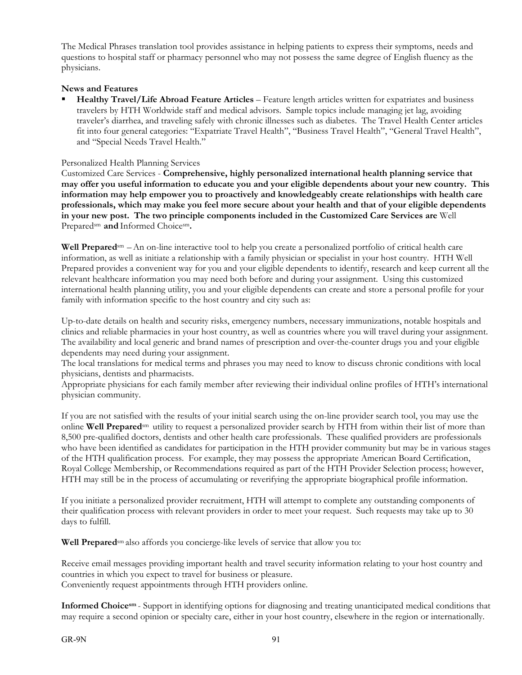The Medical Phrases translation tool provides assistance in helping patients to express their symptoms, needs and questions to hospital staff or pharmacy personnel who may not possess the same degree of English fluency as the physicians.

#### **News and Features**

 **Healthy Travel/Life Abroad Feature Articles** – Feature length articles written for expatriates and business travelers by HTH Worldwide staff and medical advisors. Sample topics include managing jet lag, avoiding traveler's diarrhea, and traveling safely with chronic illnesses such as diabetes. The Travel Health Center articles fit into four general categories: "Expatriate Travel Health", "Business Travel Health", "General Travel Health", and "Special Needs Travel Health."

#### Personalized Health Planning Services

Customized Care Services - **Comprehensive, highly personalized international health planning service that may offer you useful information to educate you and your eligible dependents about your new country. This information may help empower you to proactively and knowledgeably create relationships with health care professionals, which may make you feel more secure about your health and that of your eligible dependents in your new post. The two principle components included in the Customized Care Services are** Well Preparedsm **and** Informed Choicesm**.**

**Well Prepared**sm –An on-line interactive tool to help you create a personalized portfolio of critical health care information, as well as initiate a relationship with a family physician or specialist in your host country. HTH Well Prepared provides a convenient way for you and your eligible dependents to identify, research and keep current all the relevant healthcare information you may need both before and during your assignment. Using this customized international health planning utility, you and your eligible dependents can create and store a personal profile for your family with information specific to the host country and city such as:

Up-to-date details on health and security risks, emergency numbers, necessary immunizations, notable hospitals and clinics and reliable pharmacies in your host country, as well as countries where you will travel during your assignment. The availability and local generic and brand names of prescription and over-the-counter drugs you and your eligible dependents may need during your assignment.

The local translations for medical terms and phrases you may need to know to discuss chronic conditions with local physicians, dentists and pharmacists.

Appropriate physicians for each family member after reviewing their individual online profiles of HTH's international physician community.

If you are not satisfied with the results of your initial search using the on-line provider search tool, you may use the online **Well Prepared**sm utility to request a personalized provider search by HTH from within their list of more than 8,500 pre-qualified doctors, dentists and other health care professionals. These qualified providers are professionals who have been identified as candidates for participation in the HTH provider community but may be in various stages of the HTH qualification process. For example, they may possess the appropriate American Board Certification, Royal College Membership, or Recommendations required as part of the HTH Provider Selection process; however, HTH may still be in the process of accumulating or reverifying the appropriate biographical profile information.

If you initiate a personalized provider recruitment, HTH will attempt to complete any outstanding components of their qualification process with relevant providers in order to meet your request. Such requests may take up to 30 days to fulfill.

**Well Prepared**sm also affords you concierge-like levels of service that allow you to:

Receive email messages providing important health and travel security information relating to your host country and countries in which you expect to travel for business or pleasure. Conveniently request appointments through HTH providers online.

**Informed Choicesm** - Support in identifying options for diagnosing and treating unanticipated medical conditions that may require a second opinion or specialty care, either in your host country, elsewhere in the region or internationally.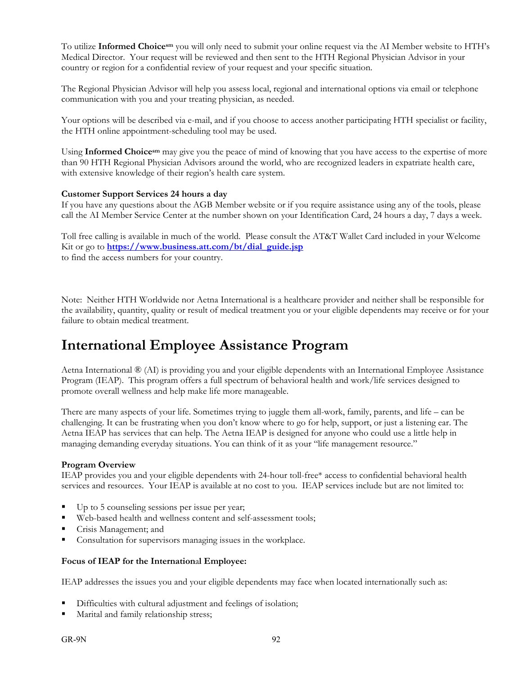To utilize **Informed Choicesm** you will only need to submit your online request via the AI Member website to HTH's Medical Director. Your request will be reviewed and then sent to the HTH Regional Physician Advisor in your country or region for a confidential review of your request and your specific situation.

The Regional Physician Advisor will help you assess local, regional and international options via email or telephone communication with you and your treating physician, as needed.

Your options will be described via e-mail, and if you choose to access another participating HTH specialist or facility, the HTH online appointment-scheduling tool may be used.

Using **Informed Choicesm** may give you the peace of mind of knowing that you have access to the expertise of more than 90 HTH Regional Physician Advisors around the world, who are recognized leaders in expatriate health care, with extensive knowledge of their region's health care system.

#### **Customer Support Services 24 hours a day**

If you have any questions about the AGB Member website or if you require assistance using any of the tools, please call the AI Member Service Center at the number shown on your Identification Card, 24 hours a day, 7 days a week.

Toll free calling is available in much of the world. Please consult the AT&T Wallet Card included in your Welcome Kit or go to **https://www.business.att.com/bt/dial\_guide.jsp**  to find the access numbers for your country.

Note: Neither HTH Worldwide nor Aetna International is a healthcare provider and neither shall be responsible for the availability, quantity, quality or result of medical treatment you or your eligible dependents may receive or for your failure to obtain medical treatment.

# **International Employee Assistance Program**

Aetna International ® (AI) is providing you and your eligible dependents with an International Employee Assistance Program (IEAP). This program offers a full spectrum of behavioral health and work/life services designed to promote overall wellness and help make life more manageable.

There are many aspects of your life. Sometimes trying to juggle them all-work, family, parents, and life – can be challenging. It can be frustrating when you don't know where to go for help, support, or just a listening ear. The Aetna IEAP has services that can help. The Aetna IEAP is designed for anyone who could use a little help in managing demanding everyday situations. You can think of it as your "life management resource."

#### **Program Overview**

IEAP provides you and your eligible dependents with 24-hour toll-free\* access to confidential behavioral health services and resources. Your IEAP is available at no cost to you. IEAP services include but are not limited to:

- Up to 5 counseling sessions per issue per year;
- Web-based health and wellness content and self-assessment tools;
- **Crisis Management; and**
- Consultation for supervisors managing issues in the workplace.

#### **Focus of IEAP for the Internation**a**l Employee:**

IEAP addresses the issues you and your eligible dependents may face when located internationally such as:

- Difficulties with cultural adjustment and feelings of isolation;
- Marital and family relationship stress;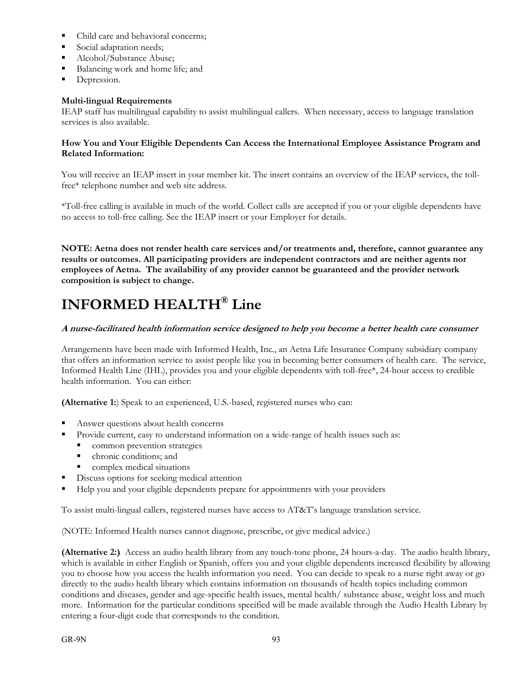- Child care and behavioral concerns;
- Social adaptation needs;
- Alcohol/Substance Abuse;
- Balancing work and home life; and
- Depression.

#### **Multi-lingual Requirements**

IEAP staff has multilingual capability to assist multilingual callers. When necessary, access to language translation services is also available.

#### **How You and Your Eligible Dependents Can Access the International Employee Assistance Program and Related Information:**

You will receive an IEAP insert in your member kit. The insert contains an overview of the IEAP services, the tollfree\* telephone number and web site address.

\*Toll-free calling is available in much of the world. Collect calls are accepted if you or your eligible dependents have no access to toll-free calling. See the IEAP insert or your Employer for details.

**NOTE: Aetna does not render health care services and/or treatments and, therefore, cannot guarantee any results or outcomes. All participating providers are independent contractors and are neither agents nor employees of Aetna. The availability of any provider cannot be guaranteed and the provider network composition is subject to change.** 

# **INFORMED HEALTH® Line**

#### **A nurse-facilitated health information service designed to help you become a better health care consumer**

Arrangements have been made with Informed Health, Inc*.*, an Aetna Life Insurance Company subsidiary company that offers an information service to assist people like you in becoming better consumers of health care. The service, Informed Health Line (IHL), provides you and your eligible dependents with toll-free\*, 24-hour access to credible health information. You can either:

**(Alternative 1:**) Speak to an experienced, U.S.-based, registered nurses who can:

- Answer questions about health concerns
- Provide current, easy to understand information on a wide-range of health issues such as:
- common prevention strategies
	- **chronic conditions; and**
	- complex medical situations
- Discuss options for seeking medical attention
- Help you and your eligible dependents prepare for appointments with your providers

To assist multi-lingual callers, registered nurses have access to AT&T's language translation service.

(NOTE: Informed Health nurses cannot diagnose, prescribe, or give medical advice.)

**(Alternative 2:)** Access an audio health library from any touch-tone phone, 24 hours-a-day. The audio health library, which is available in either English or Spanish, offers you and your eligible dependents increased flexibility by allowing you to choose how you access the health information you need. You can decide to speak to a nurse right away or go directly to the audio health library which contains information on thousands of health topics including common conditions and diseases, gender and age-specific health issues, mental health/ substance abuse, weight loss and much more. Information for the particular conditions specified will be made available through the Audio Health Library by entering a four-digit code that corresponds to the condition.